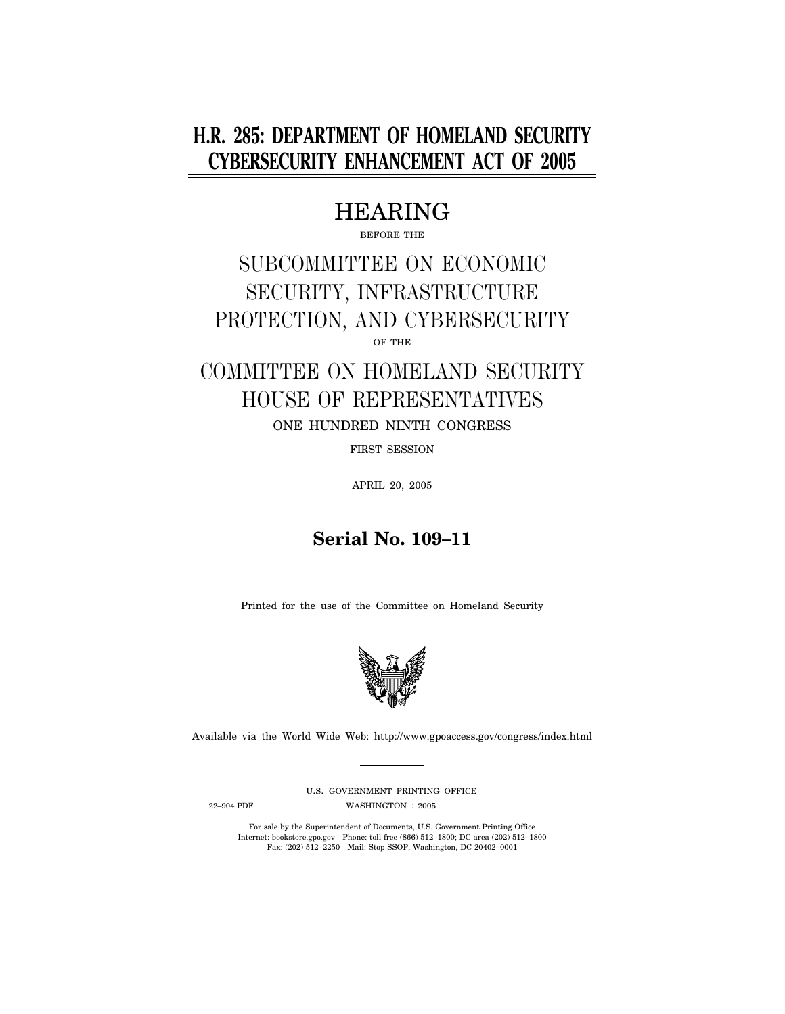# **H.R. 285: DEPARTMENT OF HOMELAND SECURITY CYBERSECURITY ENHANCEMENT ACT OF 2005**

# HEARING

BEFORE THE

# SUBCOMMITTEE ON ECONOMIC SECURITY, INFRASTRUCTURE PROTECTION, AND CYBERSECURITY

OF THE

# COMMITTEE ON HOMELAND SECURITY HOUSE OF REPRESENTATIVES ONE HUNDRED NINTH CONGRESS

FIRST SESSION

APRIL 20, 2005

## **Serial No. 109–11**

Printed for the use of the Committee on Homeland Security



Available via the World Wide Web: http://www.gpoaccess.gov/congress/index.html

U.S. GOVERNMENT PRINTING OFFICE

22-904 PDF WASHINGTON : 2005

For sale by the Superintendent of Documents, U.S. Government Printing Office Internet: bookstore.gpo.gov Phone: toll free (866) 512–1800; DC area (202) 512–1800 Fax: (202) 512–2250 Mail: Stop SSOP, Washington, DC 20402–0001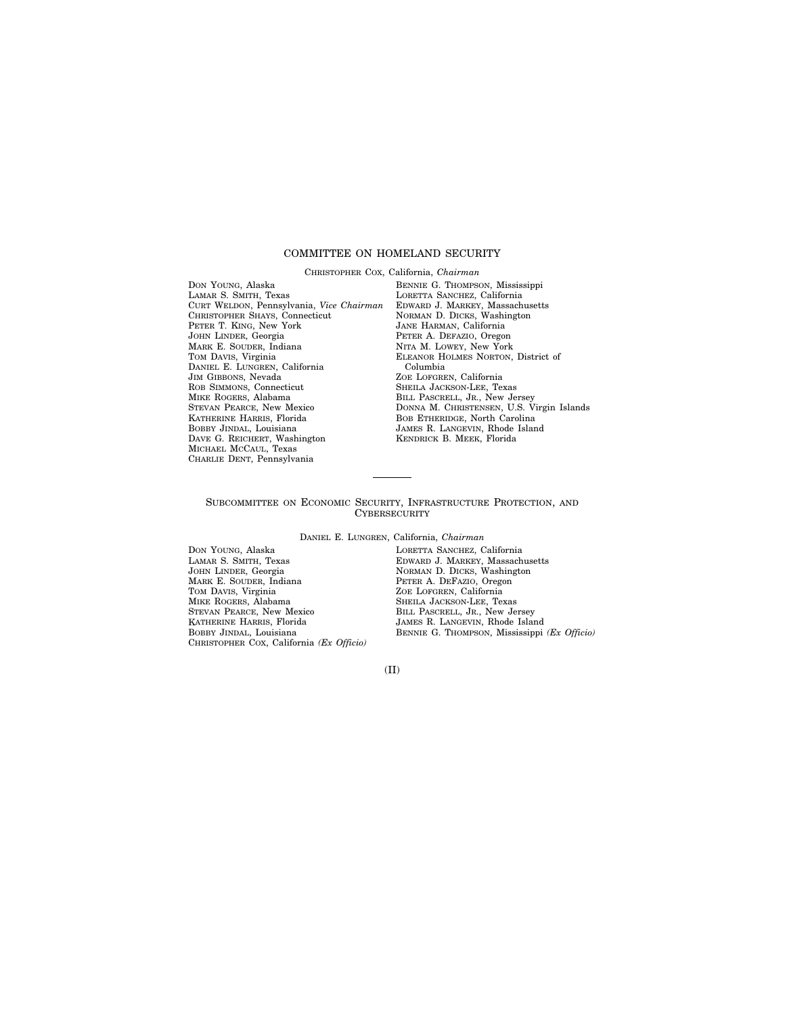## COMMITTEE ON HOMELAND SECURITY

CHRISTOPHER COX, California, *Chairman* 

DON YOUNG, Alaska LAMAR S. SMITH, Texas CURT WELDON, Pennsylvania, *Vice Chairman*  CHRISTOPHER SHAYS, Connecticut PETER T. KING, New York JOHN LINDER, Georgia MARK E. SOUDER, Indiana TOM DAVIS, Virginia DANIEL E. LUNGREN, California JIM GIBBONS, Nevada ROB SIMMONS, Connecticut MIKE ROGERS, Alabama STEVAN PEARCE, New Mexico KATHERINE HARRIS, Florida BOBBY JINDAL, Louisiana DAVE G. REICHERT, Washington MICHAEL MCCAUL, Texas CHARLIE DENT, Pennsylvania

BENNIE G. THOMPSON, Mississippi LORETTA SANCHEZ, California EDWARD J. MARKEY, Massachusetts NORMAN D. DICKS, Washington JANE HARMAN, California PETER A. DEFAZIO, Oregon NITA M. LOWEY, New York ELEANOR HOLMES NORTON, District of Columbia ZOE LOFGREN, California SHEILA JACKSON-LEE, Texas BILL PASCRELL, JR., New Jersey DONNA M. CHRISTENSEN, U.S. Virgin Islands BOB ETHERIDGE, North Carolina JAMES R. LANGEVIN, Rhode Island KENDRICK B. MEEK, Florida

## SUBCOMMITTEE ON ECONOMIC SECURITY, INFRASTRUCTURE PROTECTION, AND **CYBERSECURITY**

DANIEL E. LUNGREN, California, *Chairman* 

DON YOUNG, Alaska LAMAR S. SMITH, Texas JOHN LINDER, Georgia MARK E. SOUDER, Indiana TOM DAVIS, Virginia MIKE ROGERS, Alabama STEVAN PEARCE, New Mexico KATHERINE HARRIS, Florida BOBBY JINDAL, Louisiana CHRISTOPHER COX, California *(Ex Officio)*  LORETTA SANCHEZ, California EDWARD J. MARKEY, Massachusetts NORMAN D. DICKS, Washington PETER A. DEFAZIO, Oregon ZOE LOFGREN, California SHEILA JACKSON-LEE, Texas BILL PASCRELL, JR., New Jersey JAMES R. LANGEVIN, Rhode Island BENNIE G. THOMPSON, Mississippi *(Ex Officio)*

(II)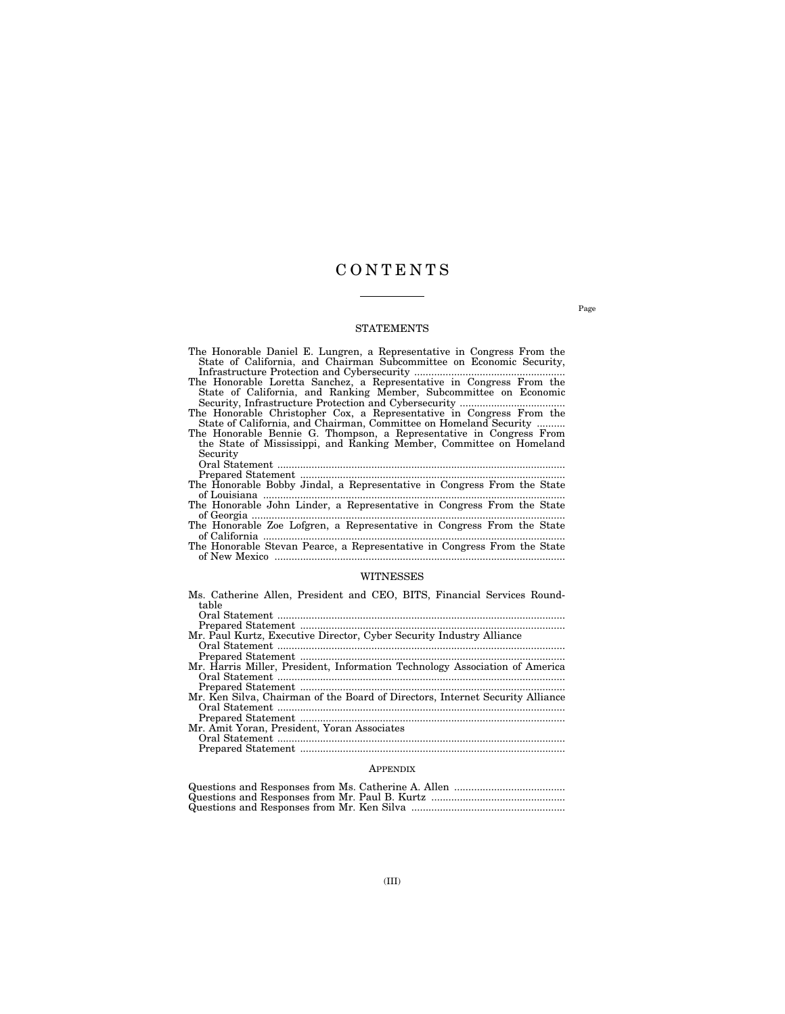## C O N T E N T S

## STATEMENTS

- The Honorable Daniel E. Lungren, a Representative in Congress From the State of California, and Chairman Subcommittee on Economic Security, Infrastructure Protection and Cybersecurity .....................................................
- The Honorable Loretta Sanchez, a Representative in Congress From the State of California, and Ranking Member, Subcommittee on Economic Security, Infrastructure Protection and Cybersecurity .....................................

The Honorable Christopher Cox, a Representative in Congress From the State of California, and Chairman, Committee on Homeland Security ..........

The Honorable Bennie G. Thompson, a Representative in Congress From the State of Mississippi, and Ranking Member, Committee on Homeland Security

Oral Statement .....................................................................................................

Prepared Statement .............................................................................................

- The Honorable Bobby Jindal, a Representative in Congress From the State of Louisiana ..........................................................................................................
- The Honorable John Linder, a Representative in Congress From the State of Georgia ..............................................................................................................
- The Honorable Zoe Lofgren, a Representative in Congress From the State of California ..........................................................................................................
- The Honorable Stevan Pearce, a Representative in Congress From the State of New Mexico ......................................................................................................

#### WITNESSES

|                                                                                                | Ms. Catherine Allen, President and CEO, BITS, Financial Services Round- |  |  |  |  |  |  |
|------------------------------------------------------------------------------------------------|-------------------------------------------------------------------------|--|--|--|--|--|--|
|                                                                                                | table                                                                   |  |  |  |  |  |  |
|                                                                                                |                                                                         |  |  |  |  |  |  |
| $D$ properties $Q$ <sup>+</sup> $\alpha$ <sup>+<math>\alpha</math></sup> $\alpha$ <sup>+</sup> |                                                                         |  |  |  |  |  |  |

| Mr. Paul Kurtz, Executive Director, Cyber Security Industry Alliance          |
|-------------------------------------------------------------------------------|
|                                                                               |
|                                                                               |
| Mr. Harris Miller, President, Information Technology Association of America   |
|                                                                               |
|                                                                               |
| Mr. Ken Silva, Chairman of the Board of Directors, Internet Security Alliance |
|                                                                               |
|                                                                               |
| Mr. Amit Yoran, President, Yoran Associates                                   |
|                                                                               |
|                                                                               |
|                                                                               |

## **APPENDIX**

Page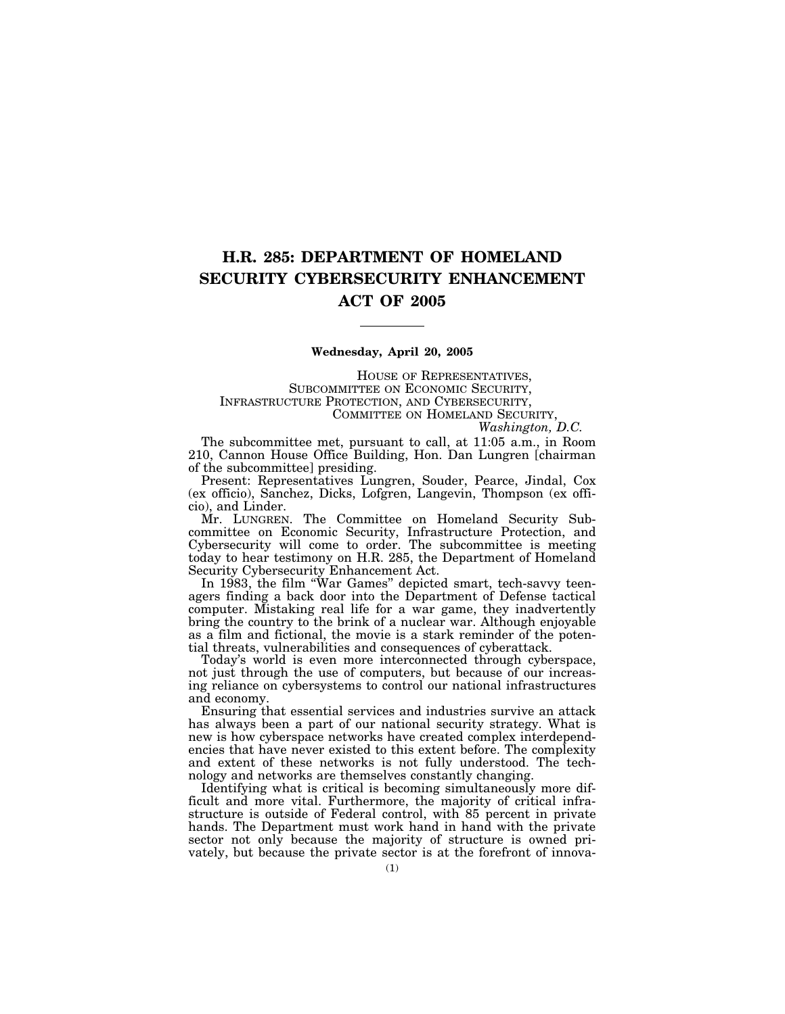## **H.R. 285: DEPARTMENT OF HOMELAND SECURITY CYBERSECURITY ENHANCEMENT ACT OF 2005**

## **Wednesday, April 20, 2005**

HOUSE OF REPRESENTATIVES, SUBCOMMITTEE ON ECONOMIC SECURITY, INFRASTRUCTURE PROTECTION, AND CYBERSECURITY, COMMITTEE ON HOMELAND SECURITY, *Washington, D.C.* 

The subcommittee met, pursuant to call, at 11:05 a.m., in Room

210, Cannon House Office Building, Hon. Dan Lungren [chairman of the subcommittee] presiding.

Present: Representatives Lungren, Souder, Pearce, Jindal, Cox (ex officio), Sanchez, Dicks, Lofgren, Langevin, Thompson (ex officio), and Linder.

Mr. LUNGREN. The Committee on Homeland Security Subcommittee on Economic Security, Infrastructure Protection, and Cybersecurity will come to order. The subcommittee is meeting today to hear testimony on H.R. 285, the Department of Homeland Security Cybersecurity Enhancement Act.

In 1983, the film "War Games" depicted smart, tech-savvy teenagers finding a back door into the Department of Defense tactical computer. Mistaking real life for a war game, they inadvertently bring the country to the brink of a nuclear war. Although enjoyable as a film and fictional, the movie is a stark reminder of the potential threats, vulnerabilities and consequences of cyberattack.

Today's world is even more interconnected through cyberspace, not just through the use of computers, but because of our increasing reliance on cybersystems to control our national infrastructures and economy.

Ensuring that essential services and industries survive an attack has always been a part of our national security strategy. What is new is how cyberspace networks have created complex interdependencies that have never existed to this extent before. The complexity and extent of these networks is not fully understood. The technology and networks are themselves constantly changing.

Identifying what is critical is becoming simultaneously more difficult and more vital. Furthermore, the majority of critical infrastructure is outside of Federal control, with 85 percent in private hands. The Department must work hand in hand with the private sector not only because the majority of structure is owned privately, but because the private sector is at the forefront of innova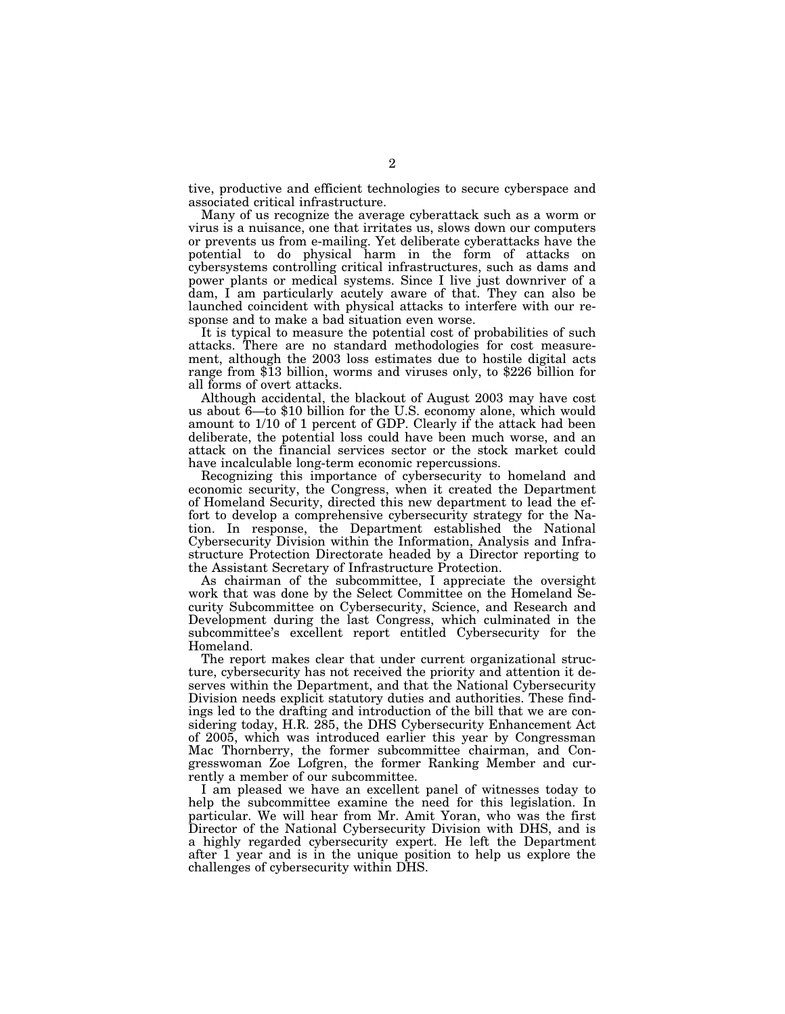tive, productive and efficient technologies to secure cyberspace and associated critical infrastructure.

Many of us recognize the average cyberattack such as a worm or virus is a nuisance, one that irritates us, slows down our computers or prevents us from e-mailing. Yet deliberate cyberattacks have the potential to do physical harm in the form of attacks on cybersystems controlling critical infrastructures, such as dams and power plants or medical systems. Since I live just downriver of a dam, I am particularly acutely aware of that. They can also be launched coincident with physical attacks to interfere with our response and to make a bad situation even worse.

It is typical to measure the potential cost of probabilities of such attacks. There are no standard methodologies for cost measurement, although the 2003 loss estimates due to hostile digital acts range from \$13 billion, worms and viruses only, to \$226 billion for all forms of overt attacks.

Although accidental, the blackout of August 2003 may have cost us about 6—to \$10 billion for the U.S. economy alone, which would amount to 1/10 of 1 percent of GDP. Clearly if the attack had been deliberate, the potential loss could have been much worse, and an attack on the financial services sector or the stock market could have incalculable long-term economic repercussions.

Recognizing this importance of cybersecurity to homeland and economic security, the Congress, when it created the Department of Homeland Security, directed this new department to lead the effort to develop a comprehensive cybersecurity strategy for the Nation. In response, the Department established the National Cybersecurity Division within the Information, Analysis and Infrastructure Protection Directorate headed by a Director reporting to the Assistant Secretary of Infrastructure Protection.

As chairman of the subcommittee, I appreciate the oversight work that was done by the Select Committee on the Homeland Security Subcommittee on Cybersecurity, Science, and Research and Development during the last Congress, which culminated in the subcommittee's excellent report entitled Cybersecurity for the Homeland.

The report makes clear that under current organizational structure, cybersecurity has not received the priority and attention it deserves within the Department, and that the National Cybersecurity Division needs explicit statutory duties and authorities. These findings led to the drafting and introduction of the bill that we are considering today, H.R. 285, the DHS Cybersecurity Enhancement Act of 2005, which was introduced earlier this year by Congressman Mac Thornberry, the former subcommittee chairman, and Congresswoman Zoe Lofgren, the former Ranking Member and currently a member of our subcommittee.

I am pleased we have an excellent panel of witnesses today to help the subcommittee examine the need for this legislation. In particular. We will hear from Mr. Amit Yoran, who was the first Director of the National Cybersecurity Division with DHS, and is a highly regarded cybersecurity expert. He left the Department after 1 year and is in the unique position to help us explore the challenges of cybersecurity within DHS.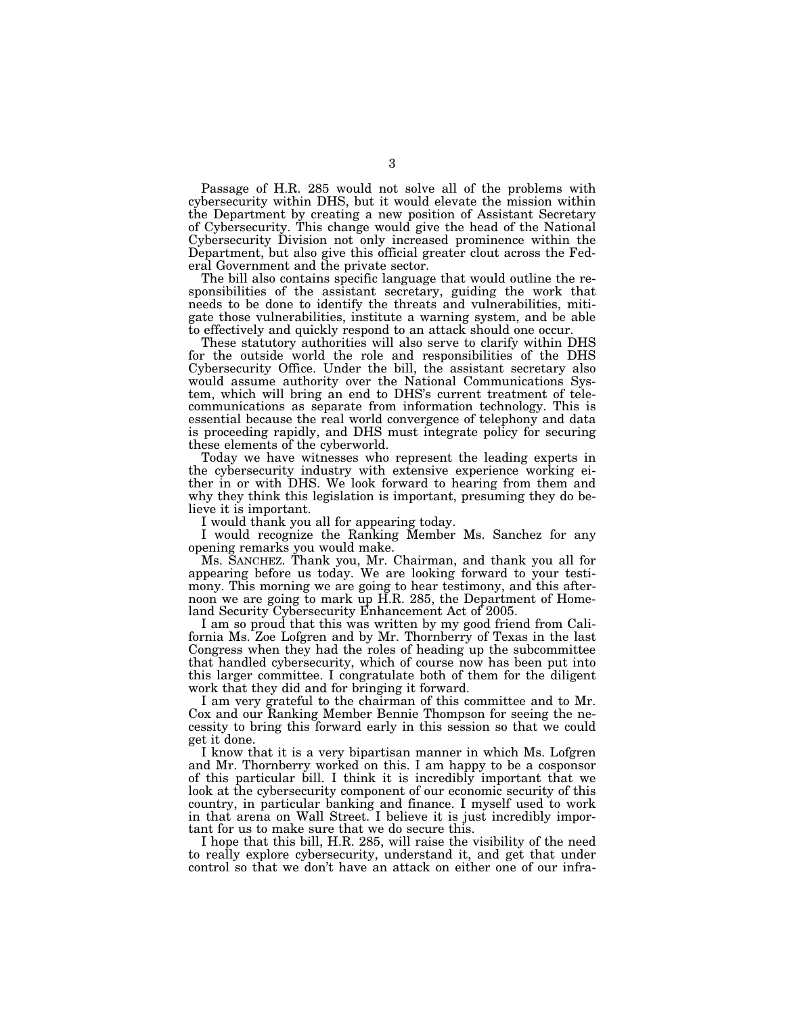Passage of H.R. 285 would not solve all of the problems with cybersecurity within DHS, but it would elevate the mission within the Department by creating a new position of Assistant Secretary of Cybersecurity. This change would give the head of the National Cybersecurity Division not only increased prominence within the Department, but also give this official greater clout across the Federal Government and the private sector.

The bill also contains specific language that would outline the responsibilities of the assistant secretary, guiding the work that needs to be done to identify the threats and vulnerabilities, mitigate those vulnerabilities, institute a warning system, and be able to effectively and quickly respond to an attack should one occur.

These statutory authorities will also serve to clarify within DHS for the outside world the role and responsibilities of the DHS Cybersecurity Office. Under the bill, the assistant secretary also would assume authority over the National Communications System, which will bring an end to DHS's current treatment of telecommunications as separate from information technology. This is essential because the real world convergence of telephony and data is proceeding rapidly, and DHS must integrate policy for securing these elements of the cyberworld.

Today we have witnesses who represent the leading experts in the cybersecurity industry with extensive experience working either in or with DHS. We look forward to hearing from them and why they think this legislation is important, presuming they do believe it is important.

I would thank you all for appearing today.

I would recognize the Ranking Member Ms. Sanchez for any opening remarks you would make.

Ms. SANCHEZ. Thank you, Mr. Chairman, and thank you all for appearing before us today. We are looking forward to your testimony. This morning we are going to hear testimony, and this afternoon we are going to mark up H.R. 285, the Department of Homeland Security Cybersecurity Enhancement Act of 2005.

I am so proud that this was written by my good friend from California Ms. Zoe Lofgren and by Mr. Thornberry of Texas in the last Congress when they had the roles of heading up the subcommittee that handled cybersecurity, which of course now has been put into this larger committee. I congratulate both of them for the diligent work that they did and for bringing it forward.

I am very grateful to the chairman of this committee and to Mr. Cox and our Ranking Member Bennie Thompson for seeing the necessity to bring this forward early in this session so that we could get it done.

I know that it is a very bipartisan manner in which Ms. Lofgren and Mr. Thornberry worked on this. I am happy to be a cosponsor of this particular bill. I think it is incredibly important that we look at the cybersecurity component of our economic security of this country, in particular banking and finance. I myself used to work in that arena on Wall Street. I believe it is just incredibly important for us to make sure that we do secure this.

I hope that this bill, H.R. 285, will raise the visibility of the need to really explore cybersecurity, understand it, and get that under control so that we don't have an attack on either one of our infra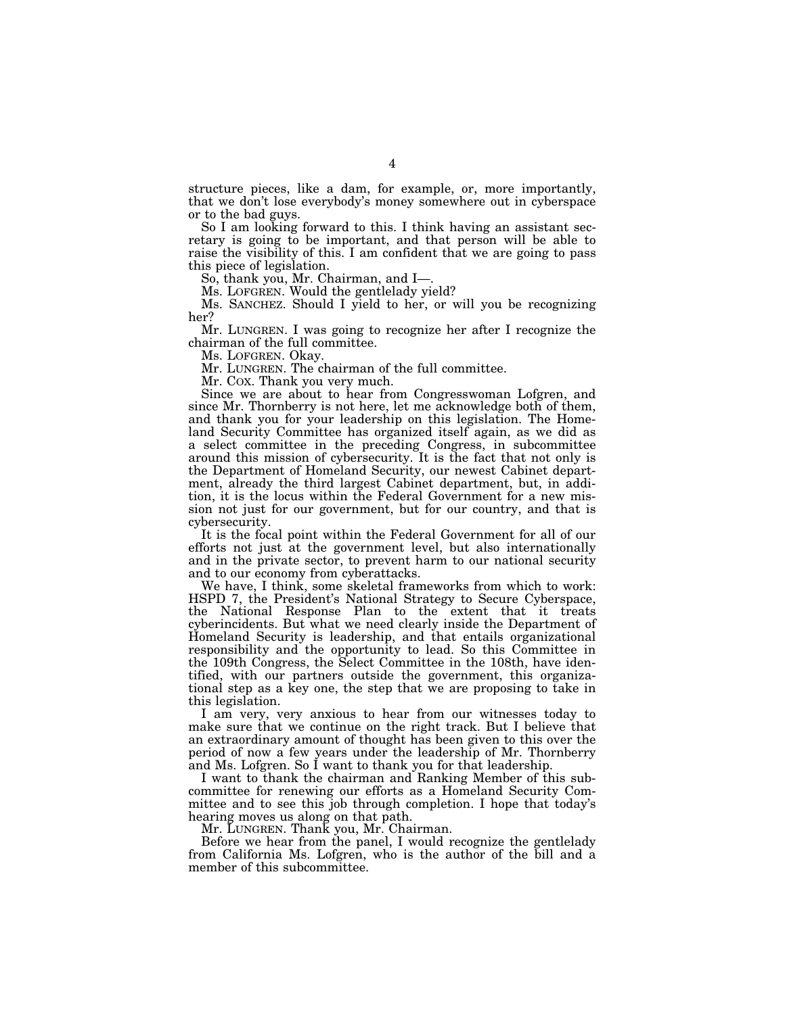structure pieces, like a dam, for example, or, more importantly, that we don't lose everybody's money somewhere out in cyberspace or to the bad guys.

So I am looking forward to this. I think having an assistant secretary is going to be important, and that person will be able to raise the visibility of this. I am confident that we are going to pass this piece of legislation.

So, thank you, Mr. Chairman, and I—.

Ms. LOFGREN. Would the gentlelady yield?

Ms. SANCHEZ. Should I yield to her, or will you be recognizing her?

Mr. LUNGREN. I was going to recognize her after I recognize the chairman of the full committee.

Ms. LOFGREN. Okay.

Mr. LUNGREN. The chairman of the full committee.

Mr. COX. Thank you very much.

Since we are about to hear from Congresswoman Lofgren, and since Mr. Thornberry is not here, let me acknowledge both of them, and thank you for your leadership on this legislation. The Homeland Security Committee has organized itself again, as we did as a select committee in the preceding Congress, in subcommittee around this mission of cybersecurity. It is the fact that not only is the Department of Homeland Security, our newest Cabinet department, already the third largest Cabinet department, but, in addition, it is the locus within the Federal Government for a new mission not just for our government, but for our country, and that is cybersecurity.

It is the focal point within the Federal Government for all of our efforts not just at the government level, but also internationally and in the private sector, to prevent harm to our national security and to our economy from cyberattacks.

We have, I think, some skeletal frameworks from which to work: HSPD 7, the President's National Strategy to Secure Cyberspace, the National Response Plan to the extent that it treats cyberincidents. But what we need clearly inside the Department of Homeland Security is leadership, and that entails organizational responsibility and the opportunity to lead. So this Committee in the 109th Congress, the Select Committee in the 108th, have identified, with our partners outside the government, this organizational step as a key one, the step that we are proposing to take in this legislation.

I am very, very anxious to hear from our witnesses today to make sure that we continue on the right track. But I believe that an extraordinary amount of thought has been given to this over the period of now a few years under the leadership of Mr. Thornberry and Ms. Lofgren. So I want to thank you for that leadership.

I want to thank the chairman and Ranking Member of this subcommittee for renewing our efforts as a Homeland Security Committee and to see this job through completion. I hope that today's hearing moves us along on that path.

Mr. LUNGREN. Thank you, Mr. Chairman.

Before we hear from the panel, I would recognize the gentlelady from California Ms. Lofgren, who is the author of the bill and a member of this subcommittee.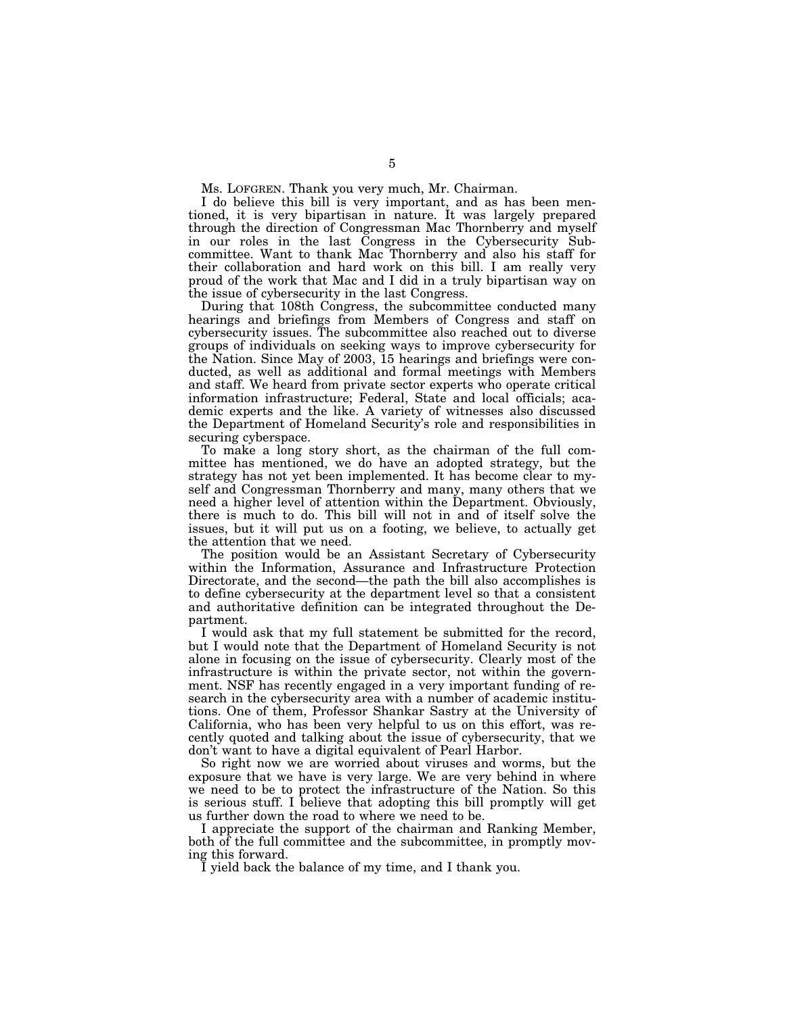Ms. LOFGREN. Thank you very much, Mr. Chairman.

I do believe this bill is very important, and as has been mentioned, it is very bipartisan in nature. It was largely prepared through the direction of Congressman Mac Thornberry and myself in our roles in the last Congress in the Cybersecurity Subcommittee. Want to thank Mac Thornberry and also his staff for their collaboration and hard work on this bill. I am really very proud of the work that Mac and I did in a truly bipartisan way on the issue of cybersecurity in the last Congress.

During that 108th Congress, the subcommittee conducted many hearings and briefings from Members of Congress and staff on cybersecurity issues. The subcommittee also reached out to diverse groups of individuals on seeking ways to improve cybersecurity for the Nation. Since May of 2003, 15 hearings and briefings were conducted, as well as additional and formal meetings with Members and staff. We heard from private sector experts who operate critical information infrastructure; Federal, State and local officials; academic experts and the like. A variety of witnesses also discussed the Department of Homeland Security's role and responsibilities in securing cyberspace.

To make a long story short, as the chairman of the full committee has mentioned, we do have an adopted strategy, but the strategy has not yet been implemented. It has become clear to myself and Congressman Thornberry and many, many others that we need a higher level of attention within the Department. Obviously, there is much to do. This bill will not in and of itself solve the issues, but it will put us on a footing, we believe, to actually get the attention that we need.

The position would be an Assistant Secretary of Cybersecurity within the Information, Assurance and Infrastructure Protection Directorate, and the second—the path the bill also accomplishes is to define cybersecurity at the department level so that a consistent and authoritative definition can be integrated throughout the Department.

I would ask that my full statement be submitted for the record, but I would note that the Department of Homeland Security is not alone in focusing on the issue of cybersecurity. Clearly most of the infrastructure is within the private sector, not within the government. NSF has recently engaged in a very important funding of research in the cybersecurity area with a number of academic institutions. One of them, Professor Shankar Sastry at the University of California, who has been very helpful to us on this effort, was recently quoted and talking about the issue of cybersecurity, that we don't want to have a digital equivalent of Pearl Harbor.

So right now we are worried about viruses and worms, but the exposure that we have is very large. We are very behind in where we need to be to protect the infrastructure of the Nation. So this is serious stuff. I believe that adopting this bill promptly will get us further down the road to where we need to be.

I appreciate the support of the chairman and Ranking Member, both of the full committee and the subcommittee, in promptly moving this forward.

I yield back the balance of my time, and I thank you.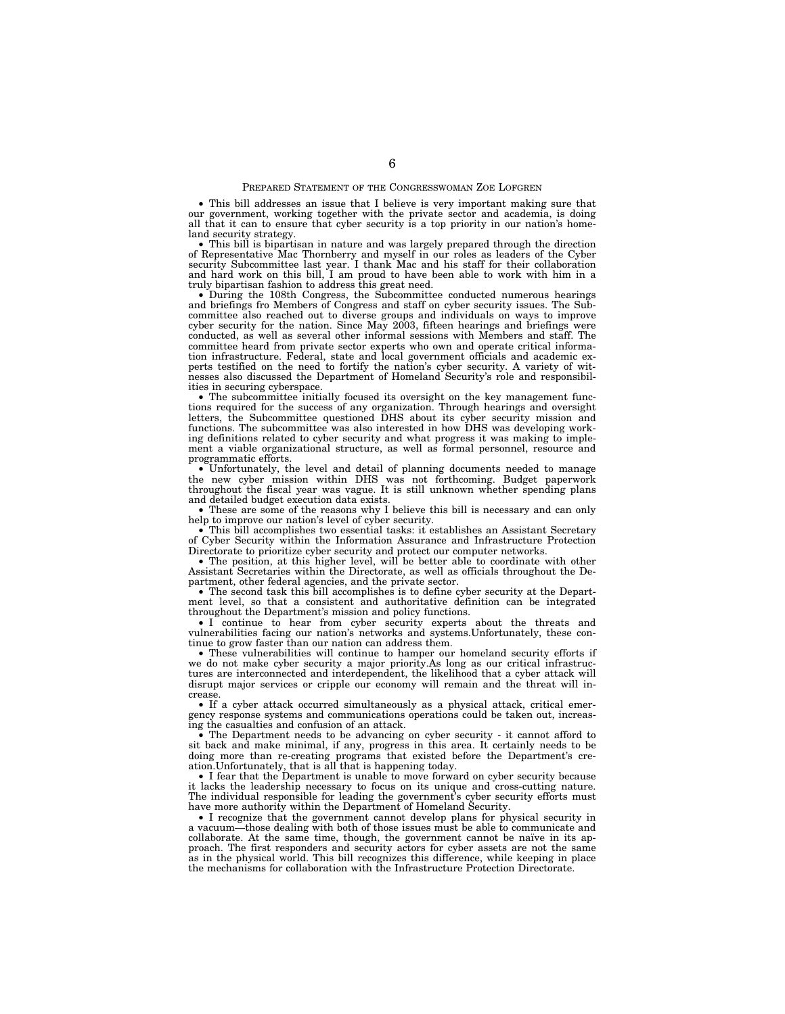### PREPARED STATEMENT OF THE CONGRESSWOMAN ZOE LOFGREN

• This bill addresses an issue that I believe is very important making sure that our government, working together with the private sector and academia, is doing all that it can to ensure that cyber security is a top priority in our nation's home-<br>land security strategy.

 $\bullet$  This bill is bipartisan in nature and was largely prepared through the direction of Representative Mac Thornberry and myself in our roles as leaders of the Cyber security Subcommittee last year. I thank Mac and his staff for their collaboration and hard work on this bill, I am proud to have been able to work with him in a

 $\bullet$  During the 108th Congress, the Subcommittee conducted numerous hearings and briefings fro Members of Congress and staff on cyber security issues. The Subcommittee also reached out to diverse groups and individuals on ways to improve cyber security for the nation. Since May 2003, fifteen hearings and briefings were conducted, as well as several other informal sessions with Members and staff. The committee heard from private sector experts who own and operate critical information infrastructure. Federal, state and local government officials and academic experts testified on the need to fortify the nation's cyber security. A variety of witnesses also discussed the Department of Homeland Security's role and responsibilities in securing cyberspace.

• The subcommittee initially focused its oversight on the key management functions required for the success of any organization. Through hearings and oversight letters, the Subcommittee questioned DHS about its cyber security mission and functions. The subcommittee was also interested in how DHS was developing working definitions related to cyber security and what progress it was making to implement a viable organizational structure, as well as formal personnel, resource and programmatic efforts.

• Unfortunately, the level and detail of planning documents needed to manage the new cyber mission within DHS was not forthcoming. Budget paperwork throughout the fiscal year was vague. It is still unknown whether spending plans and detailed budget execution data exists.

• These are some of the reasons why I believe this bill is necessary and can only help to improve our nation's level of cyber security.

• This bill accomplishes two essential tasks: it establishes an Assistant Secretary of Cyber Security within the Information Assurance and Infrastructure Protection Directorate to prioritize cyber security and protect our computer networks.

• The position, at this higher level, will be better able to coordinate with other Assistant Secretaries within the Directorate, as well as officials throughout the Department, other federal agencies, and the private sector.

• The second task this bill accomplishes is to define cyber security at the Department level, so that a consistent and authoritative definition can be integrated throughout the Department's mission and policy functions.

• I continue to hear from cyber security experts about the threats and vulnerabilities facing our nation's networks and systems.Unfortunately, these continue to grow faster than our nation can address them.

• These vulnerabilities will continue to hamper our homeland security efforts if we do not make cyber security a major priority.As long as our critical infrastructures are interconnected and interdependent, the likelihood that a cyber attack will disrupt major services or cripple our economy will remain and the threat will increase.

• If a cyber attack occurred simultaneously as a physical attack, critical emergency response systems and communications operations could be taken out, increasing the casualties and confusion of an attack.

• The Department needs to be advancing on cyber security - it cannot afford to sit back and make minimal, if any, progress in this area. It certainly needs to be doing more than re-creating programs that existed before the Department's creation.Unfortunately, that is all that is happening today.

I fear that the Department is unable to move forward on cyber security because it lacks the leadership necessary to focus on its unique and cross-cutting nature. The individual responsible for leading the government's cyber security efforts must have more authority within the Department of Homeland Security.

• I recognize that the government cannot develop plans for physical security in a vacuum—those dealing with both of those issues must be able to communicate and collaborate. At the same time, though, the government cannot be naïve in its approach. The first responders and security actors for cyber assets are not the same as in the physical world. This bill recognizes this difference, while keeping in place the mechanisms for collaboration with the Infrastructure Protection Directorate.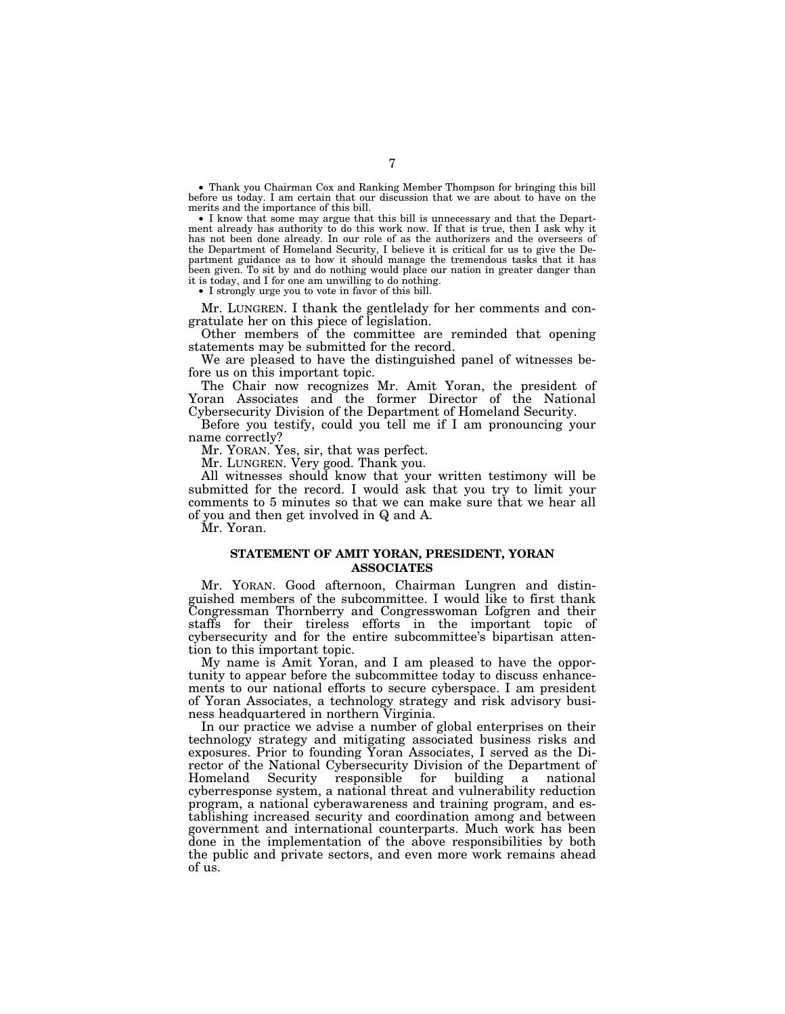• Thank you Chairman Cox and Ranking Member Thompson for bringing this bill before us today. I am certain that our discussion that we are about to have on the merits and the importance of this bill.

• I know that some may argue that this bill is unnecessary and that the Department already has authority to do this work now. If that is true, then I ask why it has not been done already. In our role of as the authorizers and the overseers of the Department of Homeland Security, I believe it is critical for us to give the Department guidance as to how it should manage the tremendous tasks that it has been given. To sit by and do nothing would place our nation in greater danger than it is today, and I for one am unwilling to do nothing.

• I strongly urge you to vote in favor of this bill.

Mr. LUNGREN. I thank the gentlelady for her comments and congratulate her on this piece of legislation.

Other members of the committee are reminded that opening statements may be submitted for the record.

We are pleased to have the distinguished panel of witnesses before us on this important topic.

The Chair now recognizes Mr. Amit Yoran, the president of Yoran Associates and the former Director of the National Cybersecurity Division of the Department of Homeland Security.

Before you testify, could you tell me if I am pronouncing your name correctly?

Mr. YORAN. Yes, sir, that was perfect.

Mr. LUNGREN. Very good. Thank you.

All witnesses should know that your written testimony will be submitted for the record. I would ask that you try to limit your comments to 5 minutes so that we can make sure that we hear all of you and then get involved in Q and A.

Mr. Yoran.

## **STATEMENT OF AMIT YORAN, PRESIDENT, YORAN ASSOCIATES**

Mr. YORAN. Good afternoon, Chairman Lungren and distinguished members of the subcommittee. I would like to first thank Congressman Thornberry and Congresswoman Lofgren and their staffs for their tireless efforts in the important topic of cybersecurity and for the entire subcommittee's bipartisan attention to this important topic.

My name is Amit Yoran, and I am pleased to have the opportunity to appear before the subcommittee today to discuss enhancements to our national efforts to secure cyberspace. I am president of Yoran Associates, a technology strategy and risk advisory business headquartered in northern Virginia.

In our practice we advise a number of global enterprises on their technology strategy and mitigating associated business risks and exposures. Prior to founding Yoran Associates, I served as the Director of the National Cybersecurity Division of the Department of Homeland Security responsible for building a national cyberresponse system, a national threat and vulnerability reduction program, a national cyberawareness and training program, and establishing increased security and coordination among and between government and international counterparts. Much work has been done in the implementation of the above responsibilities by both the public and private sectors, and even more work remains ahead of us.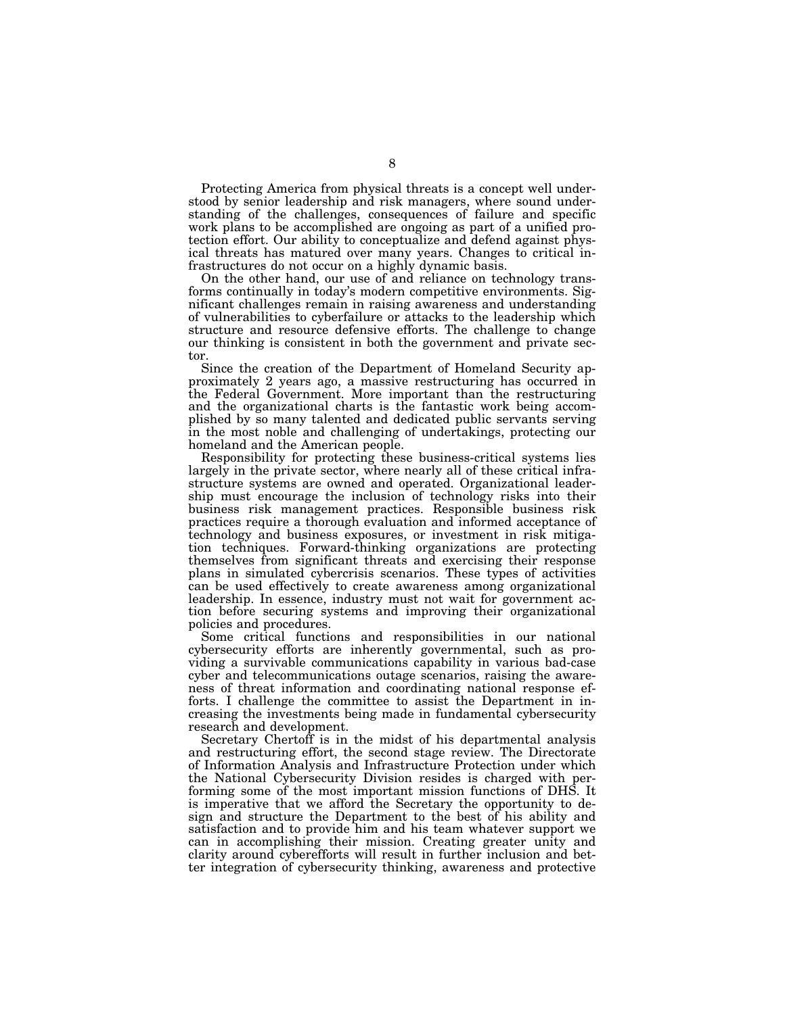Protecting America from physical threats is a concept well understood by senior leadership and risk managers, where sound understanding of the challenges, consequences of failure and specific work plans to be accomplished are ongoing as part of a unified protection effort. Our ability to conceptualize and defend against physical threats has matured over many years. Changes to critical infrastructures do not occur on a highly dynamic basis.

On the other hand, our use of and reliance on technology transforms continually in today's modern competitive environments. Significant challenges remain in raising awareness and understanding of vulnerabilities to cyberfailure or attacks to the leadership which structure and resource defensive efforts. The challenge to change our thinking is consistent in both the government and private sector.

Since the creation of the Department of Homeland Security approximately 2 years ago, a massive restructuring has occurred in the Federal Government. More important than the restructuring and the organizational charts is the fantastic work being accomplished by so many talented and dedicated public servants serving in the most noble and challenging of undertakings, protecting our homeland and the American people.

Responsibility for protecting these business-critical systems lies largely in the private sector, where nearly all of these critical infrastructure systems are owned and operated. Organizational leadership must encourage the inclusion of technology risks into their business risk management practices. Responsible business risk practices require a thorough evaluation and informed acceptance of technology and business exposures, or investment in risk mitigation techniques. Forward-thinking organizations are protecting themselves from significant threats and exercising their response plans in simulated cybercrisis scenarios. These types of activities can be used effectively to create awareness among organizational leadership. In essence, industry must not wait for government action before securing systems and improving their organizational policies and procedures.

Some critical functions and responsibilities in our national cybersecurity efforts are inherently governmental, such as providing a survivable communications capability in various bad-case cyber and telecommunications outage scenarios, raising the awareness of threat information and coordinating national response efforts. I challenge the committee to assist the Department in increasing the investments being made in fundamental cybersecurity research and development.

Secretary Chertoff is in the midst of his departmental analysis and restructuring effort, the second stage review. The Directorate of Information Analysis and Infrastructure Protection under which the National Cybersecurity Division resides is charged with performing some of the most important mission functions of DHS. It is imperative that we afford the Secretary the opportunity to design and structure the Department to the best of his ability and satisfaction and to provide him and his team whatever support we can in accomplishing their mission. Creating greater unity and clarity around cyberefforts will result in further inclusion and better integration of cybersecurity thinking, awareness and protective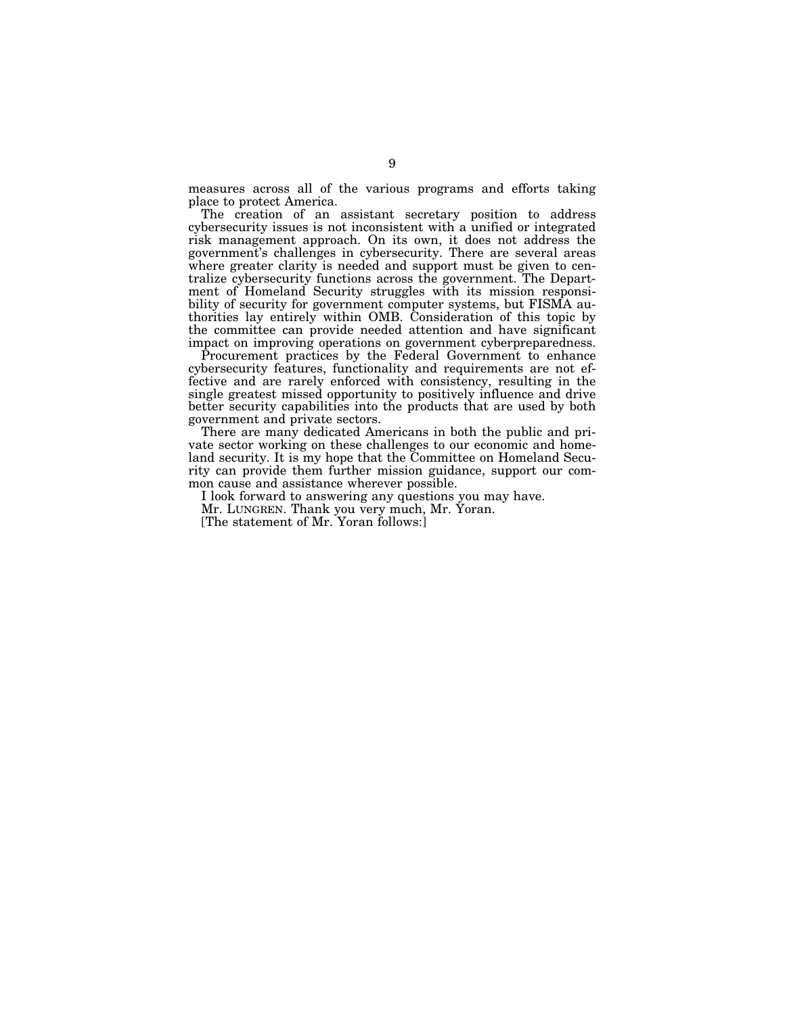measures across all of the various programs and efforts taking place to protect America.

The creation of an assistant secretary position to address cybersecurity issues is not inconsistent with a unified or integrated risk management approach. On its own, it does not address the government's challenges in cybersecurity. There are several areas where greater clarity is needed and support must be given to centralize cybersecurity functions across the government. The Department of Homeland Security struggles with its mission responsibility of security for government computer systems, but FISMA authorities lay entirely within OMB. Consideration of this topic by the committee can provide needed attention and have significant impact on improving operations on government cyberpreparedness.

Procurement practices by the Federal Government to enhance cybersecurity features, functionality and requirements are not effective and are rarely enforced with consistency, resulting in the single greatest missed opportunity to positively influence and drive better security capabilities into the products that are used by both government and private sectors.

There are many dedicated Americans in both the public and private sector working on these challenges to our economic and homeland security. It is my hope that the Committee on Homeland Security can provide them further mission guidance, support our common cause and assistance wherever possible.

I look forward to answering any questions you may have.

Mr. LUNGREN. Thank you very much, Mr. Yoran.

[The statement of Mr. Yoran follows:]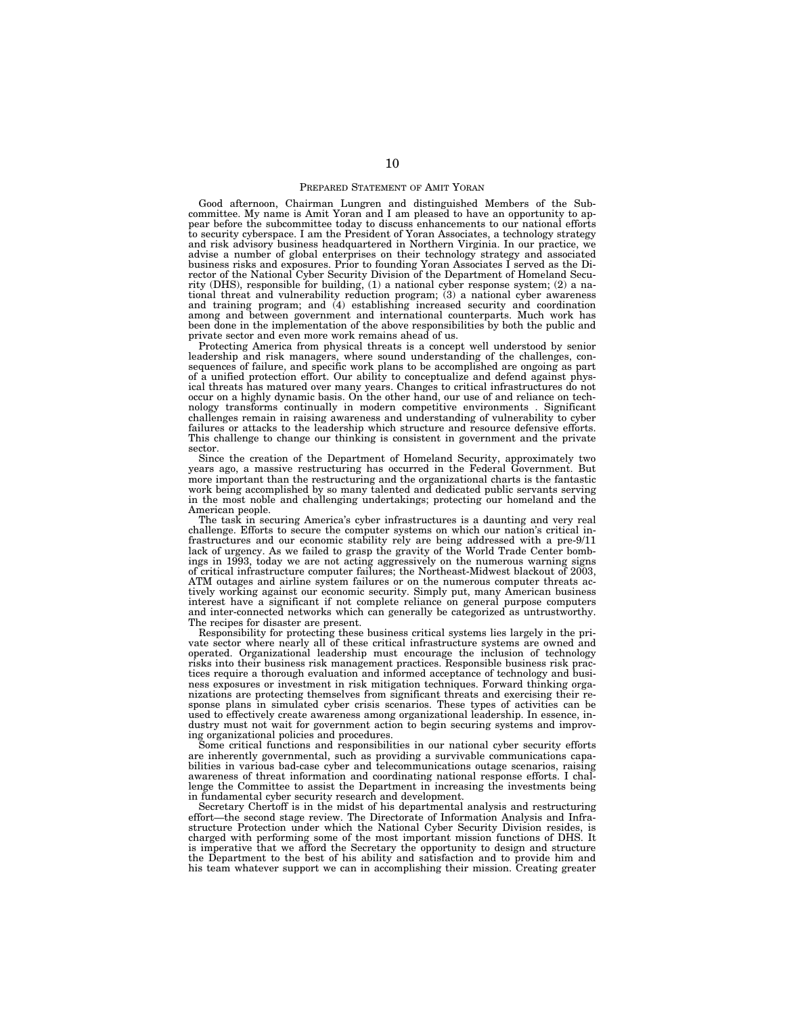## PREPARED STATEMENT OF AMIT YORAN

Good afternoon, Chairman Lungren and distinguished Members of the Sub-committee. My name is Amit Yoran and I am pleased to have an opportunity to appear before the subcommittee today to discuss enhancements to our national efforts to security cyberspace. I am the President of Yoran Associates, a technology strategy and risk advisory business headquartered in Northern Virginia. In our practice, we advise a number of global enterprises on their technology strategy and associated<br>business risks and exposures. Prior to founding Yoran Associates I served as the Di-<br>rector of the National Cyber Security Division of the D rity (DHS), responsible for building, (1) a national cyber response system; (2) a national threat and vulnerability reduction program; (3) a national cyber awareness and training program; and (4) establishing increased security and coordination among and between government and international counterparts. Much work has been done in the implementation of the above responsibilities by both the public and private sector and even more work remains ahead of us.

Protecting America from physical threats is a concept well understood by senior leadership and risk managers, where sound understanding of the challenges, consequences of failure, and specific work plans to be accomplished are ongoing as part of a unified protection effort. Our ability to conceptualize and defend against physical threats has matured over many years. Changes to critical infrastructures do not occur on a highly dynamic basis. On the other hand, our use of and reliance on technology transforms continually in modern competitive environments . Significant challenges remain in raising awareness and understanding of vulnerability to cyber failures or attacks to the leadership which structure and resource defensive efforts. This challenge to change our thinking is consistent in government and the private sector.

Since the creation of the Department of Homeland Security, approximately two years ago, a massive restructuring has occurred in the Federal Government. But more important than the restructuring and the organizational charts is the fantastic work being accomplished by so many talented and dedicated public servants serving in the most noble and challenging undertakings; protecting our homeland and the American people.

The task in securing America's cyber infrastructures is a daunting and very real challenge. Efforts to secure the computer systems on which our nation's critical infrastructures and our economic stability rely are being addressed with a pre-9/11 lack of urgency. As we failed to grasp the gravity of the World Trade Center bombings in 1993, today we are not acting aggressively on the numerous warning signs of critical infrastructure computer failures; the Northeast-Midwest blackout of 2003, ATM outages and airline system failures or on the numerous computer threats actively working against our economic security. Simply put, many American business interest have a significant if not complete reliance on general purpose computers and inter-connected networks which can generally be categorized as untrustworthy. The recipes for disaster are present.

Responsibility for protecting these business critical systems lies largely in the private sector where nearly all of these critical infrastructure systems are owned and operated. Organizational leadership must encourage the inclusion of technology risks into their business risk management practices. Responsible business risk practices require a thorough evaluation and informed acceptance of technology and business exposures or investment in risk mitigation techniques. Forward thinking organizations are protecting themselves from significant threats and exercising their response plans in simulated cyber crisis scenarios. These types of activities can be used to effectively create awareness among organizational leadership. In essence, industry must not wait for government action to begin securing systems and improving organizational policies and procedures.

Some critical functions and responsibilities in our national cyber security efforts are inherently governmental, such as providing a survivable communications capabilities in various bad-case cyber and telecommunications outage scenarios, raising awareness of threat information and coordinating national response efforts. I challenge the Committee to assist the Department in increasing the investments being in fundamental cyber security research and development.

Secretary Chertoff is in the midst of his departmental analysis and restructuring effort—the second stage review. The Directorate of Information Analysis and Infrastructure Protection under which the National Cyber Security Division resides, is charged with performing some of the most important mission functions of DHS. It is imperative that we afford the Secretary the opportunity to design and structure the Department to the best of his ability and satisfaction and to provide him and his team whatever support we can in accomplishing their mission. Creating greater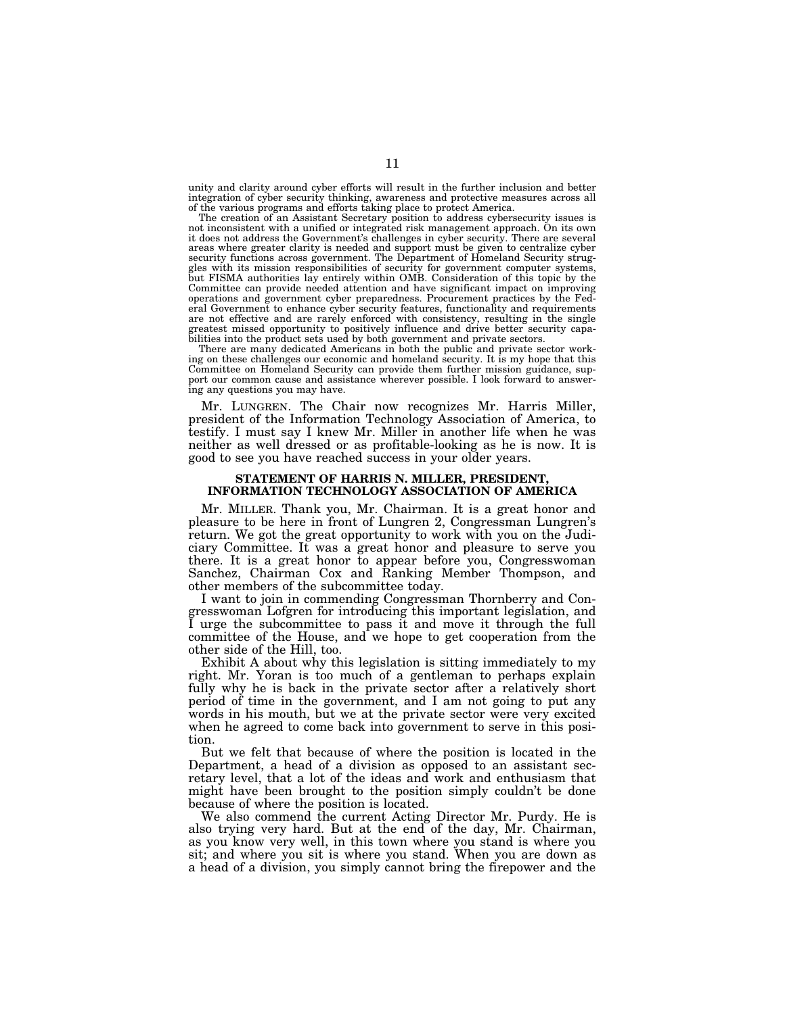unity and clarity around cyber efforts will result in the further inclusion and better integration of cyber security thinking, awareness and protective measures across all of the various programs and efforts taking place to protect America.

The creation of an Assistant Secretary position to address cybersecurity issues is not inconsistent with a unified or integrated risk management approach. On its own it does not address the Government's challenges in cyber security. There are several areas where greater clarity is needed and support must be given to centralize cyber security functions across government. The Department of Homeland Security struggles with its mission responsibilities of security for government computer systems, but FISMA authorities lay entirely within OMB. Consideration of this topic by the Committee can provide needed attention and have significant impact on improving operations and government cyber preparedness. Procurement practices by the Fed-eral Government to enhance cyber security features, functionality and requirements are not effective and are rarely enforced with consistency, resulting in the single<br>greatest missed opportunity to positively influence and drive better security capa-<br>bilities into the product sets used by both government

ing on these challenges our economic and homeland security. It is my hope that this Committee on Homeland Security can provide them further mission guidance, support our common cause and assistance wherever possible. I look forward to answering any questions you may have.

Mr. LUNGREN. The Chair now recognizes Mr. Harris Miller, president of the Information Technology Association of America, to testify. I must say I knew Mr. Miller in another life when he was neither as well dressed or as profitable-looking as he is now. It is good to see you have reached success in your older years.

## **STATEMENT OF HARRIS N. MILLER, PRESIDENT, INFORMATION TECHNOLOGY ASSOCIATION OF AMERICA**

Mr. MILLER. Thank you, Mr. Chairman. It is a great honor and pleasure to be here in front of Lungren 2, Congressman Lungren's return. We got the great opportunity to work with you on the Judiciary Committee. It was a great honor and pleasure to serve you there. It is a great honor to appear before you, Congresswoman Sanchez, Chairman Cox and Ranking Member Thompson, and other members of the subcommittee today.

I want to join in commending Congressman Thornberry and Congresswoman Lofgren for introducing this important legislation, and I urge the subcommittee to pass it and move it through the full committee of the House, and we hope to get cooperation from the other side of the Hill, too.

Exhibit A about why this legislation is sitting immediately to my right. Mr. Yoran is too much of a gentleman to perhaps explain fully why he is back in the private sector after a relatively short period of time in the government, and I am not going to put any words in his mouth, but we at the private sector were very excited when he agreed to come back into government to serve in this position.

But we felt that because of where the position is located in the Department, a head of a division as opposed to an assistant secretary level, that a lot of the ideas and work and enthusiasm that might have been brought to the position simply couldn't be done because of where the position is located.

We also commend the current Acting Director Mr. Purdy. He is also trying very hard. But at the end of the day, Mr. Chairman, as you know very well, in this town where you stand is where you sit; and where you sit is where you stand. When you are down as a head of a division, you simply cannot bring the firepower and the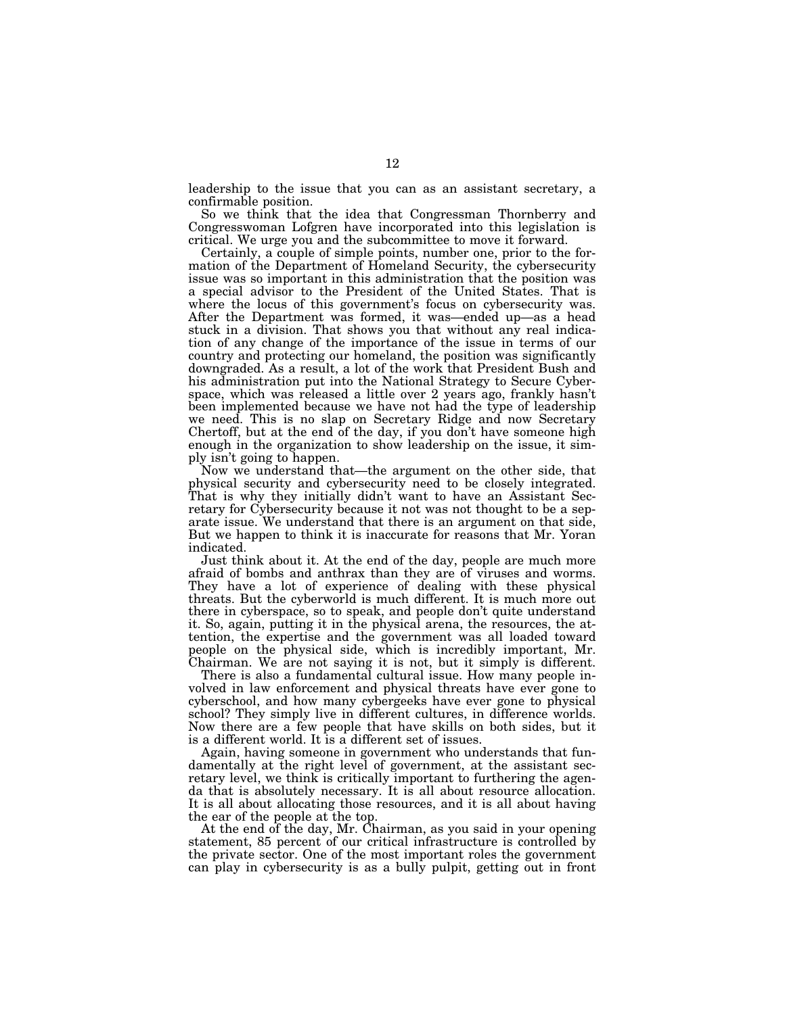leadership to the issue that you can as an assistant secretary, a confirmable position.

So we think that the idea that Congressman Thornberry and Congresswoman Lofgren have incorporated into this legislation is critical. We urge you and the subcommittee to move it forward.

Certainly, a couple of simple points, number one, prior to the formation of the Department of Homeland Security, the cybersecurity issue was so important in this administration that the position was a special advisor to the President of the United States. That is where the locus of this government's focus on cybersecurity was. After the Department was formed, it was—ended up—as a head stuck in a division. That shows you that without any real indication of any change of the importance of the issue in terms of our country and protecting our homeland, the position was significantly downgraded. As a result, a lot of the work that President Bush and his administration put into the National Strategy to Secure Cyberspace, which was released a little over 2 years ago, frankly hasn't been implemented because we have not had the type of leadership we need. This is no slap on Secretary Ridge and now Secretary Chertoff, but at the end of the day, if you don't have someone high enough in the organization to show leadership on the issue, it simply isn't going to happen.

Now we understand that—the argument on the other side, that physical security and cybersecurity need to be closely integrated. That is why they initially didn't want to have an Assistant Secretary for Cybersecurity because it not was not thought to be a separate issue. We understand that there is an argument on that side, But we happen to think it is inaccurate for reasons that Mr. Yoran indicated.

Just think about it. At the end of the day, people are much more afraid of bombs and anthrax than they are of viruses and worms. They have a lot of experience of dealing with these physical threats. But the cyberworld is much different. It is much more out there in cyberspace, so to speak, and people don't quite understand it. So, again, putting it in the physical arena, the resources, the attention, the expertise and the government was all loaded toward people on the physical side, which is incredibly important, Mr. Chairman. We are not saying it is not, but it simply is different.

There is also a fundamental cultural issue. How many people involved in law enforcement and physical threats have ever gone to cyberschool, and how many cybergeeks have ever gone to physical school? They simply live in different cultures, in difference worlds. Now there are a few people that have skills on both sides, but it is a different world. It is a different set of issues.

Again, having someone in government who understands that fundamentally at the right level of government, at the assistant secretary level, we think is critically important to furthering the agenda that is absolutely necessary. It is all about resource allocation. It is all about allocating those resources, and it is all about having the ear of the people at the top.

At the end of the day, Mr. Chairman, as you said in your opening statement, 85 percent of our critical infrastructure is controlled by the private sector. One of the most important roles the government can play in cybersecurity is as a bully pulpit, getting out in front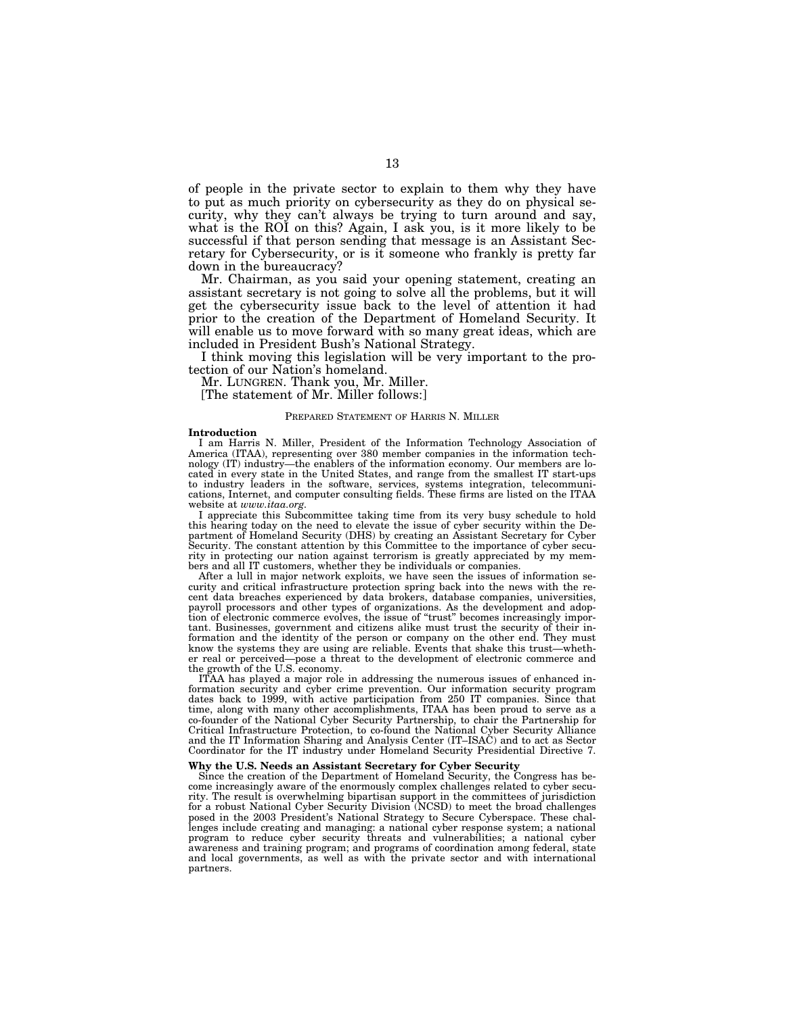of people in the private sector to explain to them why they have to put as much priority on cybersecurity as they do on physical security, why they can't always be trying to turn around and say, what is the ROI on this? Again, I ask you, is it more likely to be successful if that person sending that message is an Assistant Secretary for Cybersecurity, or is it someone who frankly is pretty far down in the bureaucracy?

Mr. Chairman, as you said your opening statement, creating an assistant secretary is not going to solve all the problems, but it will get the cybersecurity issue back to the level of attention it had prior to the creation of the Department of Homeland Security. It will enable us to move forward with so many great ideas, which are included in President Bush's National Strategy.

I think moving this legislation will be very important to the protection of our Nation's homeland.

Mr. LUNGREN. Thank you, Mr. Miller.

[The statement of Mr. Miller follows:]

### PREPARED STATEMENT OF HARRIS N. MILLER

#### **Introduction**

I am Harris N. Miller, President of the Information Technology Association of America (ITAA), representing over 380 member companies in the information technology (IT) industry—the enablers of the information economy. Our members are located in every state in the United States, and range from the smallest IT start-ups to industry leaders in the software, services, systems integration, telecommunications, Internet, and computer consulting fields. These firms are listed on the ITAA website at *www.itaa.org.*

I appreciate this Subcommittee taking time from its very busy schedule to hold this hearing today on the need to elevate the issue of cyber security within the Department of Homeland Security (DHS) by creating an Assistant Secretary for Cyber Security. The constant attention by this Committee to the importance of cyber security in protecting our nation against terrorism is greatly appreciated by my members and all IT customers, whether they be individuals or companies.

After a lull in major network exploits, we have seen the issues of information security and critical infrastructure protection spring back into the news with the recent data breaches experienced by data brokers, database companies, universities, payroll processors and other types of organizations. As the development and adoption of electronic commerce evolves, the issue of "trust" becomes increasingly important. Businesses, government and citizens alike must trust the security of their information and the identity of the person or company on the other end. They must know the systems they are using are reliable. Events that shake this trust—whether real or perceived—pose a threat to the development of electronic commerce and the growth of the U.S. economy.

ITAA has played a major role in addressing the numerous issues of enhanced information security and cyber crime prevention. Our information security program dates back to 1999, with active participation from 250 IT companies. Since that time, along with many other accomplishments, ITAA has been proud to serve as a co-founder of the National Cyber Security Partnership, to chair the Partnership for Critical Infrastructure Protection, to co-found the National Cyber Security Alliance and the IT Information Sharing and Analysis Center (IT–ISAC) and to act as Sector Coordinator for the IT industry under Homeland Security Presidential Directive 7.

#### **Why the U.S. Needs an Assistant Secretary for Cyber Security**

Since the creation of the Department of Homeland Security, the Congress has become increasingly aware of the enormously complex challenges related to cyber security. The result is overwhelming bipartisan support in the committees of jurisdiction for a robust National Cyber Security Division (NCSD) to meet the broad challenges posed in the 2003 President's National Strategy to Secure Cyberspace. These challenges include creating and managing: a national cyber response system; a national program to reduce cyber security threats and vulnerabilities; a national cyber awareness and training program; and programs of coordination among federal, state and local governments, as well as with the private sector and with international partners.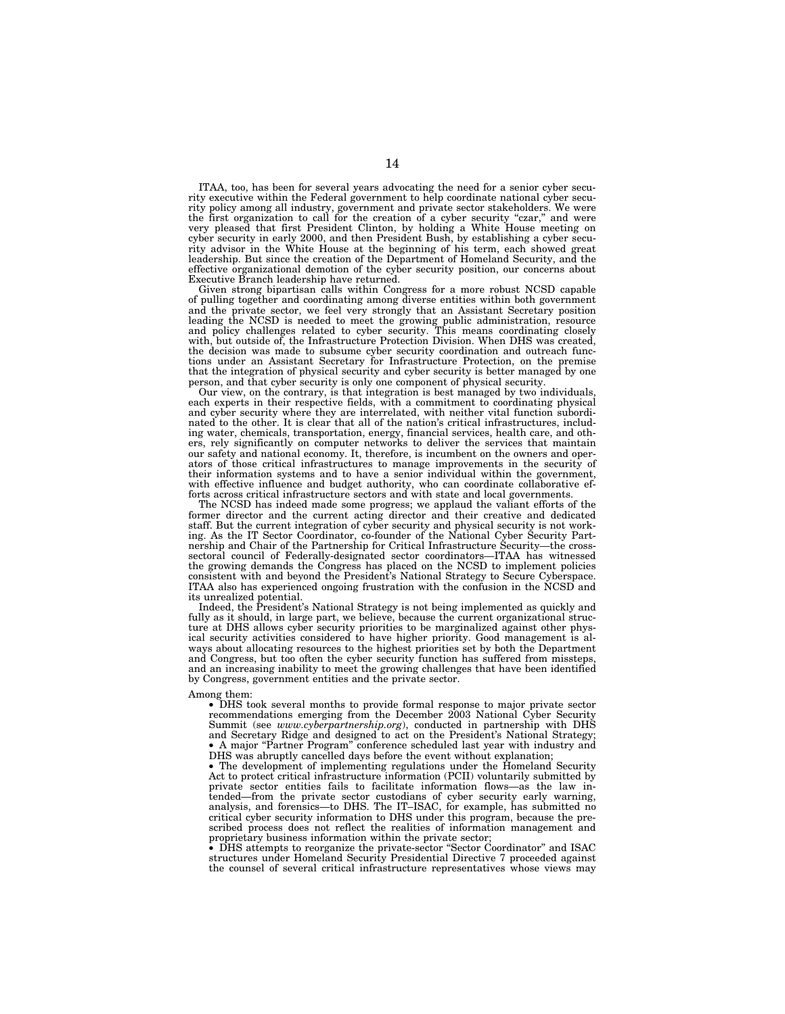ITAA, too, has been for several years advocating the need for a senior cyber security executive within the Federal government to help coordinate national cyber security policy among all industry, government and private sector stakeholders. We were the first organization to call for the creation of a cyber security "czar," and were very pleased that first President Clinton, by holding a White House meeting on cyber security in early 2000, and then President Bush, by establishing a cyber security advisor in the White House at the beginning of his term, each showed great leadership. But since the creation of the Department of Homeland Security, and the effective organizational demotion of the cyber security position, our concerns about Executive Branch leadership have returned.

Given strong bipartisan calls within Congress for a more robust NCSD capable of pulling together and coordinating among diverse entities within both government and the private sector, we feel very strongly that an Assistant Secretary position leading the NCSD is needed to meet the growing public administration, resource and policy challenges related to cyber security. This means coordinating closely with, but outside of, the Infrastructure Protection Division. When DHS was created, the decision was made to subsume cyber security coordination and outreach functions under an Assistant Secretary for Infrastructure Protection, on the premise that the integration of physical security and cyber security is better managed by one person, and that cyber security is only one component of physical security.

Our view, on the contrary, is that integration is best managed by two individuals, each experts in their respective fields, with a commitment to coordinating physical and cyber security where they are interrelated, with neither vital function subordinated to the other. It is clear that all of the nation's critical infrastructures, including water, chemicals, transportation, energy, financial services, health care, and others, rely significantly on computer networks to deliver the services that maintain our safety and national economy. It, therefore, is incumbent on the owners and operators of those critical infrastructures to manage improvements in the security of their information systems and to have a senior individual within the government, with effective influence and budget authority, who can coordinate collaborative efforts across critical infrastructure sectors and with state and local governments.

The NCSD has indeed made some progress; we applaud the valiant efforts of the former director and the current acting director and their creative and dedicated staff. But the current integration of cyber security and physical security is not working. As the IT Sector Coordinator, co-founder of the National Cyber Security Partnership and Chair of the Partnership for Critical Infrastructure Security—the crosssectoral council of Federally-designated sector coordinators—ITAA has witnessed the growing demands the Congress has placed on the NCSD to implement policies consistent with and beyond the President's National Strategy to Secure Cyberspace. ITAA also has experienced ongoing frustration with the confusion in the NCSD and its unrealized potential.

Indeed, the President's National Strategy is not being implemented as quickly and fully as it should, in large part, we believe, because the current organizational structure at DHS allows cyber security priorities to be marginalized against other physical security activities considered to have higher priority. Good management is always about allocating resources to the highest priorities set by both the Department and Congress, but too often the cyber security function has suffered from missteps, and an increasing inability to meet the growing challenges that have been identified by Congress, government entities and the private sector.

#### Among them:

• DHS took several months to provide formal response to major private sector recommendations emerging from the December 2003 National Cyber Security Summit (see *www.cyberpartnership.org*), conducted in partnership with DHS and Secretary Ridge and designed to act on the President's National Strategy; • A major "Partner Program" conference scheduled last year with industry and DHS was abruptly cancelled days before the event without explanation;

• The development of implementing regulations under the Homeland Security Act to protect critical infrastructure information (PCII) voluntarily submitted by private sector entities fails to facilitate information flows—as the law intended—from the private sector custodians of cyber security early warning, analysis, and forensics—to DHS. The IT–ISAC, for example, has submitted no critical cyber security information to DHS under this program, because the prescribed process does not reflect the realities of information management and proprietary business information within the private sector;

• DHS attempts to reorganize the private-sector ''Sector Coordinator'' and ISAC structures under Homeland Security Presidential Directive 7 proceeded against the counsel of several critical infrastructure representatives whose views may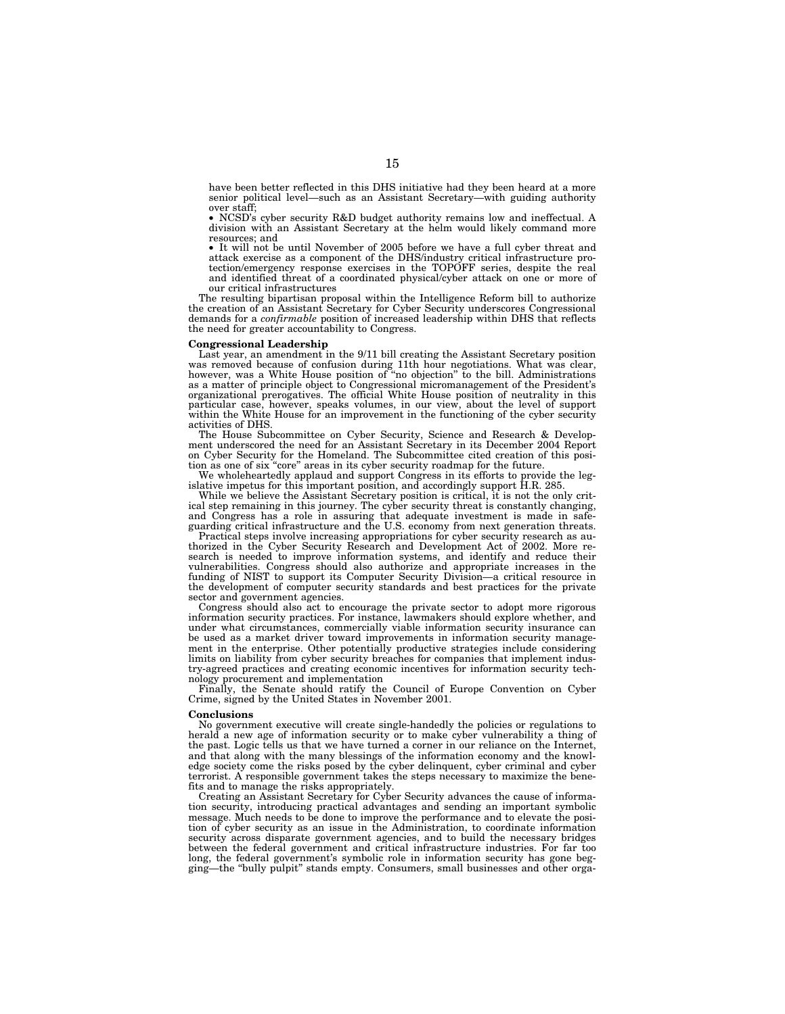have been better reflected in this DHS initiative had they been heard at a more senior political level—such as an Assistant Secretary—with guiding authority over staff;

• NCSD's cyber security R&D budget authority remains low and ineffectual. A division with an Assistant Secretary at the helm would likely command more resources; and

• It will not be until November of 2005 before we have a full cyber threat and attack exercise as a component of the DHS/industry critical infrastructure protection/emergency response exercises in the TOPOFF series, despit and identified threat of a coordinated physical/cyber attack on one or more of our critical infrastructures

The resulting bipartisan proposal within the Intelligence Reform bill to authorize the creation of an Assistant Secretary for Cyber Security underscores Congressional demands for a *confirmable* position of increased leadership within DHS that reflects the need for greater accountability to Congress.

#### **Congressional Leadership**

Last year, an amendment in the 9/11 bill creating the Assistant Secretary position was removed because of confusion during 11th hour negotiations. What was clear,<br>however, was a White House position of "no objection" to the bill. Administrations<br>as a matter of principle object to Congressional micromanag organizational prerogatives. The official White House position of neutrality in this particular case, however, speaks volumes, in our view, about the level of support within the White House for an improvement in the functioning of the cyber security activities of DHS.

The House Subcommittee on Cyber Security, Science and Research & Development underscored the need for an Assistant Secretary in its December 2004 Report on Cyber Security for the Homeland. The Subcommittee cited creation of this posi-tion as one of six ''core'' areas in its cyber security roadmap for the future.

We wholeheartedly applaud and support Congress in its efforts to provide the leg-islative impetus for this important position, and accordingly support H.R. 285.

While we believe the Assistant Secretary position is critical, it is not the only critical step remaining in this journey. The cyber security threat is constantly changing, and Congress has a role in assuring that adequate investment is made in safeguarding critical infrastructure and the U.S. economy from next generation threats.

Practical steps involve increasing appropriations for cyber security research as authorized in the Cyber Security Research and Development Act of 2002. More research is needed to improve information systems, and identify and reduce their vulnerabilities. Congress should also authorize and appropriate increases in the funding of NIST to support its Computer Security Division—a critical resource in the development of computer security standards and best practices for the private sector and government agencies.

Congress should also act to encourage the private sector to adopt more rigorous information security practices. For instance, lawmakers should explore whether, and under what circumstances, commercially viable information security insurance can be used as a market driver toward improvements in information security management in the enterprise. Other potentially productive strategies include considering limits on liability from cyber security breaches for companies that implement industry-agreed practices and creating economic incentives for information security technology procurement and implementation

Finally, the Senate should ratify the Council of Europe Convention on Cyber Crime, signed by the United States in November 2001.

#### **Conclusions**

No government executive will create single-handedly the policies or regulations to herald a new age of information security or to make cyber vulnerability a thing of the past. Logic tells us that we have turned a corner in our reliance on the Internet, and that along with the many blessings of the information economy and the knowledge society come the risks posed by the cyber delinquent, cyber criminal and cyber terrorist. A responsible government takes the steps necessary to maximize the benefits and to manage the risks appropriately.

Creating an Assistant Secretary for Cyber Security advances the cause of information security, introducing practical advantages and sending an important symbolic message. Much needs to be done to improve the performance and to elevate the position of cyber security as an issue in the Administration, to coordinate information security across disparate government agencies, and to build the necessary bridges between the federal government and critical infrastructure industries. For far too long, the federal government's symbolic role in information security has gone begging—the ''bully pulpit'' stands empty. Consumers, small businesses and other orga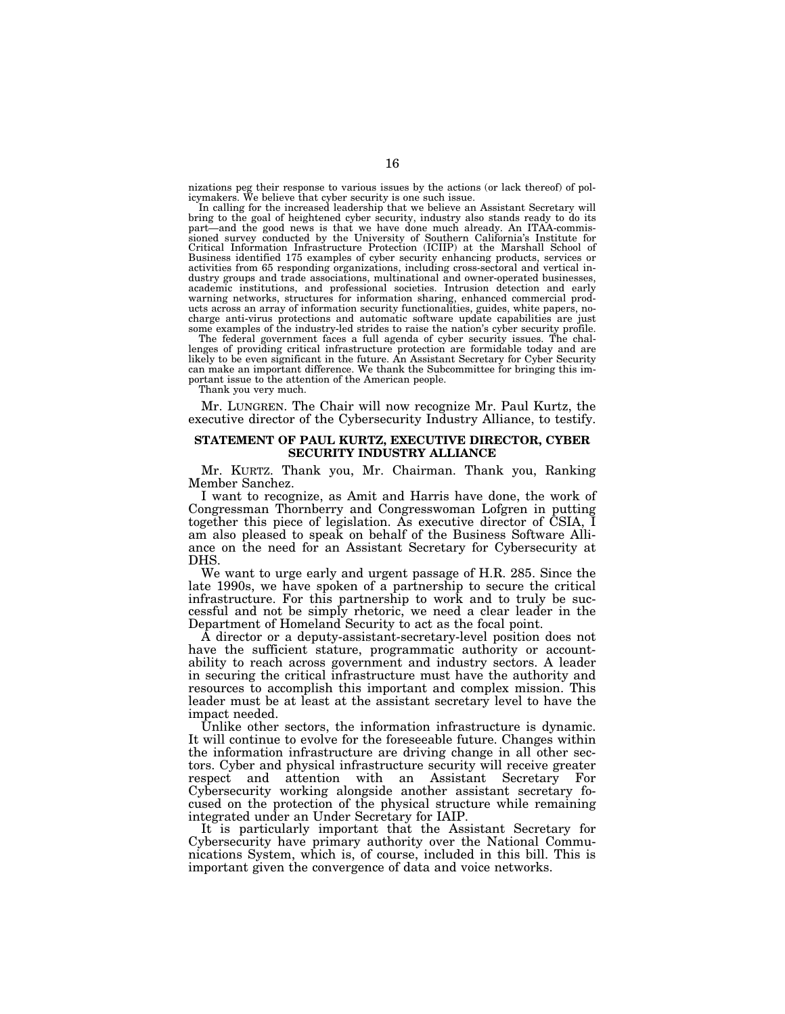nizations peg their response to various issues by the actions (or lack thereof) of pol-icymakers. We believe that cyber security is one such issue.

In calling for the increased leadership that we believe an Assistant Secretary will bring to the goal of heightened cyber security, industry also stands ready to do its part—and the good news is that we have done much already. An ITAA-commissioned survey conducted by the University of Southern California's Institute for<br>Critical Information Infrastructure Protection (ICIIP) at the Marshal Business identified 175 examples of cyber security enhancing products, services or activities from 65 responding organizations, including cross-sectoral and vertical industry groups and trade associations, multinational and owner-operated businesses, academic institutions, and professional societies. Intrusion detection and early warning networks, structures for information sharing, enhanced commercial prod-ucts across an array of information security functionalities, guides, white papers, nocharge anti-virus protections and automatic software update capabilities are just some examples of the industry-led strides to raise the nation's cyber security profile.

The federal government faces a full agenda of cyber security issues. The chal-lenges of providing critical infrastructure protection are formidable today and are likely to be even significant in the future. An Assistant Secretary for Cyber Security can make an important difference. We thank the Subcommittee for bringing this important issue to the attention of the American people.

Thank you very much.

Mr. LUNGREN. The Chair will now recognize Mr. Paul Kurtz, the executive director of the Cybersecurity Industry Alliance, to testify.

## **STATEMENT OF PAUL KURTZ, EXECUTIVE DIRECTOR, CYBER SECURITY INDUSTRY ALLIANCE**

Mr. KURTZ. Thank you, Mr. Chairman. Thank you, Ranking Member Sanchez.

I want to recognize, as Amit and Harris have done, the work of Congressman Thornberry and Congresswoman Lofgren in putting together this piece of legislation. As executive director of CSIA, I am also pleased to speak on behalf of the Business Software Alliance on the need for an Assistant Secretary for Cybersecurity at DHS.

We want to urge early and urgent passage of H.R. 285. Since the late 1990s, we have spoken of a partnership to secure the critical infrastructure. For this partnership to work and to truly be successful and not be simply rhetoric, we need a clear leader in the Department of Homeland Security to act as the focal point.

A director or a deputy-assistant-secretary-level position does not have the sufficient stature, programmatic authority or accountability to reach across government and industry sectors. A leader in securing the critical infrastructure must have the authority and resources to accomplish this important and complex mission. This leader must be at least at the assistant secretary level to have the impact needed.

Unlike other sectors, the information infrastructure is dynamic. It will continue to evolve for the foreseeable future. Changes within the information infrastructure are driving change in all other sectors. Cyber and physical infrastructure security will receive greater respect and attention with an Assistant Secretary For Cybersecurity working alongside another assistant secretary focused on the protection of the physical structure while remaining integrated under an Under Secretary for IAIP.

It is particularly important that the Assistant Secretary for Cybersecurity have primary authority over the National Communications System, which is, of course, included in this bill. This is important given the convergence of data and voice networks.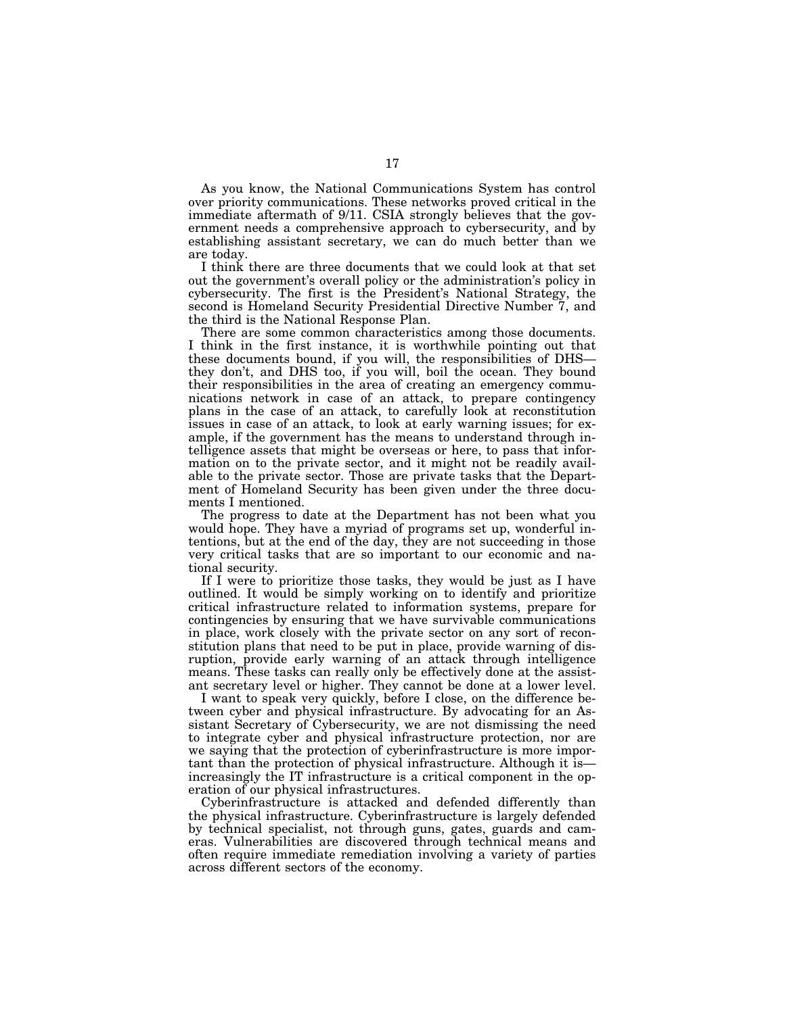As you know, the National Communications System has control over priority communications. These networks proved critical in the immediate aftermath of 9/11. CSIA strongly believes that the government needs a comprehensive approach to cybersecurity, and by establishing assistant secretary, we can do much better than we are today.

I think there are three documents that we could look at that set out the government's overall policy or the administration's policy in cybersecurity. The first is the President's National Strategy, the second is Homeland Security Presidential Directive Number 7, and the third is the National Response Plan.

There are some common characteristics among those documents. I think in the first instance, it is worthwhile pointing out that these documents bound, if you will, the responsibilities of DHS they don't, and DHS too, if you will, boil the ocean. They bound their responsibilities in the area of creating an emergency communications network in case of an attack, to prepare contingency plans in the case of an attack, to carefully look at reconstitution issues in case of an attack, to look at early warning issues; for example, if the government has the means to understand through intelligence assets that might be overseas or here, to pass that information on to the private sector, and it might not be readily available to the private sector. Those are private tasks that the Department of Homeland Security has been given under the three documents I mentioned.

The progress to date at the Department has not been what you would hope. They have a myriad of programs set up, wonderful intentions, but at the end of the day, they are not succeeding in those very critical tasks that are so important to our economic and national security.

If I were to prioritize those tasks, they would be just as I have outlined. It would be simply working on to identify and prioritize critical infrastructure related to information systems, prepare for contingencies by ensuring that we have survivable communications in place, work closely with the private sector on any sort of reconstitution plans that need to be put in place, provide warning of disruption, provide early warning of an attack through intelligence means. These tasks can really only be effectively done at the assistant secretary level or higher. They cannot be done at a lower level.

I want to speak very quickly, before I close, on the difference between cyber and physical infrastructure. By advocating for an Assistant Secretary of Cybersecurity, we are not dismissing the need to integrate cyber and physical infrastructure protection, nor are we saying that the protection of cyberinfrastructure is more important than the protection of physical infrastructure. Although it is increasingly the IT infrastructure is a critical component in the operation of our physical infrastructures.

Cyberinfrastructure is attacked and defended differently than the physical infrastructure. Cyberinfrastructure is largely defended by technical specialist, not through guns, gates, guards and cameras. Vulnerabilities are discovered through technical means and often require immediate remediation involving a variety of parties across different sectors of the economy.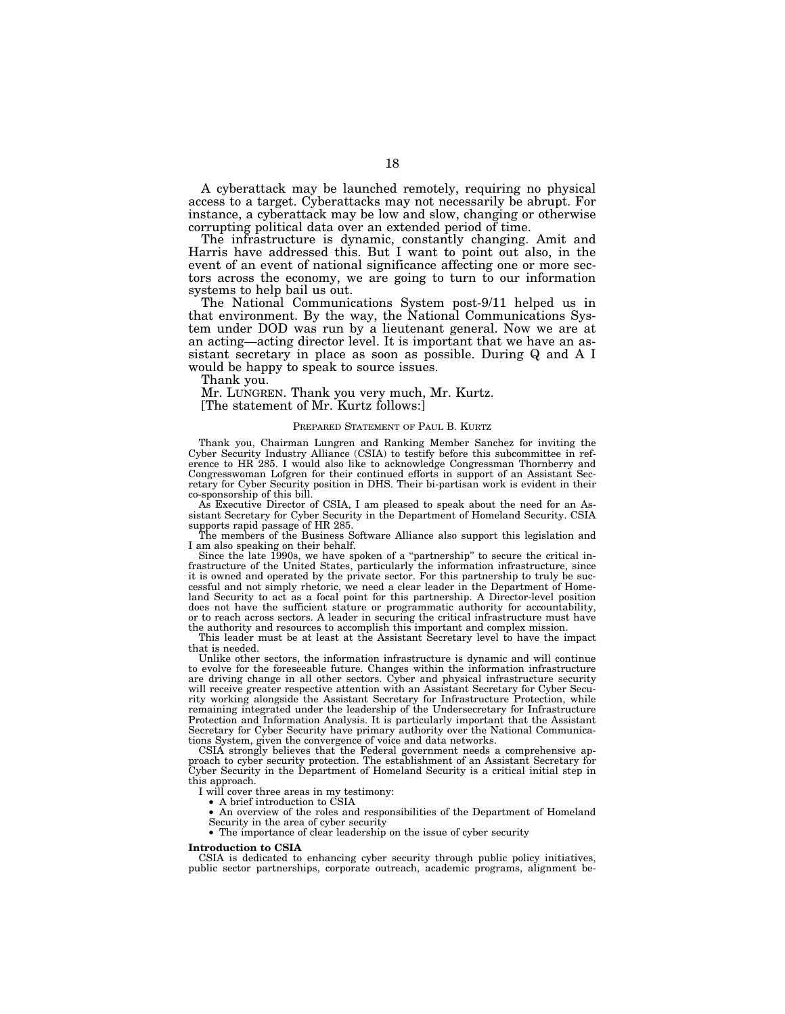A cyberattack may be launched remotely, requiring no physical access to a target. Cyberattacks may not necessarily be abrupt. For instance, a cyberattack may be low and slow, changing or otherwise corrupting political data over an extended period of time.

The infrastructure is dynamic, constantly changing. Amit and Harris have addressed this. But I want to point out also, in the event of an event of national significance affecting one or more sectors across the economy, we are going to turn to our information systems to help bail us out.

The National Communications System post-9/11 helped us in that environment. By the way, the National Communications System under DOD was run by a lieutenant general. Now we are at an acting—acting director level. It is important that we have an assistant secretary in place as soon as possible. During Q and A I would be happy to speak to source issues.

Thank you.

Mr. LUNGREN. Thank you very much, Mr. Kurtz. [The statement of Mr. Kurtz follows:]

## PREPARED STATEMENT OF PAUL B. KURTZ

Thank you, Chairman Lungren and Ranking Member Sanchez for inviting the Cyber Security Industry Alliance (CSIA) to testify before this subcommittee in reference to HR 285. I would also like to acknowledge Congressman Thornberry and Congresswoman Lofgren for their continued efforts in support of an Assistant Secretary for Cyber Security position in DHS. Their bi-partisan work is evident in their co-sponsorship of this bill.

As Executive Director of CSIA, I am pleased to speak about the need for an Assistant Secretary for Cyber Security in the Department of Homeland Security. CSIA supports rapid passage of HR 285.

The members of the Business Software Alliance also support this legislation and I am also speaking on their behalf.

Since the late 1990s, we have spoken of a ''partnership'' to secure the critical infrastructure of the United States, particularly the information infrastructure, since it is owned and operated by the private sector. For this partnership to truly be successful and not simply rhetoric, we need a clear leader in the Department of Homeland Security to act as a focal point for this partnership. A Director-level position does not have the sufficient stature or programmatic authority for accountability, or to reach across sectors. A leader in securing the critical infrastructure must have the authority and resources to accomplish this important and complex mission.

This leader must be at least at the Assistant Secretary level to have the impact that is needed.

Unlike other sectors, the information infrastructure is dynamic and will continue to evolve for the foreseeable future. Changes within the information infrastructure are driving change in all other sectors. Cyber and physical infrastructure security will receive greater respective attention with an Assistant Secretary for Cyber Security working alongside the Assistant Secretary for Infrastructure Protection, while remaining integrated under the leadership of the Undersecretary for Infrastructure Protection and Information Analysis. It is particularly important that the Assistant Secretary for Cyber Security have primary authority over the National Communications System, given the convergence of voice and data networks.

CSIA strongly believes that the Federal government needs a comprehensive approach to cyber security protection. The establishment of an Assistant Secretary for Cyber Security in the Department of Homeland Security is a critical initial step in this approach.

I will cover three areas in my testimony:

• A brief introduction to CSIA

• An overview of the roles and responsibilities of the Department of Homeland Security in the area of cyber security

• The importance of clear leadership on the issue of cyber security

#### **Introduction to CSIA**

CSIA is dedicated to enhancing cyber security through public policy initiatives, public sector partnerships, corporate outreach, academic programs, alignment be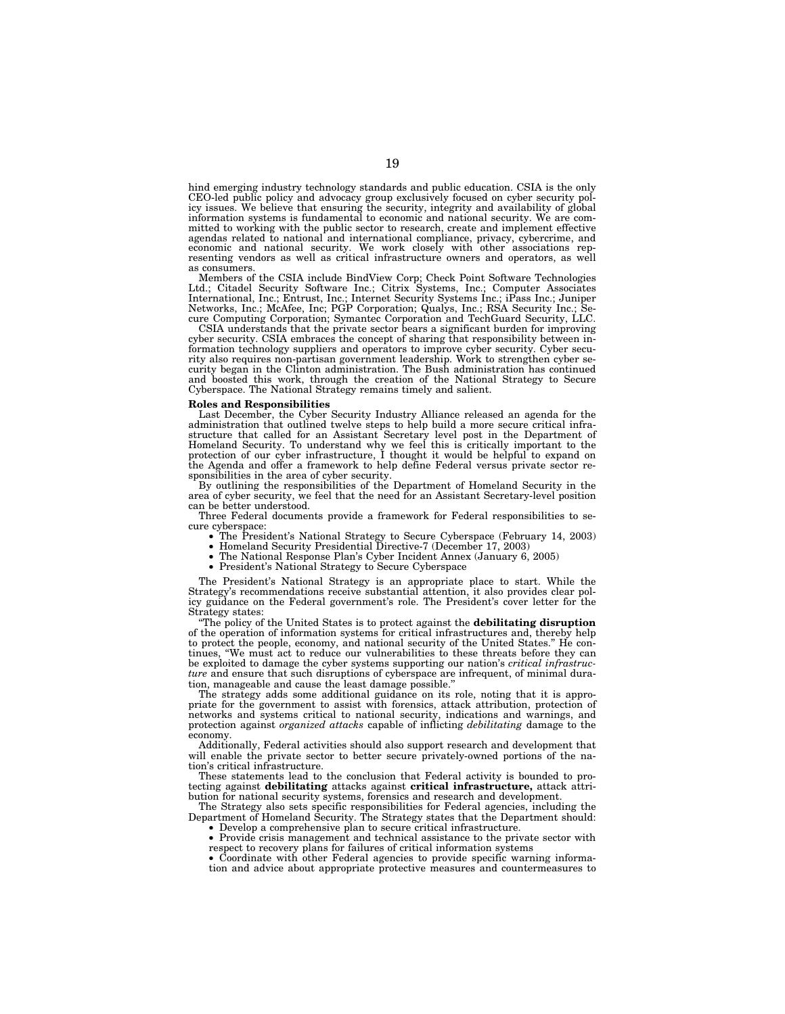hind emerging industry technology standards and public education. CSIA is the only CEO-led public policy and advocacy group exclusively focused on cyber security pol-icy issues. We believe that ensuring the security, integrity and availability of global information systems is fundamental to economic and national security. We are committed to working with the public sector to research, create and implement effective agendas related to national and international compliance, privacy, cybercrime, and economic and national security. We work closely with other associations representing vendors as well as critical infrastructure owners and operators, as well

as consumers.<br>Members of the CSIA include BindView Corp; Check Point Software Technologies<br>Ltd.; Citadel Security Software Inc.; Citrix Systems, Inc.; Computer Associates International, Inc.; Entrust, Inc.; Internet Security Systems Inc.; iPass Inc.; Juniper Networks, Inc.; McAfee, Inc; PGP Corporation; Qualys, Inc.; RSA Security Inc.; Secure Computing Corporation; Symantec Corporation and TechGuard Security, LLC. CSIA understands that the private sector bears a significant burden for improving

cyber security. CSIA embraces the concept of sharing that responsibility between information technology suppliers and operators to improve cyber security. Cyber security also requires non-partisan government leadership. Work to strengthen cyber se-curity began in the Clinton administration. The Bush administration has continued and boosted this work, through the creation of the National Strategy to Secure Cyberspace. The National Strategy remains timely and salient.

#### **Roles and Responsibilities**

Last December, the Cyber Security Industry Alliance released an agenda for the administration that outlined twelve steps to help build a more secure critical infrastructure that called for an Assistant Secretary level post in the Department of Homeland Security. To understand why we feel this is critically important to the protection of our cyber infrastructure, I thought it would be helpful to expand on the Agenda and offer a framework to help define Federal versus private sector re-

sponsibilities in the area of cyber security. By outlining the responsibilities of the Department of Homeland Security in the area of cyber security, we feel that the need for an Assistant Secretary-level position can be better understood.

Three Federal documents provide a framework for Federal responsibilities to se-

- The President's National Strategy to Secure Cyberspace (February 14, 2003)<br>• Homeland Security Presidential Directive-7 (December 17, 2003)<br>• The National Response Plan's Cyber Incident Annex (January 6, 2005)<br>• Presiden
- 
- 

The President's National Strategy is an appropriate place to start. While the Strategy's recommendations receive substantial attention, it also provides clear policy guidance on the Federal government's role. The President's cover letter for the Strategy states:

''The policy of the United States is to protect against the **debilitating disruption** of the operation of information systems for critical infrastructures and, thereby help to protect the people, economy, and national security of the United States.'' He continues, ''We must act to reduce our vulnerabilities to these threats before they can be exploited to damage the cyber systems supporting our nation's *critical infrastructure* and ensure that such disruptions of cyberspace are infrequent, of minimal duration, manageable and cause the least damage possible.''

The strategy adds some additional guidance on its role, noting that it is appropriate for the government to assist with forensics, attack attribution, protection of networks and systems critical to national security, indications and warnings, and protection against *organized attacks* capable of inflicting *debilitating* damage to the economy.

Additionally, Federal activities should also support research and development that will enable the private sector to better secure privately-owned portions of the nation's critical infrastructure.

These statements lead to the conclusion that Federal activity is bounded to protecting against **debilitating** attacks against **critical infrastructure,** attack attribution for national security systems, forensics and research and development.

The Strategy also sets specific responsibilities for Federal agencies, including the Department of Homeland Security. The Strategy states that the Department should: • Develop a comprehensive plan to secure critical infrastructure.

- Provide crisis management and technical assistance to the private sector with
- respect to recovery plans for failures of critical information systems Coordinate with other Federal agencies to provide specific warning informa-

tion and advice about appropriate protective measures and countermeasures to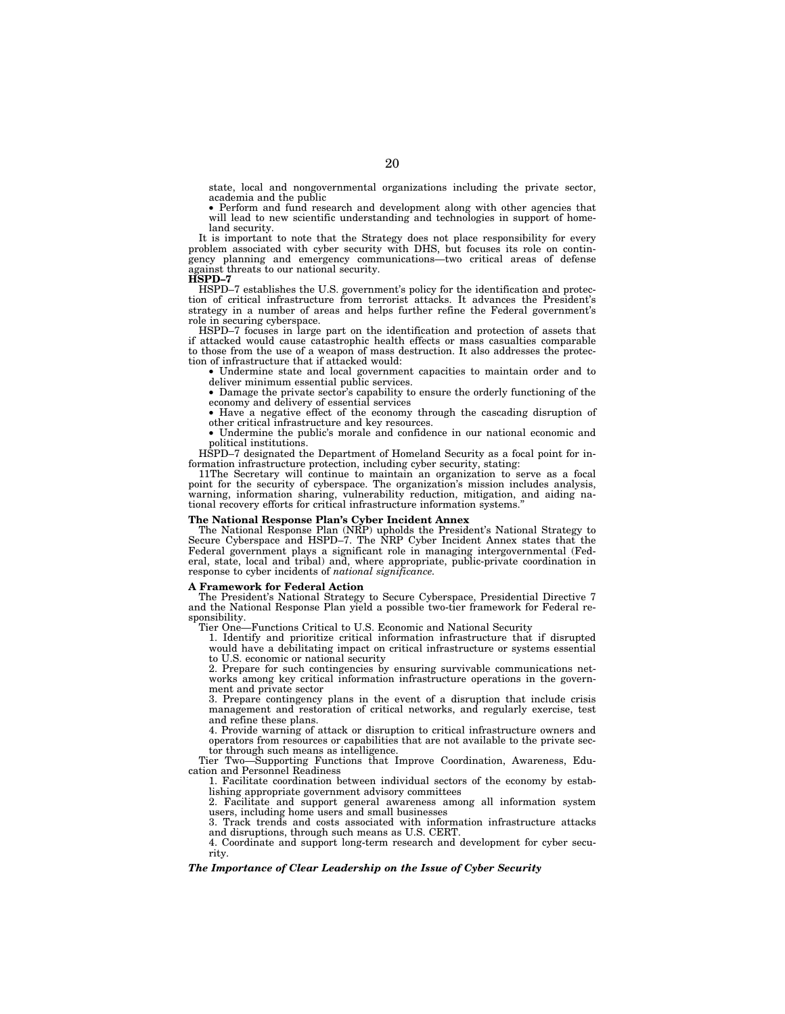state, local and nongovernmental organizations including the private sector, academia and the public

• Perform and fund research and development along with other agencies that will lead to new scientific understanding and technologies in support of homeland security.

It is important to note that the Strategy does not place responsibility for every problem associated with cyber security with DHS, but focuses its role on contingency planning and emergency communications—two critical areas of defense against threats to our national security. **HSPD–7**

HSPD–7 establishes the U.S. government's policy for the identification and protection of critical infrastructure from terrorist attacks. It advances the President's strategy in a number of areas and helps further refine the Federal government's role in securing cyberspace.

HSPD–7 focuses in large part on the identification and protection of assets that if attacked would cause catastrophic health effects or mass casualties comparable to those from the use of a weapon of mass destruction. It also addresses the protection of infrastructure that if attacked would:

• Undermine state and local government capacities to maintain order and to deliver minimum essential public services.

• Damage the private sector's capability to ensure the orderly functioning of the economy and delivery of essential services

• Have a negative effect of the economy through the cascading disruption of other critical infrastructure and key resources.

• Undermine the public's morale and confidence in our national economic and political institutions.

HSPD–7 designated the Department of Homeland Security as a focal point for information infrastructure protection, including cyber security, stating:

11The Secretary will continue to maintain an organization to serve as a focal point for the security of cyberspace. The organization's mission includes analysis, warning, information sharing, vulnerability reduction, mitigation, and aiding national recovery efforts for critical infrastructure information systems.''

## **The National Response Plan's Cyber Incident Annex**

The National Response Plan (NRP) upholds the President's National Strategy to Secure Cyberspace and HSPD–7. The NRP Cyber Incident Annex states that the Federal government plays a significant role in managing intergovernmental (Federal, state, local and tribal) and, where appropriate, public-private coordination in response to cyber incidents of *national significance.*

#### **A Framework for Federal Action**

The President's National Strategy to Secure Cyberspace, Presidential Directive 7 and the National Response Plan yield a possible two-tier framework for Federal responsibility.

Tier One—Functions Critical to U.S. Economic and National Security

1. Identify and prioritize critical information infrastructure that if disrupted would have a debilitating impact on critical infrastructure or systems essential to U.S. economic or national security

2. Prepare for such contingencies by ensuring survivable communications networks among key critical information infrastructure operations in the government and private sector

3. Prepare contingency plans in the event of a disruption that include crisis management and restoration of critical networks, and regularly exercise, test and refine these plans.

4. Provide warning of attack or disruption to critical infrastructure owners and operators from resources or capabilities that are not available to the private sector through such means as intelligence.

Tier Two—Supporting Functions that Improve Coordination, Awareness, Education and Personnel Readiness

1. Facilitate coordination between individual sectors of the economy by establishing appropriate government advisory committees

2. Facilitate and support general awareness among all information system users, including home users and small businesses

3. Track trends and costs associated with information infrastructure attacks and disruptions, through such means as U.S. CERT.

4. Coordinate and support long-term research and development for cyber security.

## *The Importance of Clear Leadership on the Issue of Cyber Security*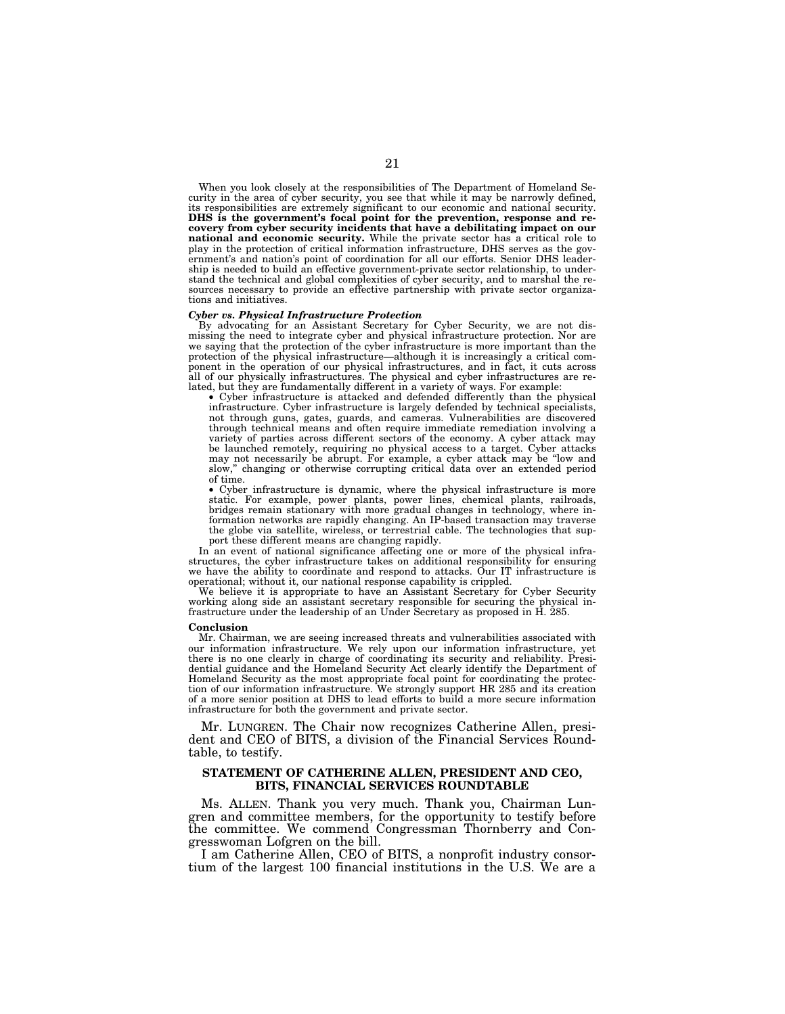When you look closely at the responsibilities of The Department of Homeland Security in the area of cyber security, you see that while it may be narrowly defined, its responsibilities are extremely significant to our economic and national security. **DHS is the government's focal point for the prevention, response and recovery from cyber security incidents that have a debilitating impact on our national and economic security.** While the private sector has a critical role to play in the protection of critical information infrastructure, DHS serves as the government's and nation's point of coordination for all our efforts. Senior DHS leadership is needed to build an effective government-private sector relationship, to understand the technical and global complexities of cyber security, and to marshal the resources necessary to provide an effective partnership with private sector organizations and initiatives.

## *Cyber vs. Physical Infrastructure Protection*

By advocating for an Assistant Secretary for Cyber Security, we are not dismissing the need to integrate cyber and physical infrastructure protection. Nor are we saying that the protection of the cyber infrastructure is more important than the protection of the physical infrastructure—although it is increasingly a critical component in the operation of our physical infrastructures, and in fact, it cuts across all of our physically infrastructures. The physical and cyber infrastructures are related, but they are fundamentally different in a variety of ways. For example:

• Cyber infrastructure is attacked and defended differently than the physical infrastructure. Cyber infrastructure is largely defended by technical specialists, not through guns, gates, guards, and cameras. Vulnerabilities are discovered through technical means and often require immediate remediation involving a variety of parties across different sectors of the economy. A cyber attack may be launched remotely, requiring no physical access to a target. Cyber attacks may not necessarily be abrupt. For example, a cyber attack may be ''low and slow,'' changing or otherwise corrupting critical data over an extended period of time.

• Cyber infrastructure is dynamic, where the physical infrastructure is more static. For example, power plants, power lines, chemical plants, railroads, bridges remain stationary with more gradual changes in technology, where information networks are rapidly changing. An IP-based transaction may traverse the globe via satellite, wireless, or terrestrial cable. The technologies that support these different means are changing rapidly.

In an event of national significance affecting one or more of the physical infrastructures, the cyber infrastructure takes on additional responsibility for ensuring we have the ability to coordinate and respond to attacks. Our IT infrastructure is operational; without it, our national response capability is crippled.

We believe it is appropriate to have an Assistant Secretary for Cyber Security working along side an assistant secretary responsible for securing the physical infrastructure under the leadership of an Under Secretary as proposed in H. 285.

#### **Conclusion**

Mr. Chairman, we are seeing increased threats and vulnerabilities associated with our information infrastructure. We rely upon our information infrastructure, yet there is no one clearly in charge of coordinating its security and reliability. Presidential guidance and the Homeland Security Act clearly identify the Department of Homeland Security as the most appropriate focal point for coordinating the protection of our information infrastructure. We strongly support HR 285 and its creation of a more senior position at DHS to lead efforts to build a more secure information infrastructure for both the government and private sector.

Mr. LUNGREN. The Chair now recognizes Catherine Allen, president and CEO of BITS, a division of the Financial Services Roundtable, to testify.

## **STATEMENT OF CATHERINE ALLEN, PRESIDENT AND CEO, BITS, FINANCIAL SERVICES ROUNDTABLE**

Ms. ALLEN. Thank you very much. Thank you, Chairman Lungren and committee members, for the opportunity to testify before the committee. We commend Congressman Thornberry and Congresswoman Lofgren on the bill.

I am Catherine Allen, CEO of BITS, a nonprofit industry consortium of the largest 100 financial institutions in the U.S. We are a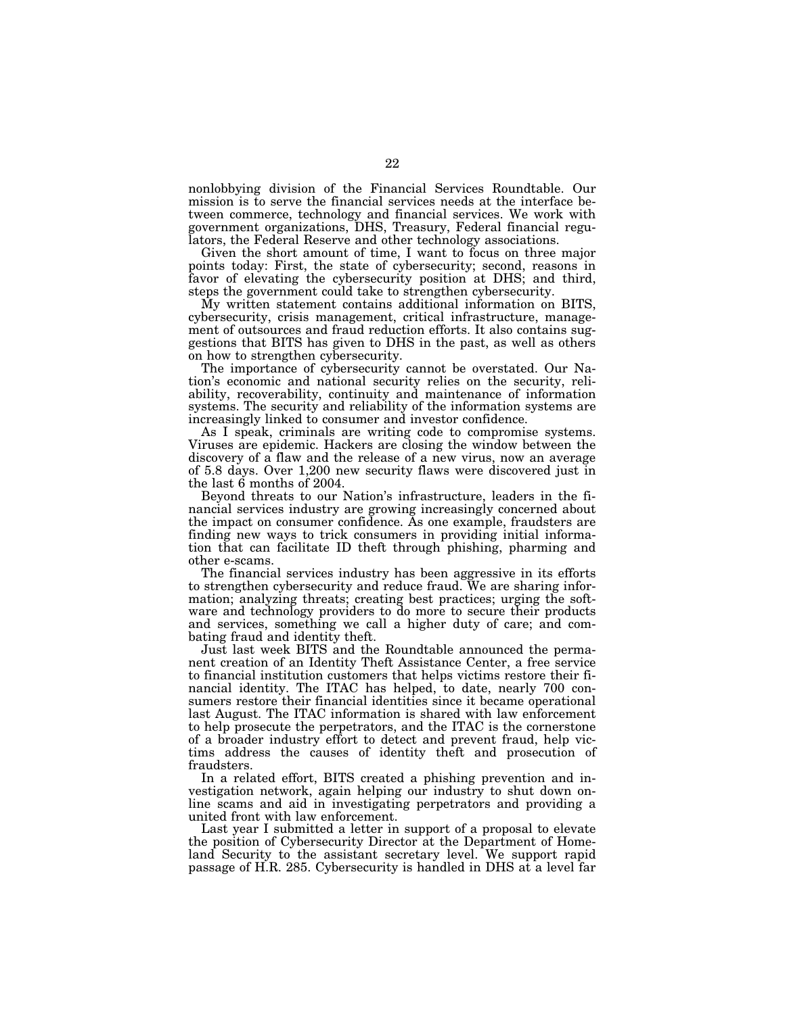nonlobbying division of the Financial Services Roundtable. Our mission is to serve the financial services needs at the interface between commerce, technology and financial services. We work with government organizations, DHS, Treasury, Federal financial regulators, the Federal Reserve and other technology associations.

Given the short amount of time, I want to focus on three major points today: First, the state of cybersecurity; second, reasons in favor of elevating the cybersecurity position at DHS; and third, steps the government could take to strengthen cybersecurity.

My written statement contains additional information on BITS, cybersecurity, crisis management, critical infrastructure, management of outsources and fraud reduction efforts. It also contains suggestions that BITS has given to DHS in the past, as well as others on how to strengthen cybersecurity.

The importance of cybersecurity cannot be overstated. Our Nation's economic and national security relies on the security, reliability, recoverability, continuity and maintenance of information systems. The security and reliability of the information systems are increasingly linked to consumer and investor confidence.

As I speak, criminals are writing code to compromise systems. Viruses are epidemic. Hackers are closing the window between the discovery of a flaw and the release of a new virus, now an average of 5.8 days. Over 1,200 new security flaws were discovered just in the last 6 months of 2004.

Beyond threats to our Nation's infrastructure, leaders in the financial services industry are growing increasingly concerned about the impact on consumer confidence. As one example, fraudsters are finding new ways to trick consumers in providing initial information that can facilitate ID theft through phishing, pharming and other e-scams.

The financial services industry has been aggressive in its efforts to strengthen cybersecurity and reduce fraud. We are sharing information; analyzing threats; creating best practices; urging the software and technology providers to do more to secure their products and services, something we call a higher duty of care; and combating fraud and identity theft.

Just last week BITS and the Roundtable announced the permanent creation of an Identity Theft Assistance Center, a free service to financial institution customers that helps victims restore their financial identity. The ITAC has helped, to date, nearly 700 consumers restore their financial identities since it became operational last August. The ITAC information is shared with law enforcement to help prosecute the perpetrators, and the ITAC is the cornerstone of a broader industry effort to detect and prevent fraud, help victims address the causes of identity theft and prosecution of fraudsters.

In a related effort, BITS created a phishing prevention and investigation network, again helping our industry to shut down online scams and aid in investigating perpetrators and providing a united front with law enforcement.

Last year I submitted a letter in support of a proposal to elevate the position of Cybersecurity Director at the Department of Homeland Security to the assistant secretary level. We support rapid passage of H.R. 285. Cybersecurity is handled in DHS at a level far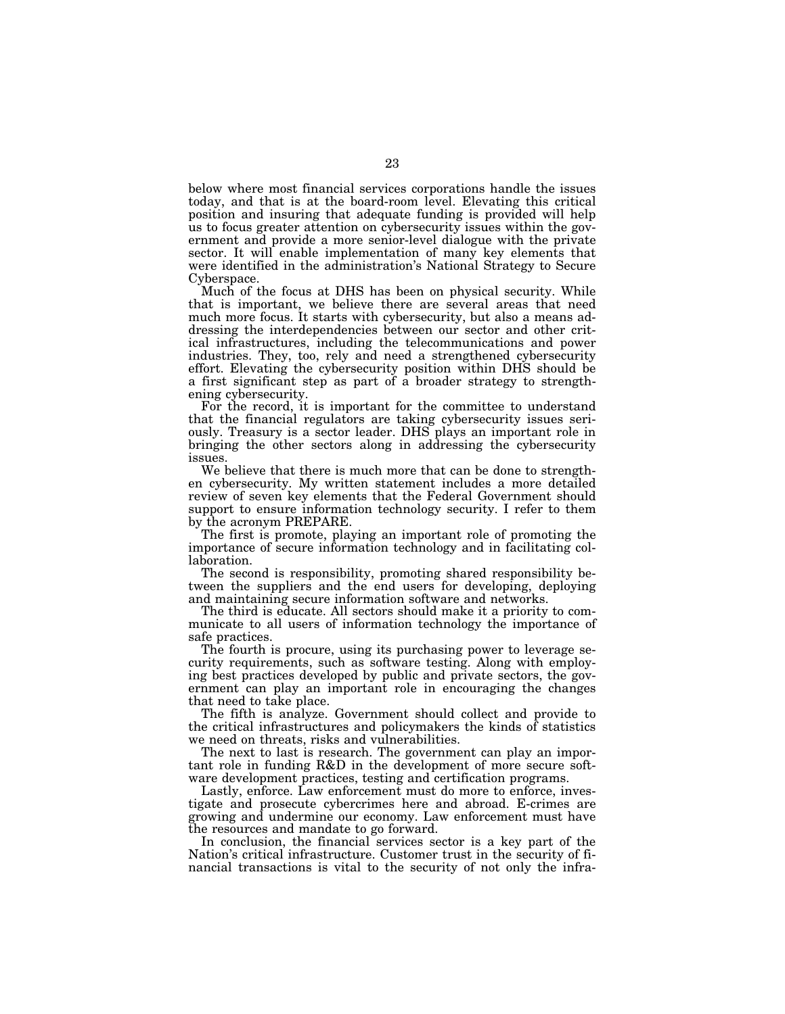below where most financial services corporations handle the issues today, and that is at the board-room level. Elevating this critical position and insuring that adequate funding is provided will help us to focus greater attention on cybersecurity issues within the government and provide a more senior-level dialogue with the private sector. It will enable implementation of many key elements that were identified in the administration's National Strategy to Secure Cyberspace.

Much of the focus at DHS has been on physical security. While that is important, we believe there are several areas that need much more focus. It starts with cybersecurity, but also a means addressing the interdependencies between our sector and other critical infrastructures, including the telecommunications and power industries. They, too, rely and need a strengthened cybersecurity effort. Elevating the cybersecurity position within DHS should be a first significant step as part of a broader strategy to strengthening cybersecurity.

For the record, it is important for the committee to understand that the financial regulators are taking cybersecurity issues seriously. Treasury is a sector leader. DHS plays an important role in bringing the other sectors along in addressing the cybersecurity issues.

We believe that there is much more that can be done to strengthen cybersecurity. My written statement includes a more detailed review of seven key elements that the Federal Government should support to ensure information technology security. I refer to them by the acronym PREPARE.

The first is promote, playing an important role of promoting the importance of secure information technology and in facilitating collaboration.

The second is responsibility, promoting shared responsibility between the suppliers and the end users for developing, deploying and maintaining secure information software and networks.

The third is educate. All sectors should make it a priority to communicate to all users of information technology the importance of safe practices.

The fourth is procure, using its purchasing power to leverage security requirements, such as software testing. Along with employing best practices developed by public and private sectors, the government can play an important role in encouraging the changes that need to take place.

The fifth is analyze. Government should collect and provide to the critical infrastructures and policymakers the kinds of statistics we need on threats, risks and vulnerabilities.

The next to last is research. The government can play an important role in funding R&D in the development of more secure software development practices, testing and certification programs.

Lastly, enforce. Law enforcement must do more to enforce, investigate and prosecute cybercrimes here and abroad. E-crimes are growing and undermine our economy. Law enforcement must have the resources and mandate to go forward.

In conclusion, the financial services sector is a key part of the Nation's critical infrastructure. Customer trust in the security of financial transactions is vital to the security of not only the infra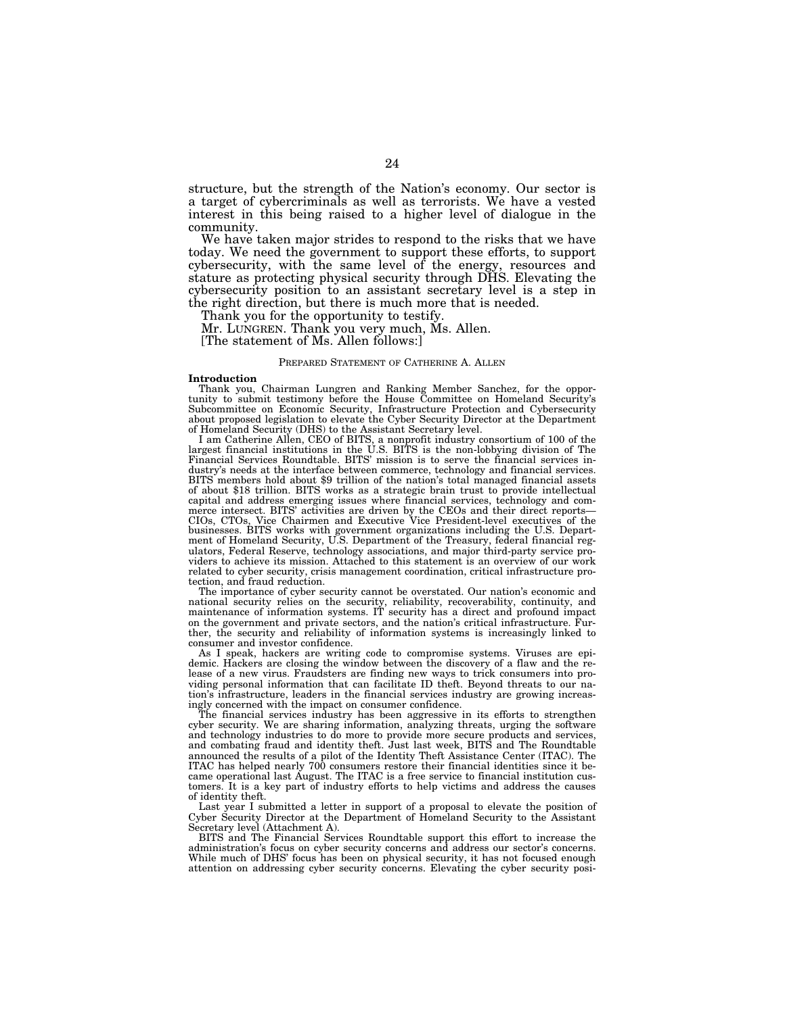structure, but the strength of the Nation's economy. Our sector is a target of cybercriminals as well as terrorists. We have a vested interest in this being raised to a higher level of dialogue in the community.

We have taken major strides to respond to the risks that we have today. We need the government to support these efforts, to support cybersecurity, with the same level of the energy, resources and stature as protecting physical security through DHS. Elevating the cybersecurity position to an assistant secretary level is a step in the right direction, but there is much more that is needed.

Thank you for the opportunity to testify.

Mr. LUNGREN. Thank you very much, Ms. Allen.

[The statement of Ms. Allen follows:]

#### PREPARED STATEMENT OF CATHERINE A. ALLEN

#### **Introduction**

Thank you, Chairman Lungren and Ranking Member Sanchez, for the oppor-tunity to submit testimony before the House Committee on Homeland Security's Subcommittee on Economic Security, Infrastructure Protection and Cybersecurity about proposed legislation to elevate the Cyber Security Director at the Department of Homeland Security (DHS) to the Assistant Secretary level.

I am Catherine Allen, CEO of BITS, a nonprofit industry consortium of 100 of the largest financial institutions in the U.S. BITS is the non-lobbying division of The Financial Services Roundtable. BITS' mission is to serve dustry's needs at the interface between commerce, technology and financial services. BITS members hold about \$9 trillion of the nation's total managed financial assets of about \$18 trillion. BITS works as a strategic brain trust to provide intellectual capital and address emerging issues where financial services, technology and commerce intersect. BITS' activities are driven by the CEOs and their direct reports—<br>CIOs, CTOs, Vice Chairmen and Executive Vice President-leve businesses. BITS works with government organizations including the U.S. Department of Homeland Security, U.S. Department of the Treasury, federal financial regulators, Federal Reserve, technology associations, and major third-party service providers to achieve its mission. Attached to this statement is an overview of our work related to cyber security, crisis management coordination, critical infrastructure protection, and fraud reduction.

The importance of cyber security cannot be overstated. Our nation's economic and national security relies on the security, reliability, recoverability, continuity, and maintenance of information systems. IT security has a direct and profound impact on the government and private sectors, and the nation's critical infrastructure. Further, the security and reliability of information systems is increasingly linked to consumer and investor confidence.

As I speak, hackers are writing code to compromise systems. Viruses are epidemic. Hackers are closing the window between the discovery of a flaw and the release of a new virus. Fraudsters are finding new ways to trick consumers into providing personal information that can facilitate ID theft. Beyond threats to our nation's infrastructure, leaders in the financial services industry are growing increasingly concerned with the impact on consumer confidence.

The financial services industry has been aggressive in its efforts to strengthen cyber security. We are sharing information, analyzing threats, urging the software and technology industries to do more to provide more secure products and services, and combating fraud and identity theft. Just last week, BITS and The Roundtable announced the results of a pilot of the Identity Theft Assistance Center (ITAC). The ITAC has helped nearly 700 consumers restore their financial identities since it became operational last August. The ITAC is a free service to financial institution customers. It is a key part of industry efforts to help victims and address the causes of identity theft.

Last year I submitted a letter in support of a proposal to elevate the position of Cyber Security Director at the Department of Homeland Security to the Assistant Secretary level (Attachment A).

BITS and The Financial Services Roundtable support this effort to increase the administration's focus on cyber security concerns and address our sector's concerns. While much of DHS' focus has been on physical security, it has not focused enough attention on addressing cyber security concerns. Elevating the cyber security posi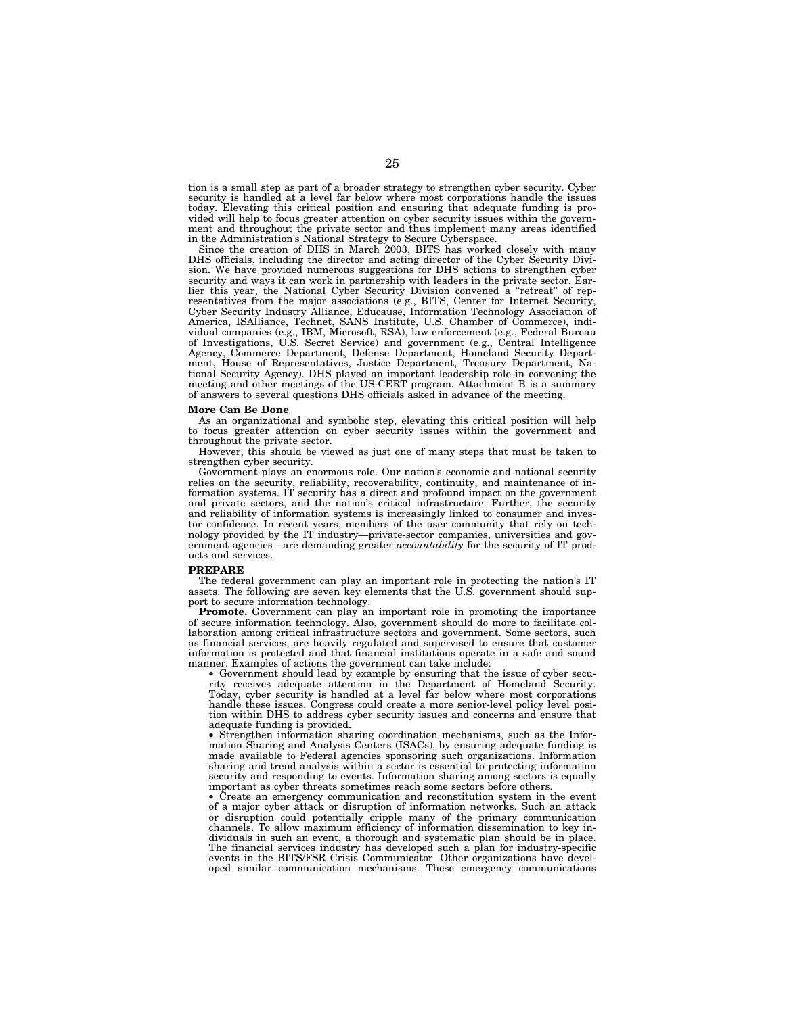tion is a small step as part of a broader strategy to strengthen cyber security. Cyber security is handled at a level far below where most corporations handle the issues today. Elevating this critical position and ensuring that adequate funding is provided will help to focus greater attention on cyber security issues within the government and throughout the private sector and thus implement many areas identified in the Administration's National Strategy to Secure Cyberspace.

Since the creation of DHS in March 2003, BITS has worked closely with many DHS officials, including the director and acting director of the Cyber Security Division. We have provided numerous suggestions for DHS actions to strengthen cyber security and ways it can work in partnership with leaders in the private sector. Earlier this year, the National Cyber Security Division convened a ''retreat'' of representatives from the major associations (e.g., BITS, Center for Internet Security, Cyber Security Industry Alliance, Educause, Information Technology Association of America, ISAlliance, Technet, SANS Institute, U.S. Chamber of Commerce), individual companies (e.g., IBM, Microsoft, RSA), law enforcement (e.g., Federal Bureau of Investigations, U.S. Secret Service) and government (e.g., Central Intelligence Agency, Commerce Department, Defense Department, Homeland Security Department, House of Representatives, Justice Department, Treasury Department, National Security Agency). DHS played an important leadership role in convening the meeting and other meetings of the US-CERT program. Attachment B is a summary of answers to several questions DHS officials asked in advance of the meeting.

## **More Can Be Done**

As an organizational and symbolic step, elevating this critical position will help to focus greater attention on cyber security issues within the government and throughout the private sector.

However, this should be viewed as just one of many steps that must be taken to strengthen cyber security.

Government plays an enormous role. Our nation's economic and national security relies on the security, reliability, recoverability, continuity, and maintenance of information systems. IT security has a direct and profound impact on the government and private sectors, and the nation's critical infrastructure. Further, the security and reliability of information systems is increasingly linked to consumer and investor confidence. In recent years, members of the user community that rely on technology provided by the IT industry—private-sector companies, universities and government agencies—are demanding greater *accountability* for the security of IT products and services.

#### **PREPARE**

The federal government can play an important role in protecting the nation's IT assets. The following are seven key elements that the U.S. government should support to secure information technology.

**Promote.** Government can play an important role in promoting the importance of secure information technology. Also, government should do more to facilitate collaboration among critical infrastructure sectors and government. Some sectors, such as financial services, are heavily regulated and supervised to ensure that customer information is protected and that financial institutions operate in a safe and sound manner. Examples of actions the government can take include:

• Government should lead by example by ensuring that the issue of cyber security receives adequate attention in the Department of Homeland Security. Today, cyber security is handled at a level far below where most corporations handle these issues. Congress could create a more senior-level policy level position within DHS to address cyber security issues and concerns and ensure that adequate funding is provided.

• Strengthen information sharing coordination mechanisms, such as the Information Sharing and Analysis Centers (ISACs), by ensuring adequate funding is made available to Federal agencies sponsoring such organizations. Information sharing and trend analysis within a sector is essential to protecting information security and responding to events. Information sharing among sectors is equally important as cyber threats sometimes reach some sectors before others.

• Create an emergency communication and reconstitution system in the event of a major cyber attack or disruption of information networks. Such an attack or disruption could potentially cripple many of the primary communication channels. To allow maximum efficiency of information dissemination to key individuals in such an event, a thorough and systematic plan should be in place. The financial services industry has developed such a plan for industry-specific events in the BITS/FSR Crisis Communicator. Other organizations have developed similar communication mechanisms. These emergency communications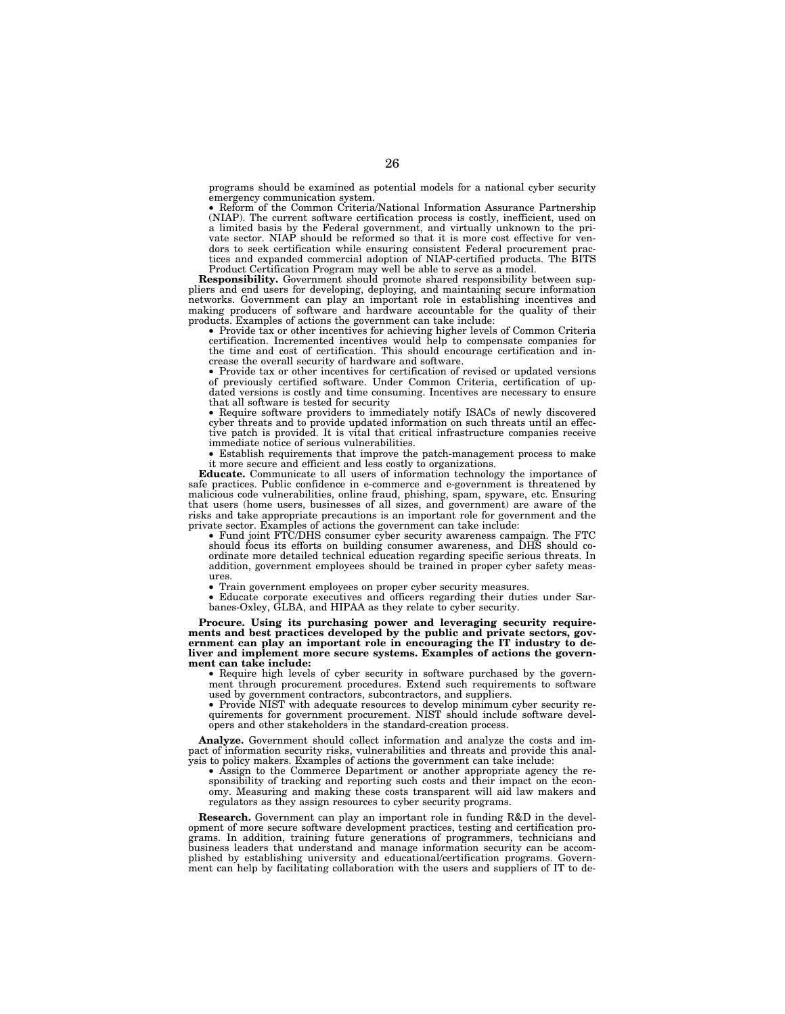programs should be examined as potential models for a national cyber security emergency communication system.

• Reform of the Common Criteria/National Information Assurance Partnership (NIAP). The current software certification process is costly, inefficient, used on a limited basis by the Federal government, and virtually unknown to the private sector. NIAP should be reformed so that it is more cost effective for vendors to seek certification while ensuring consistent Federal procurement practices and expanded commercial adoption of NIAP-certified products. The BITS Product Certification Program may well be able to serve as a model.

**Responsibility.** Government should promote shared responsibility between suppliers and end users for developing, deploying, and maintaining secure information networks. Government can play an important role in establishing incentives and making producers of software and hardware accountable for the quality of their products. Examples of actions the government can take include:

• Provide tax or other incentives for achieving higher levels of Common Criteria certification. Incremented incentives would help to compensate companies for the time and cost of certification. This should encourage certification and increase the overall security of hardware and software.

• Provide tax or other incentives for certification of revised or updated versions of previously certified software. Under Common Criteria, certification of updated versions is costly and time consuming. Incentives are necessary to ensure that all software is tested for security

• Require software providers to immediately notify ISACs of newly discovered cyber threats and to provide updated information on such threats until an effective patch is provided. It is vital that critical infrastructure companies receive immediate notice of serious vulnerabilities.

• Establish requirements that improve the patch-management process to make it more secure and efficient and less costly to organizations.

**Educate.** Communicate to all users of information technology the importance of safe practices. Public confidence in e-commerce and e-government is threatened by malicious code vulnerabilities, online fraud, phishing, spam, spyware, etc. Ensuring that users (home users, businesses of all sizes, and government) are aware of the risks and take appropriate precautions is an important role for government and the private sector. Examples of actions the government can take include:

• Fund joint FTC/DHS consumer cyber security awareness campaign. The FTC should focus its efforts on building consumer awareness, and DHS should coordinate more detailed technical education regarding specific serious threats. In addition, government employees should be trained in proper cyber safety measures.

• Train government employees on proper cyber security measures.<br>• Educate corporate executives and officers regarding their duti.

• Educate corporate executives and officers regarding their duties under Sarbanes-Oxley, GLBA, and HIPAA as they relate to cyber security.

**Procure. Using its purchasing power and leveraging security requirements and best practices developed by the public and private sectors, gov**ernment can play an important role in encouraging the IT industry to de**liver and implement more secure systems. Examples of actions the government can take include:** 

• Require high levels of cyber security in software purchased by the government through procurement procedures. Extend such requirements to software used by government contractors, subcontractors, and suppliers.

• Provide NIST with adequate resources to develop minimum cyber security requirements for government procurement. NIST should include software developers and other stakeholders in the standard-creation process.

**Analyze.** Government should collect information and analyze the costs and impact of information security risks, vulnerabilities and threats and provide this analysis to policy makers. Examples of actions the government can take include:

• Assign to the Commerce Department or another appropriate agency the responsibility of tracking and reporting such costs and their impact on the economy. Measuring and making these costs transparent will aid law makers and regulators as they assign resources to cyber security programs.

**Research.** Government can play an important role in funding R&D in the development of more secure software development practices, testing and certification programs. In addition, training future generations of programmers, technicians and business leaders that understand and manage information security can be accomplished by establishing university and educational/certification programs. Government can help by facilitating collaboration with the users and suppliers of IT to de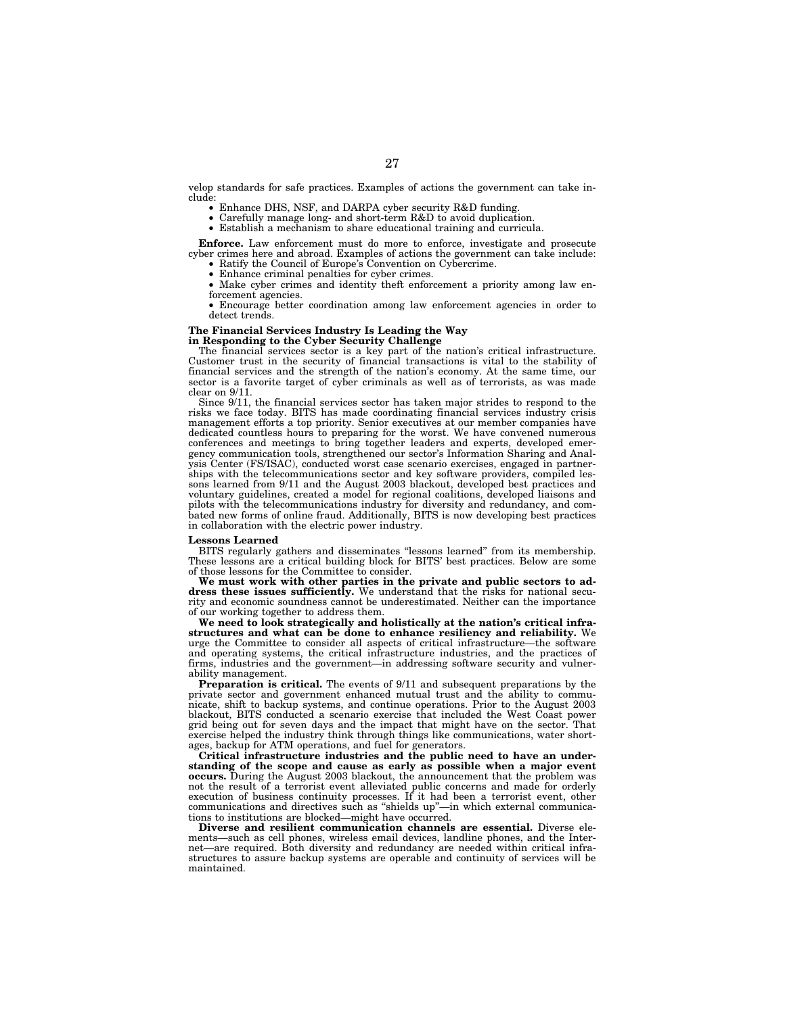velop standards for safe practices. Examples of actions the government can take include:

- Enhance DHS, NSF, and DARPA cyber security R&D funding.
- Carefully manage long- and short-term R&D to avoid duplication.<br>• Establish a mechanism to share educational training and curricu
	- Establish a mechanism to share educational training and curricula.

**Enforce.** Law enforcement must do more to enforce, investigate and prosecute cyber crimes here and abroad. Examples of actions the government can take include:

- Ratify the Council of Europe's Convention on Cybercrime.<br>• Enhance criminal penalties for cyber crimes Enhance criminal penalties for cyber crimes.
- Make cyber crimes and identity theft enforcement a priority among law enforcement agencies.

• Encourage better coordination among law enforcement agencies in order to detect trends.

## **The Financial Services Industry Is Leading the Way**

#### **in Responding to the Cyber Security Challenge**

The financial services sector is a key part of the nation's critical infrastructure. Customer trust in the security of financial transactions is vital to the stability of financial services and the strength of the nation's economy. At the same time, our sector is a favorite target of cyber criminals as well as of terrorists, as was made clear on 9/11.

Since 9/11, the financial services sector has taken major strides to respond to the risks we face today. BITS has made coordinating financial services industry crisis management efforts a top priority. Senior executives at our member companies have dedicated countless hours to preparing for the worst. We have convened numerous conferences and meetings to bring together leaders and experts, developed emergency communication tools, strengthened our sector's Information Sharing and Analysis Center (FS/ISAC), conducted worst case scenario exercises, engaged in partnerships with the telecommunications sector and key software providers, compiled lessons learned from 9/11 and the August 2003 blackout, developed best practices and voluntary guidelines, created a model for regional coalitions, developed liaisons and pilots with the telecommunications industry for diversity and redundancy, and combated new forms of online fraud. Additionally, BITS is now developing best practices in collaboration with the electric power industry.

#### **Lessons Learned**

BITS regularly gathers and disseminates ''lessons learned'' from its membership. These lessons are a critical building block for BITS' best practices. Below are some of those lessons for the Committee to consider.

**We must work with other parties in the private and public sectors to address these issues sufficiently.** We understand that the risks for national security and economic soundness cannot be underestimated. Neither can the importance of our working together to address them.

We need to look strategically and holistically at the nation's critical infra**structures and what can be done to enhance resiliency and reliability.** We urge the Committee to consider all aspects of critical infrastructure—the software and operating systems, the critical infrastructure industries, and the practices of firms, industries and the government—in addressing software security and vulnerability management.

**Preparation is critical.** The events of 9/11 and subsequent preparations by the private sector and government enhanced mutual trust and the ability to communicate, shift to backup systems, and continue operations. Prior to the August 2003 blackout, BITS conducted a scenario exercise that included the West Coast power grid being out for seven days and the impact that might have on the sector. That exercise helped the industry think through things like communications, water shortages, backup for ATM operations, and fuel for generators.

**Critical infrastructure industries and the public need to have an understanding of the scope and cause as early as possible when a major event occurs.** During the August 2003 blackout, the announcement that the problem was not the result of a terrorist event alleviated public concerns and made for orderly execution of business continuity processes. If it had been a terrorist event, other communications and directives such as "shields up"—in which external communications to institutions are blocked—might have occurred.

**Diverse and resilient communication channels are essential.** Diverse elements—such as cell phones, wireless email devices, landline phones, and the Internet—are required. Both diversity and redundancy are needed within critical infrastructures to assure backup systems are operable and continuity of services will be maintained.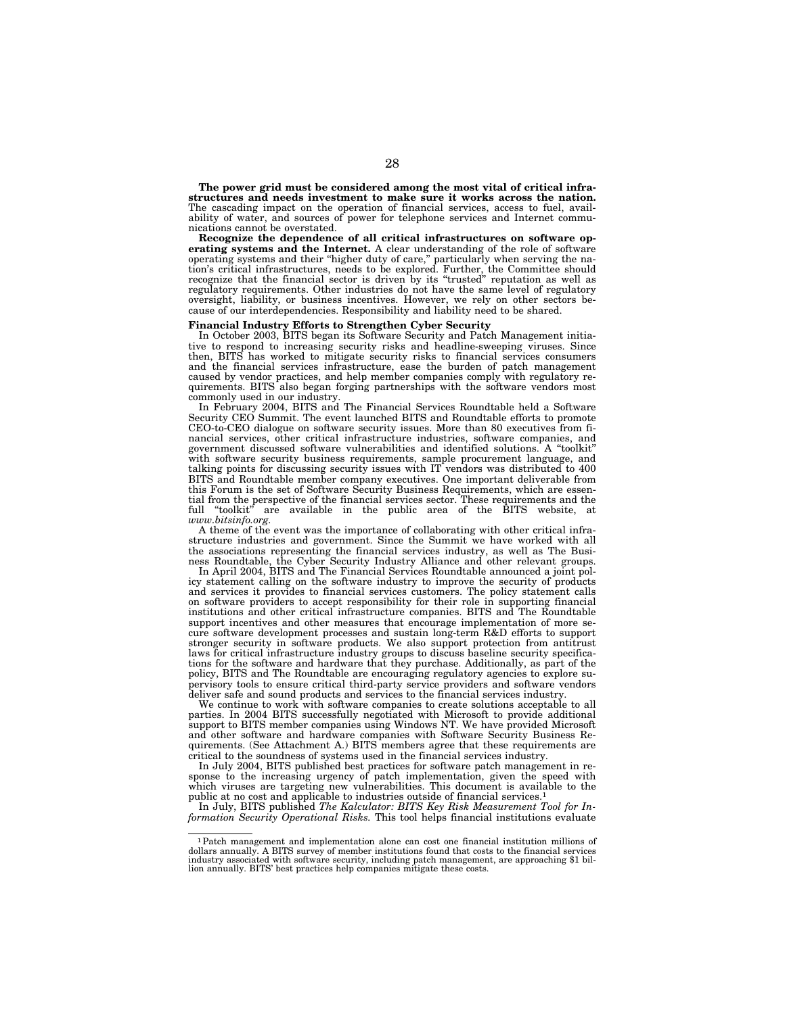**The power grid must be considered among the most vital of critical infrastructures and needs investment to make sure it works across the nation.** The cascading impact on the operation of financial services, access to fuel, availability of water, and sources of power for telephone services and Internet communications cannot be overstated.

**Recognize the dependence of all critical infrastructures on software operating systems and the Internet.** A clear understanding of the role of software operating systems and their "higher duty of care," particularly when serving the nation's critical infrastructures, needs to be explored. Further, the Committee should recognize that the financial sector is driven by its "trusted" reputation as well as regulatory requirements. Other industries do not have the same level of regulatory oversight, liability, or business incentives. However, we rely on other sectors because of our interdependencies. Responsibility and liability need to be shared.

#### **Financial Industry Efforts to Strengthen Cyber Security**

In October 2003, BITS began its Software Security and Patch Management initiative to respond to increasing security risks and headline-sweeping viruses. Since then, BITS has worked to mitigate security risks to financial services consumers and the financial services infrastructure, ease the burden of patch management caused by vendor practices, and help member companies comply with regulatory requirements. BITS also began forging partnerships with the software vendors most commonly used in our industry.

In February 2004, BITS and The Financial Services Roundtable held a Software Security CEO Summit. The event launched BITS and Roundtable efforts to promote CEO-to-CEO dialogue on software security issues. More than 80 executives from financial services, other critical infrastructure industries, software companies, and government discussed software vulnerabilities and identified solutions. A ''toolkit'' with software security business requirements, sample procurement language, and talking points for discussing security issues with IT vendors was distributed to 400 BITS and Roundtable member company executives. One important deliverable from this Forum is the set of Software Security Business Requirements, which are essential from the perspective of the financial services sector. These requirements and the full "toolkit" are available in the public area of the BITS website, at *www.bitsinfo.org.*

A theme of the event was the importance of collaborating with other critical infrastructure industries and government. Since the Summit we have worked with all the associations representing the financial services industry, as well as The Business Roundtable, the Cyber Security Industry Alliance and other relevant groups.

In April 2004, BITS and The Financial Services Roundtable announced a joint policy statement calling on the software industry to improve the security of products and services it provides to financial services customers. The policy statement calls on software providers to accept responsibility for their role in supporting financial institutions and other critical infrastructure companies. BITS and The Roundtable support incentives and other measures that encourage implementation of more secure software development processes and sustain long-term R&D efforts to support stronger security in software products. We also support protection from antitrust laws for critical infrastructure industry groups to discuss baseline security specifications for the software and hardware that they purchase. Additionally, as part of the policy, BITS and The Roundtable are encouraging regulatory agencies to explore supervisory tools to ensure critical third-party service providers and software vendors deliver safe and sound products and services to the financial services industry.

We continue to work with software companies to create solutions acceptable to all parties. In 2004 BITS successfully negotiated with Microsoft to provide additional support to BITS member companies using Windows NT. We have provided Microsoft and other software and hardware companies with Software Security Business Requirements. (See Attachment A.) BITS members agree that these requirements are critical to the soundness of systems used in the financial services industry.

In July 2004, BITS published best practices for software patch management in response to the increasing urgency of patch implementation, given the speed with which viruses are targeting new vulnerabilities. This document is available to the public at no cost and applicable to industries outside of financial services.<sup>1</sup>

In July, BITS published *The Kalculator: BITS Key Risk Measurement Tool for Information Security Operational Risks.* This tool helps financial institutions evaluate

<sup>1</sup>Patch management and implementation alone can cost one financial institution millions of dollars annually. A BITS survey of member institutions found that costs to the financial services industry associated with software security, including patch management, are approaching \$1 bil-lion annually. BITS' best practices help companies mitigate these costs.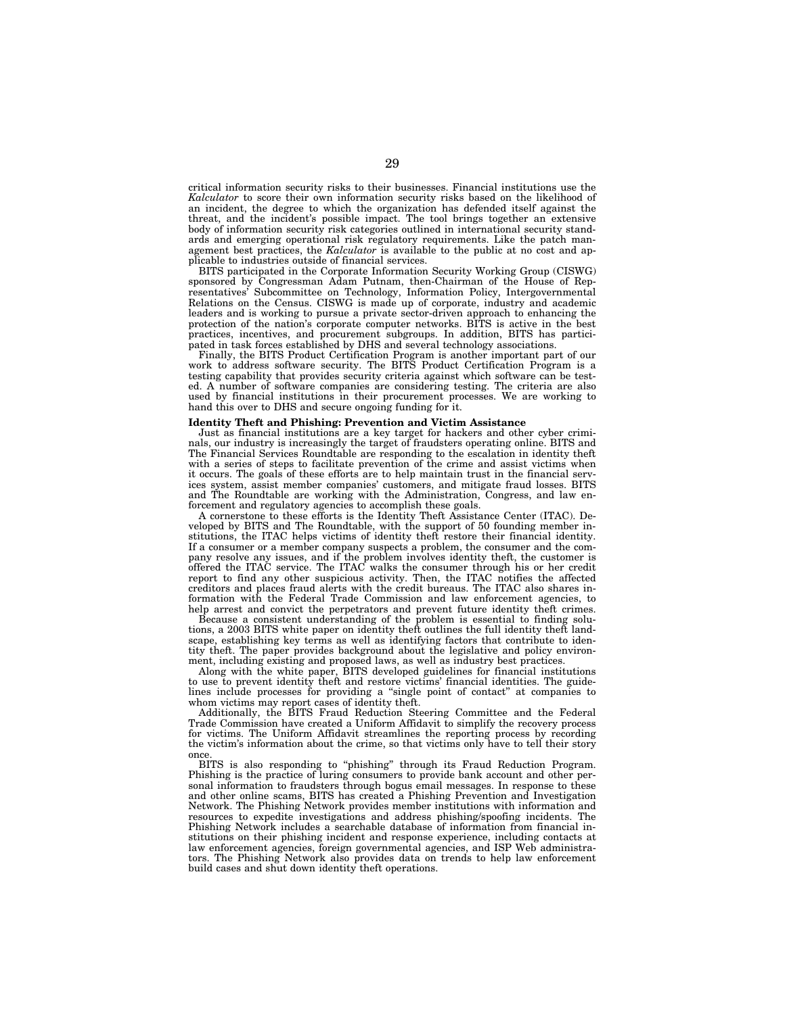critical information security risks to their businesses. Financial institutions use the *Kalculator* to score their own information security risks based on the likelihood of an incident, the degree to which the organization has defended itself against the threat, and the incident's possible impact. The tool brings together an extensive body of information security risk categories outlined in international security standards and emerging operational risk regulatory requirements. Like the patch management best practices, the *Kalculator* is available to the public at no cost and applicable to industries outside of financial services.

BITS participated in the Corporate Information Security Working Group (CISWG) sponsored by Congressman Adam Putnam, then-Chairman of the House of Representatives' Subcommittee on Technology, Information Policy, Intergovernmental Relations on the Census. CISWG is made up of corporate, industry and academic leaders and is working to pursue a private sector-driven approach to enhancing the protection of the nation's corporate computer networks. BITS is active in the best practices, incentives, and procurement subgroups. In addition, BITS has participated in task forces established by DHS and several technology associations.

Finally, the BITS Product Certification Program is another important part of our work to address software security. The BITS Product Certification Program is a testing capability that provides security criteria against which software can be tested. A number of software companies are considering testing. The criteria are also used by financial institutions in their procurement processes. We are working to hand this over to DHS and secure ongoing funding for it.

## **Identity Theft and Phishing: Prevention and Victim Assistance**

Just as financial institutions are a key target for hackers and other cyber criminals, our industry is increasingly the target of fraudsters operating online. BITS and The Financial Services Roundtable are responding to the escalation in identity theft with a series of steps to facilitate prevention of the crime and assist victims when it occurs. The goals of these efforts are to help maintain trust in the financial services system, assist member companies' customers, and mitigate fraud losses. BITS and The Roundtable are working with the Administration, Congress, and law enforcement and regulatory agencies to accomplish these goals.

A cornerstone to these efforts is the Identity Theft Assistance Center (ITAC). Developed by BITS and The Roundtable, with the support of 50 founding member institutions, the ITAC helps victims of identity theft restore their financial identity. If a consumer or a member company suspects a problem, the consumer and the company resolve any issues, and if the problem involves identity theft, the customer is offered the ITAC service. The ITAC walks the consumer through his or her credit report to find any other suspicious activity. Then, the ITAC notifies the affected creditors and places fraud alerts with the credit bureaus. The ITAC also shares information with the Federal Trade Commission and law enforcement agencies, to help arrest and convict the perpetrators and prevent future identity theft crimes.

Because a consistent understanding of the problem is essential to finding solutions, a 2003 BITS white paper on identity theft outlines the full identity theft landscape, establishing key terms as well as identifying factors that contribute to identity theft. The paper provides background about the legislative and policy environment, including existing and proposed laws, as well as industry best practices.

Along with the white paper, BITS developed guidelines for financial institutions to use to prevent identity theft and restore victims' financial identities. The guidelines include processes for providing a "single point of contact" at companies to whom victims may report cases of identity theft.

Additionally, the BITS Fraud Reduction Steering Committee and the Federal Trade Commission have created a Uniform Affidavit to simplify the recovery process for victims. The Uniform Affidavit streamlines the reporting process by recording the victim's information about the crime, so that victims only have to tell their story once.

BITS is also responding to ''phishing'' through its Fraud Reduction Program. Phishing is the practice of luring consumers to provide bank account and other personal information to fraudsters through bogus email messages. In response to these and other online scams, BITS has created a Phishing Prevention and Investigation Network. The Phishing Network provides member institutions with information and resources to expedite investigations and address phishing/spoofing incidents. The Phishing Network includes a searchable database of information from financial institutions on their phishing incident and response experience, including contacts at law enforcement agencies, foreign governmental agencies, and ISP Web administrators. The Phishing Network also provides data on trends to help law enforcement build cases and shut down identity theft operations.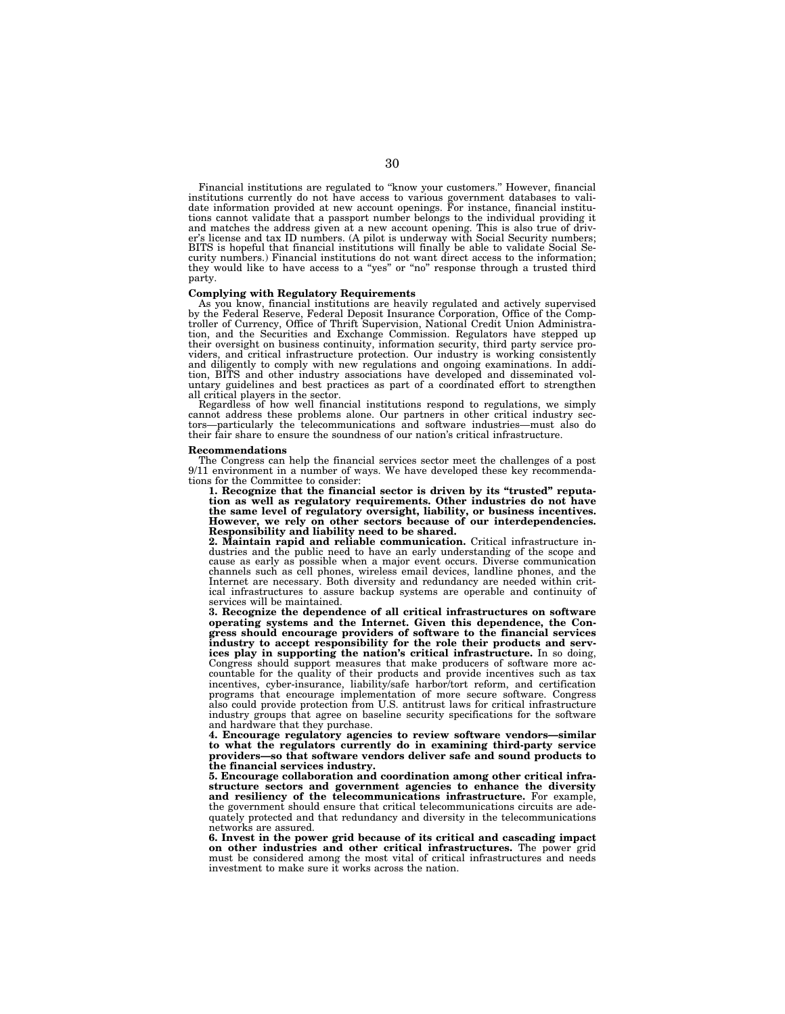Financial institutions are regulated to ''know your customers.'' However, financial institutions currently do not have access to various government databases to vali-date information provided at new account openings. For instance, financial institutions cannot validate that a passport number belongs to the individual providing it and matches the address given at a new account opening. This is also true of driver's license and tax ID numbers. (A pilot is underway with Social Security numbers;<br>BITS is hopeful that financial institutions will finally curity numbers.) Financial institutions do not want direct access to the information; they would like to have access to a ''yes'' or ''no'' response through a trusted third party.

## **Complying with Regulatory Requirements**

As you know, financial institutions are heavily regulated and actively supervised by the Federal Reserve, Federal Deposit Insurance Corporation, Office of the Comptroller of Currency, Office of Thrift Supervision, National Credit Union Administration, and the Securities and Exchange Commission. Regulators have stepped up their oversight on business continuity, information security, third party service providers, and critical infrastructure protection. Our industry is working consistently and diligently to comply with new regulations and ongoing examinations. In addition, BITS and other industry associations have developed and disseminated voluntary guidelines and best practices as part of a coordinated effort to strengthen all critical players in the sector.

Regardless of how well financial institutions respond to regulations, we simply cannot address these problems alone. Our partners in other critical industry sectors—particularly the telecommunications and software industries—must also do their fair share to ensure the soundness of our nation's critical infrastructure.

#### **Recommendations**

The Congress can help the financial services sector meet the challenges of a post 9/11 environment in a number of ways. We have developed these key recommendations for the Committee to consider:

**1. Recognize that the financial sector is driven by its ''trusted'' reputa-tion as well as regulatory requirements. Other industries do not have the same level of regulatory oversight, liability, or business incentives. However, we rely on other sectors because of our interdependencies. Responsibility and liability need to be shared. 2. Maintain rapid and reliable communication.** Critical infrastructure in-

dustries and the public need to have an early understanding of the scope and cause as early as possible when a major event occurs. Diverse communication channels such as cell phones, wireless email devices, landline phones, and the Internet are necessary. Both diversity and redundancy are needed within crit-ical infrastructures to assure backup systems are operable and continuity of services will be maintained.

**3. Recognize the dependence of all critical infrastructures on software operating systems and the Internet. Given this dependence, the Congress should encourage providers of software to the financial services industry to accept responsibility for the role their products and services play in supporting the nation's critical infrastructure.** In so doing, Congress should support measures that make producers of software more accountable for the quality of their products and provide incentives such as tax incentives, cyber-insurance, liability/safe harbor/tort reform, and certification programs that encourage implementation of more secure software. Congress also could provide protection from U.S. antitrust laws for critical infrastructure industry groups that agree on baseline security specifications for the software and hardware that they purchase.

**4. Encourage regulatory agencies to review software vendors—similar to what the regulators currently do in examining third-party service providers—so that software vendors deliver safe and sound products to the financial services industry.** 

**5. Encourage collaboration and coordination among other critical infrastructure sectors and government agencies to enhance the diversity and resiliency of the telecommunications infrastructure.** For example, the government should ensure that critical telecommunications circuits are adequately protected and that redundancy and diversity in the telecommunications networks are assured.

**6. Invest in the power grid because of its critical and cascading impact on other industries and other critical infrastructures.** The power grid must be considered among the most vital of critical infrastructures and needs investment to make sure it works across the nation.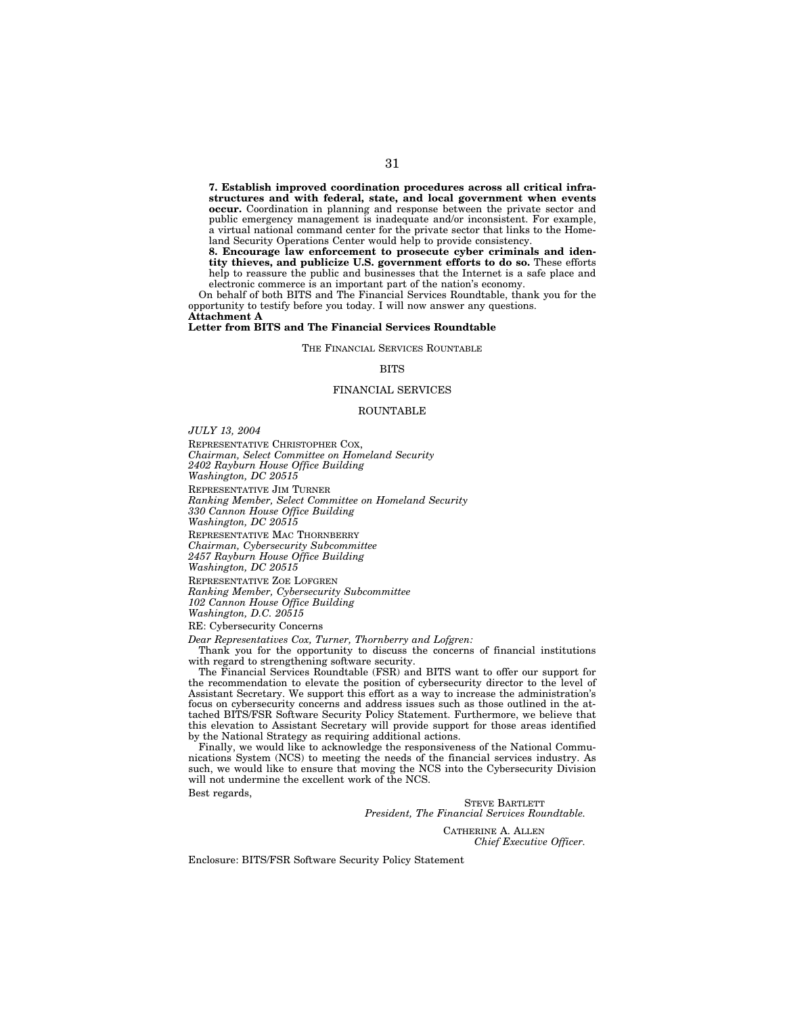**7. Establish improved coordination procedures across all critical infrastructures and with federal, state, and local government when events occur.** Coordination in planning and response between the private sector and public emergency management is inadequate and/or inconsistent. For example, a virtual national command center for the private sector that links to the Homeland Security Operations Center would help to provide consistency.

**8. Encourage law enforcement to prosecute cyber criminals and identity thieves, and publicize U.S. government efforts to do so.** These efforts help to reassure the public and businesses that the Internet is a safe place and electronic commerce is an important part of the nation's economy.

On behalf of both BITS and The Financial Services Roundtable, thank you for the opportunity to testify before you today. I will now answer any questions. **Attachment A** 

**Letter from BITS and The Financial Services Roundtable** 

THE FINANCIAL SERVICES ROUNTABLE

#### **BITS**

#### FINANCIAL SERVICES

#### ROUNTABLE

*JULY 13, 2004*

REPRESENTATIVE CHRISTOPHER COX,

*Chairman, Select Committee on Homeland Security 2402 Rayburn House Office Building* 

*Washington, DC 20515*

REPRESENTATIVE JIM TURNER

*Ranking Member, Select Committee on Homeland Security* 

*330 Cannon House Office Building* 

*Washington, DC 20515*

REPRESENTATIVE MAC THORNBERRY

*Chairman, Cybersecurity Subcommittee* 

*2457 Rayburn House Office Building* 

*Washington, DC 20515*

REPRESENTATIVE ZOE LOFGREN

*Ranking Member, Cybersecurity Subcommittee 102 Cannon House Office Building* 

*Washington, D.C. 20515*

RE: Cybersecurity Concerns

*Dear Representatives Cox, Turner, Thornberry and Lofgren:* 

Thank you for the opportunity to discuss the concerns of financial institutions with regard to strengthening software security.

The Financial Services Roundtable (FSR) and BITS want to offer our support for the recommendation to elevate the position of cybersecurity director to the level of Assistant Secretary. We support this effort as a way to increase the administration's focus on cybersecurity concerns and address issues such as those outlined in the attached BITS/FSR Software Security Policy Statement. Furthermore, we believe that this elevation to Assistant Secretary will provide support for those areas identified by the National Strategy as requiring additional actions.

Finally, we would like to acknowledge the responsiveness of the National Communications System (NCS) to meeting the needs of the financial services industry. As such, we would like to ensure that moving the NCS into the Cybersecurity Division will not undermine the excellent work of the NCS.

Best regards,

STEVE BARTLETT *President, The Financial Services Roundtable.*

> CATHERINE A. ALLEN *Chief Executive Officer.*

Enclosure: BITS/FSR Software Security Policy Statement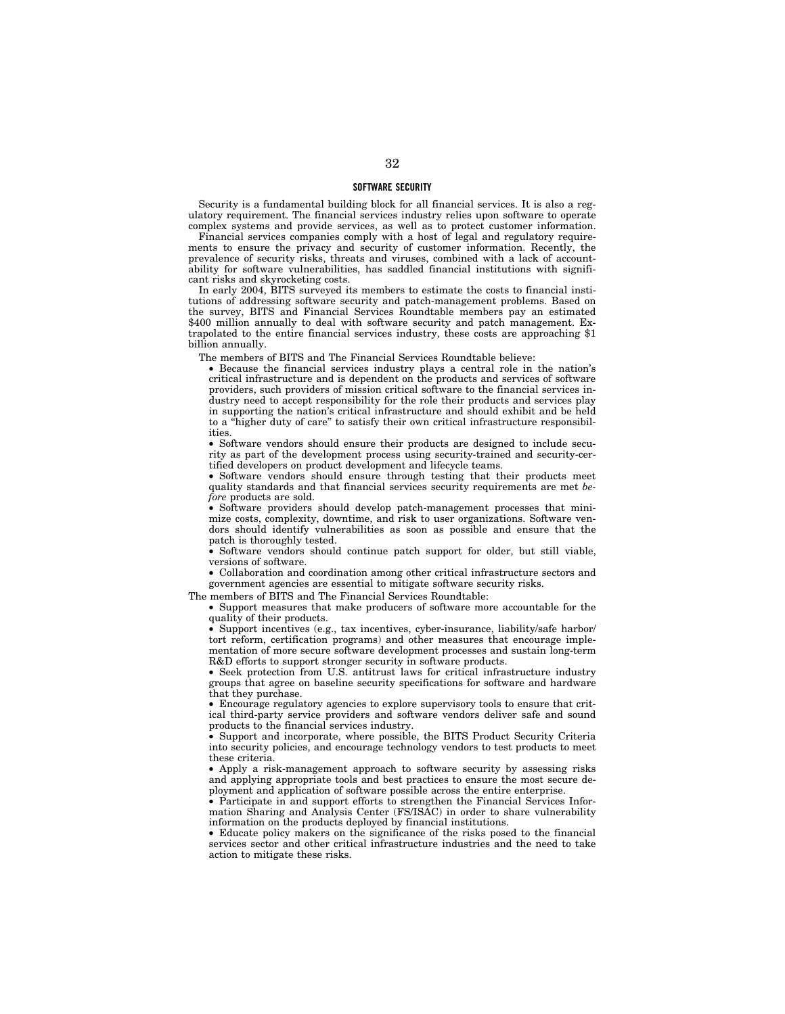### **SOFTWARE SECURITY**

Security is a fundamental building block for all financial services. It is also a regulatory requirement. The financial services industry relies upon software to operate complex systems and provide services, as well as to protect customer information.

Financial services companies comply with a host of legal and regulatory requirements to ensure the privacy and security of customer information. Recently, the prevalence of security risks, threats and viruses, combined with a lack of accountability for software vulnerabilities, has saddled financial institutions with significant risks and skyrocketing costs.

In early 2004, BITS surveyed its members to estimate the costs to financial institutions of addressing software security and patch-management problems. Based on the survey, BITS and Financial Services Roundtable members pay an estimated \$400 million annually to deal with software security and patch management. Extrapolated to the entire financial services industry, these costs are approaching \$1 billion annually.

The members of BITS and The Financial Services Roundtable believe:

• Because the financial services industry plays a central role in the nation's critical infrastructure and is dependent on the products and services of software providers, such providers of mission critical software to the financial services industry need to accept responsibility for the role their products and services play in supporting the nation's critical infrastructure and should exhibit and be held to a ''higher duty of care'' to satisfy their own critical infrastructure responsibilities.

• Software vendors should ensure their products are designed to include security as part of the development process using security-trained and security-certified developers on product development and lifecycle teams.

• Software vendors should ensure through testing that their products meet quality standards and that financial services security requirements are met *before* products are sold.

• Software providers should develop patch-management processes that minimize costs, complexity, downtime, and risk to user organizations. Software vendors should identify vulnerabilities as soon as possible and ensure that the patch is thoroughly tested.

• Software vendors should continue patch support for older, but still viable, versions of software.

• Collaboration and coordination among other critical infrastructure sectors and government agencies are essential to mitigate software security risks.

The members of BITS and The Financial Services Roundtable:

• Support measures that make producers of software more accountable for the quality of their products.

• Support incentives (e.g., tax incentives, cyber-insurance, liability/safe harbor/ tort reform, certification programs) and other measures that encourage implementation of more secure software development processes and sustain long-term R&D efforts to support stronger security in software products.

• Seek protection from U.S. antitrust laws for critical infrastructure industry groups that agree on baseline security specifications for software and hardware that they purchase.

• Encourage regulatory agencies to explore supervisory tools to ensure that critical third-party service providers and software vendors deliver safe and sound products to the financial services industry.

• Support and incorporate, where possible, the BITS Product Security Criteria into security policies, and encourage technology vendors to test products to meet these criteria.

• Apply a risk-management approach to software security by assessing risks and applying appropriate tools and best practices to ensure the most secure deployment and application of software possible across the entire enterprise.

• Participate in and support efforts to strengthen the Financial Services Information Sharing and Analysis Center (FS/ISAC) in order to share vulnerability information on the products deployed by financial institutions.

• Educate policy makers on the significance of the risks posed to the financial services sector and other critical infrastructure industries and the need to take action to mitigate these risks.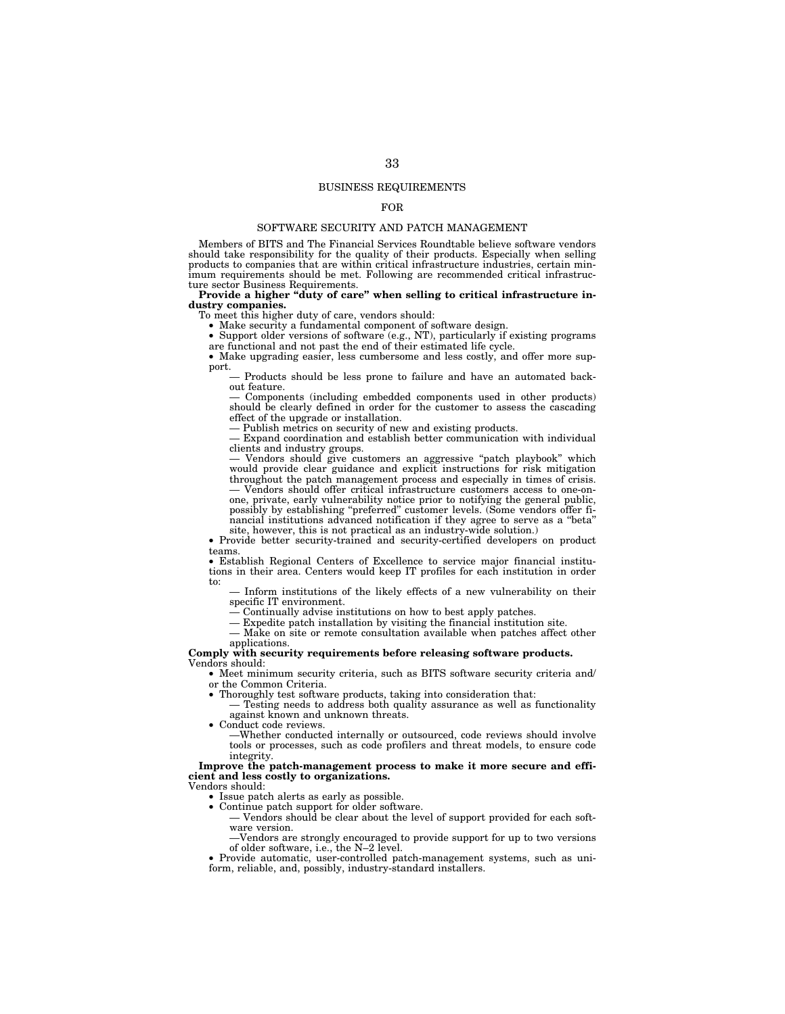## BUSINESS REQUIREMENTS

## FOR

## SOFTWARE SECURITY AND PATCH MANAGEMENT

Members of BITS and The Financial Services Roundtable believe software vendors should take responsibility for the quality of their products. Especially when selling products to companies that are within critical infrastructure industries, certain minimum requirements should be met. Following are recommended critical infrastruc-ture sector Business Requirements. **Provide a higher ''duty of care'' when selling to critical infrastructure in-**

**dustry companies.** 

To meet this higher duty of care, vendors should:

• Make security a fundamental component of software design.

• Support older versions of software (e.g., NT), particularly if existing programs are functional and not past the end of their estimated life cycle.

• Make upgrading easier, less cumbersome and less costly, and offer more support.

— Products should be less prone to failure and have an automated backout feature.

— Components (including embedded components used in other products) should be clearly defined in order for the customer to assess the cascading effect of the upgrade or installation.

— Publish metrics on security of new and existing products.

— Expand coordination and establish better communication with individual clients and industry groups.

Vendors should give customers an aggressive "patch playbook" which would provide clear guidance and explicit instructions for risk mitigation throughout the patch management process and especially in times of crisis. — Vendors should offer critical infrastructure customers access to one-on-

one, private, early vulnerability notice prior to notifying the general public, possibly by establishing ''preferred'' customer levels. (Some vendors offer financial institutions advanced notification if they agree to serve as a ''beta''

site, however, this is not practical as an industry-wide solution.) • Provide better security-trained and security-certified developers on product

teams. • Establish Regional Centers of Excellence to service major financial institu-

tions in their area. Centers would keep IT profiles for each institution in order to:

— Inform institutions of the likely effects of a new vulnerability on their specific IT environment.

— Continually advise institutions on how to best apply patches.

— Expedite patch installation by visiting the financial institution site.

— Make on site or remote consultation available when patches affect other applications.

### **Comply with security requirements before releasing software products.**  Vendors should:

• Meet minimum security criteria, such as BITS software security criteria and/ or the Common Criteria.

• Thoroughly test software products, taking into consideration that: — Testing needs to address both quality assurance as well as functionality against known and unknown threats.

• Conduct code reviews.

—Whether conducted internally or outsourced, code reviews should involve tools or processes, such as code profilers and threat models, to ensure code integrity.

**Improve the patch-management process to make it more secure and efficient and less costly to organizations.** 

Vendors should:

• Issue patch alerts as early as possible.

• Continue patch support for older software.

— Vendors should be clear about the level of support provided for each software version.

—Vendors are strongly encouraged to provide support for up to two versions of older software, i.e., the N–2 level.

• Provide automatic, user-controlled patch-management systems, such as uniform, reliable, and, possibly, industry-standard installers.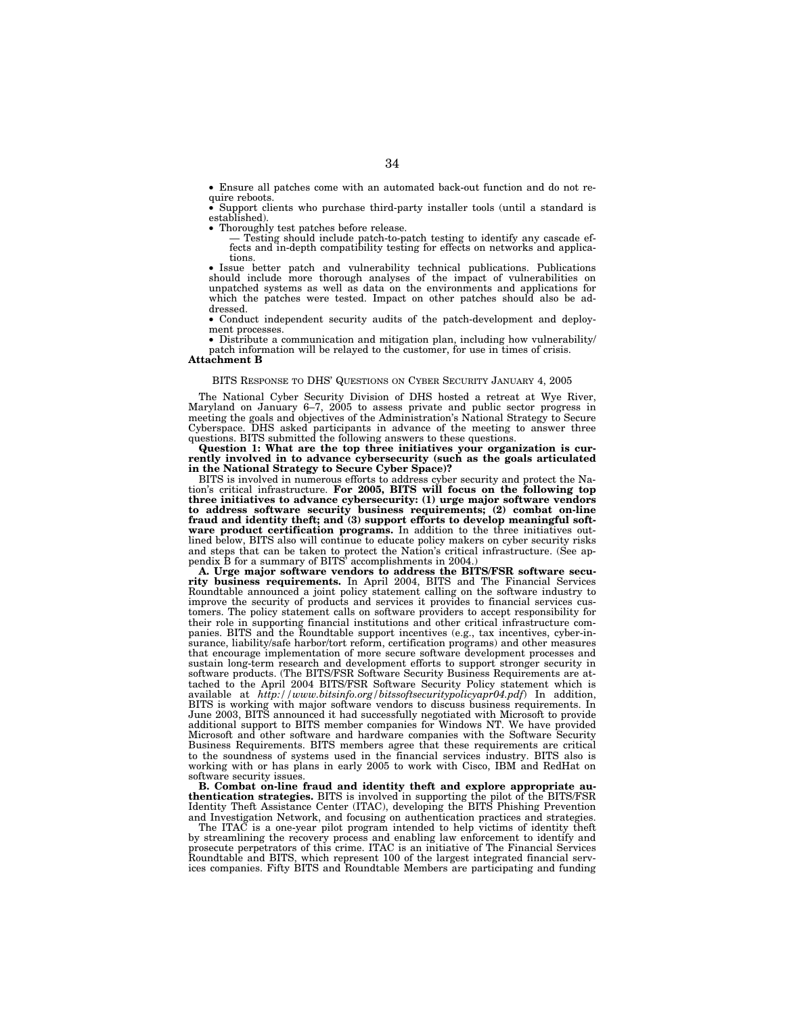• Ensure all patches come with an automated back-out function and do not require reboots.

• Support clients who purchase third-party installer tools (until a standard is established).

• Thoroughly test patches before release.

— Testing should include patch-to-patch testing to identify any cascade ef-fects and in-depth compatibility testing for effects on networks and applica-

tions.<br>
• Issue better patch and vulnerability technical publications. Publications<br>
should include more thorough analyses of the impact of vulnerabilities on<br>
unpatched systems as well as data on the environments and appl which the patches were tested. Impact on other patches should also be addressed.

• Conduct independent security audits of the patch-development and deployment processes.

• Distribute a communication and mitigation plan, including how vulnerability/ patch information will be relayed to the customer, for use in times of crisis.

## **Attachment B**

## BITS RESPONSE TO DHS' QUESTIONS ON CYBER SECURITY JANUARY 4, 2005

The National Cyber Security Division of DHS hosted a retreat at Wye River, Maryland on January 6–7, 2005 to assess private and public sector progress in meeting the goals and objectives of the Administration's National Strategy to Secure Cyberspace. DHS asked participants in advance of the meeting to answer three questions. BITS submitted the following answers to these questions.

**Question 1: What are the top three initiatives your organization is currently involved in to advance cybersecurity (such as the goals articulated in the National Strategy to Secure Cyber Space)?** 

BITS is involved in numerous efforts to address cyber security and protect the Nation's critical infrastructure. **For 2005, BITS will focus on the following top three initiatives to advance cybersecurity: (1) urge major software vendors to address software security business requirements; (2) combat on-line fraud and identity theft; and (3) support efforts to develop meaningful software product certification programs.** In addition to the three initiatives outlined below, BITS also will continue to educate policy makers on cyber security risks and steps that can be taken to protect the Nation's critical infrastructure. (See appendix B for a summary of BITS' accomplishments in 2004.)

**A. Urge major software vendors to address the BITS/FSR software security business requirements.** In April 2004, BITS and The Financial Services Roundtable announced a joint policy statement calling on the software industry to improve the security of products and services it provides to financial services customers. The policy statement calls on software providers to accept responsibility for their role in supporting financial institutions and other critical infrastructure companies. BITS and the Roundtable support incentives (e.g., tax incentives, cyber-insurance, liability/safe harbor/tort reform, certification programs) and other measures that encourage implementation of more secure software development processes and sustain long-term research and development efforts to support stronger security in software products. (The BITS/FSR Software Security Business Requirements are attached to the April 2004 BITS/FSR Software Security Policy statement which is available at *http://www.bitsinfo.org/bitssoftsecuritypolicyapr04.pdf*) In addition, BITS is working with major software vendors to discuss business requirements. In June 2003, BITS announced it had successfully negotiated with Microsoft to provide additional support to BITS member companies for Windows NT. We have provided Microsoft and other software and hardware companies with the Software Security Business Requirements. BITS members agree that these requirements are critical to the soundness of systems used in the financial services industry. BITS also is working with or has plans in early 2005 to work with Cisco, IBM and RedHat on software security issues.

**B. Combat on-line fraud and identity theft and explore appropriate authentication strategies.** BITS is involved in supporting the pilot of the BITS/FSR Identity Theft Assistance Center (ITAC), developing the BITS Phishing Prevention and Investigation Network, and focusing on authentication practices and strategies.

The ITAC is a one-year pilot program intended to help victims of identity theft by streamlining the recovery process and enabling law enforcement to identify and prosecute perpetrators of this crime. ITAC is an initiative of The Financial Services Roundtable and BITS, which represent 100 of the largest integrated financial services companies. Fifty BITS and Roundtable Members are participating and funding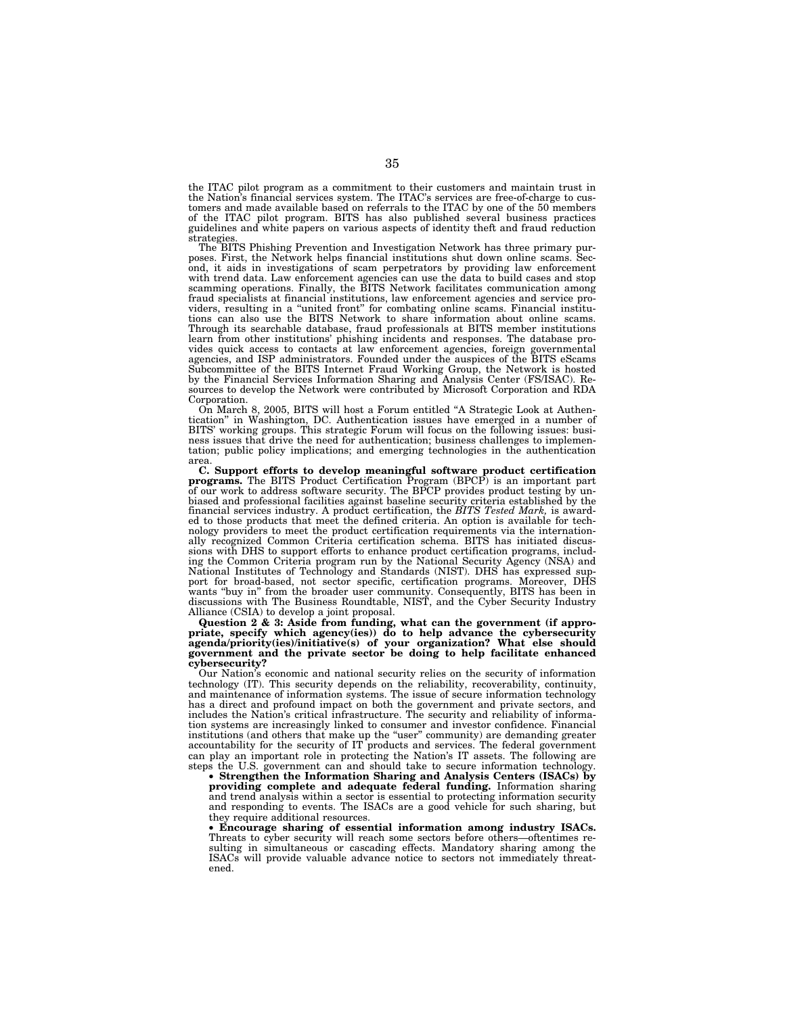the ITAC pilot program as a commitment to their customers and maintain trust in the Nation's financial services system. The ITAC's services are free-of-charge to customers and made available based on referrals to the ITAC by one of the 50 members of the ITAC pilot program. BITS has also published several business practices guidelines and white papers on various aspects of identity theft and fraud reduction strategies.

The BITS Phishing Prevention and Investigation Network has three primary purposes. First, the Network helps financial institutions shut down online scams. Second, it aids in investigations of scam perpetrators by providing law enforcement with trend data. Law enforcement agencies can use the data to build cases and stop scamming operations. Finally, the BITS Network facilitates communication among fraud specialists at financial institutions, law enforcement agencies and service pro-viders, resulting in a ''united front'' for combating online scams. Financial institutions can also use the BITS Network to share information about online scams. Through its searchable database, fraud professionals at BITS member institutions learn from other institutions' phishing incidents and responses. The database pro-vides quick access to contacts at law enforcement agencies, foreign governmental agencies, and ISP administrators. Founded under the auspices of the BITS eScams Subcommittee of the BITS Internet Fraud Working Group, the Network is hosted by the Financial Services Information Sharing and Analysis Center (FS/ISAC). Re-sources to develop the Network were contributed by Microsoft Corporation and RDA Corporation.

On March 8, 2005, BITS will host a Forum entitled ''A Strategic Look at Authentication'' in Washington, DC. Authentication issues have emerged in a number of BITS' working groups. This strategic Forum will focus on the following issues: business issues that drive the need for authentication; business challenges to implementation; public policy implications; and emerging technologies in the authentication

area.<br> **C. Support efforts to develop meaningful software product certification**<br> **programs.** The BITS Product Certification Program (BPCP) is an important part<br>
of our work to address software security. The BPCP provides biased and professional facilities against baseline security criteria established by the financial services industry. A product certification, the *BITS Tested Mark,* is award-ed to those products that meet the defined criteria. An option is available for technology providers to meet the product certification requirements via the internationally recognized Common Criteria certification schema. BITS has initiated discussions with DHS to support efforts to enhance product certification programs, including the Common Criteria program run by the National Security Agency (NSA) and<br>National Institutes of Technology and Standards (NIST). DHS h port for broad-based, not sector specific, certification programs. Moreover, DHS wants "buy in" from the broader user community. Consequently, BITS has been in discussions with The Business Roundtable, NIST, and the Cyber Security Industry Alliance (CSIA) to develop a joint proposal.

**Question 2 & 3: Aside from funding, what can the government (if appropriate, specify which agency(ies)) do to help advance the cybersecurity agenda/priority(ies)/initiative(s) of your organization? What else should government and the private sector be doing to help facilitate enhanced cybersecurity?** 

Our Nation's economic and national security relies on the security of information technology (IT). This security depends on the reliability, recoverability, continuity, and maintenance of information systems. The issue of secure information technology has a direct and profound impact on both the government and private sectors, and includes the Nation's critical infrastructure. The security and reliability of information systems are increasingly linked to consumer and investor confidence. Financial institutions (and others that make up the ''user'' community) are demanding greater accountability for the security of IT products and services. The federal government can play an important role in protecting the Nation's IT assets. The following are steps the U.S. government can and should take to secure information technology.

• **Strengthen the Information Sharing and Analysis Centers (ISACs) by providing complete and adequate federal funding.** Information sharing and trend analysis within a sector is essential to protecting information security and responding to events. The ISACs are a good vehicle for such sharing, but they require additional resources.

• **Encourage sharing of essential information among industry ISACs.** Threats to cyber security will reach some sectors before others—oftentimes resulting in simultaneous or cascading effects. Mandatory sharing among the ISACs will provide valuable advance notice to sectors not immediately threatened.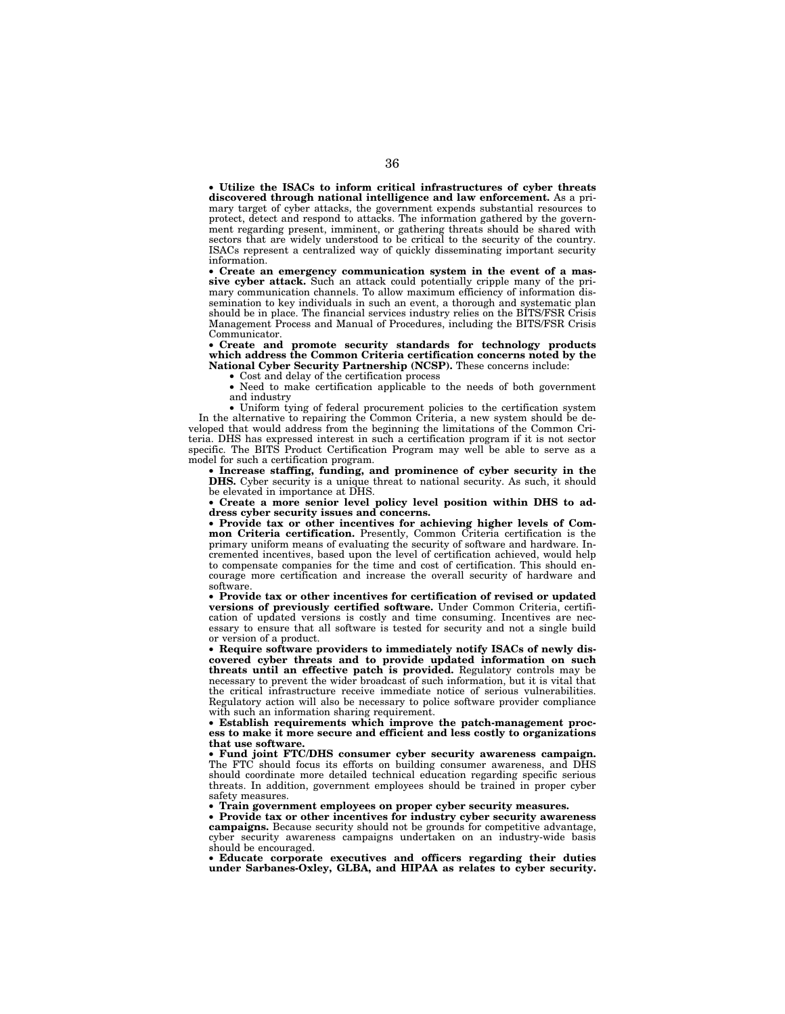• **Utilize the ISACs to inform critical infrastructures of cyber threats discovered through national intelligence and law enforcement.** As a primary target of cyber attacks, the government expends substantial resources to protect, detect and respond to attacks. The information gathered by the government regarding present, imminent, or gathering threats should be shared with sectors that are widely understood to be critical to the security of the country. ISACs represent a centralized way of quickly disseminating important security information.

• **Create an emergency communication system in the event of a massive cyber attack.** Such an attack could potentially cripple many of the primary communication channels. To allow maximum efficiency of information dissemination to key individuals in such an event, a thorough and systematic plan should be in place. The financial services industry relies on the BITS/FSR Crisis Management Process and Manual of Procedures, including the BITS/FSR Crisis Communicator.

• **Create and promote security standards for technology products which address the Common Criteria certification concerns noted by the National Cyber Security Partnership (NCSP).** These concerns include:

• Cost and delay of the certification process

• Need to make certification applicable to the needs of both government and industry

• Uniform tying of federal procurement policies to the certification system In the alternative to repairing the Common Criteria, a new system should be developed that would address from the beginning the limitations of the Common Criteria. DHS has expressed interest in such a certification program if it is not sector specific. The BITS Product Certification Program may well be able to serve as a model for such a certification program.

• **Increase staffing, funding, and prominence of cyber security in the DHS.** Cyber security is a unique threat to national security. As such, it should be elevated in importance at DHS.

• **Create a more senior level policy level position within DHS to address cyber security issues and concerns.** 

• **Provide tax or other incentives for achieving higher levels of Common Criteria certification.** Presently, Common Criteria certification is the primary uniform means of evaluating the security of software and hardware. Incremented incentives, based upon the level of certification achieved, would help to compensate companies for the time and cost of certification. This should encourage more certification and increase the overall security of hardware and software.

• **Provide tax or other incentives for certification of revised or updated versions of previously certified software.** Under Common Criteria, certification of updated versions is costly and time consuming. Incentives are necessary to ensure that all software is tested for security and not a single build or version of a product.

• **Require software providers to immediately notify ISACs of newly discovered cyber threats and to provide updated information on such threats until an effective patch is provided.** Regulatory controls may be necessary to prevent the wider broadcast of such information, but it is vital that the critical infrastructure receive immediate notice of serious vulnerabilities. Regulatory action will also be necessary to police software provider compliance with such an information sharing requirement.

• **Establish requirements which improve the patch-management process to make it more secure and efficient and less costly to organizations that use software.** 

• **Fund joint FTC/DHS consumer cyber security awareness campaign.** The FTC should focus its efforts on building consumer awareness, and DHS should coordinate more detailed technical education regarding specific serious threats. In addition, government employees should be trained in proper cyber safety measures.

• **Train government employees on proper cyber security measures.** 

• **Provide tax or other incentives for industry cyber security awareness campaigns.** Because security should not be grounds for competitive advantage, cyber security awareness campaigns undertaken on an industry-wide basis should be encouraged.

• **Educate corporate executives and officers regarding their duties under Sarbanes-Oxley, GLBA, and HIPAA as relates to cyber security.**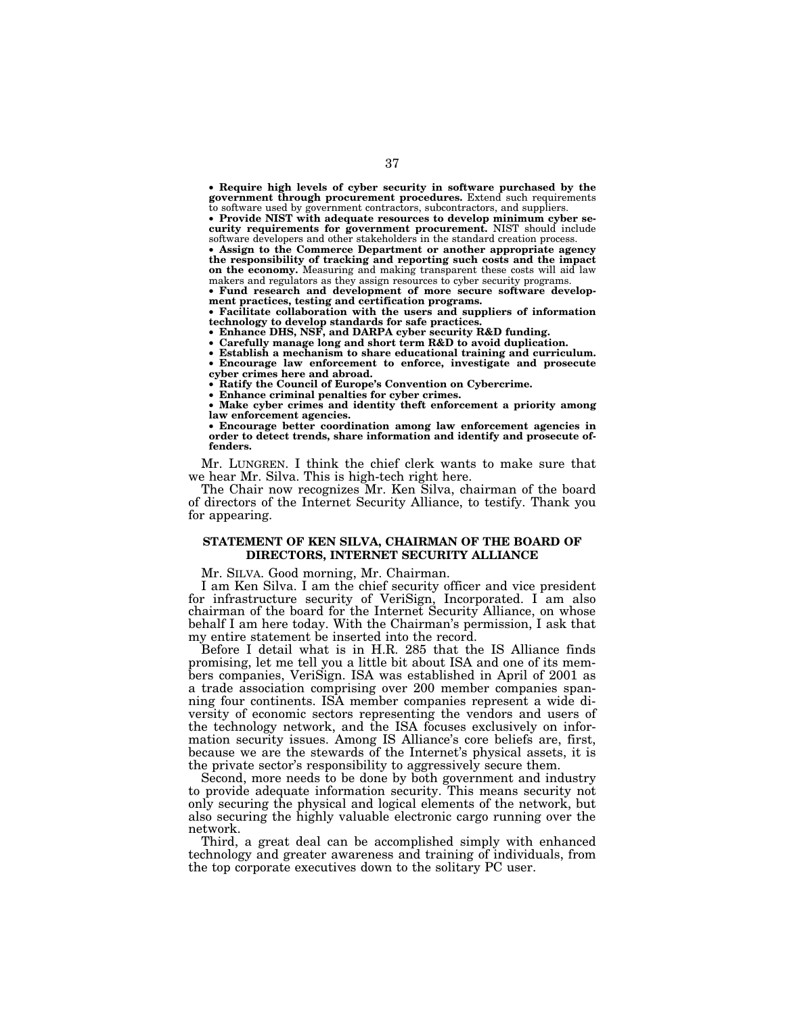• **Require high levels of cyber security in software purchased by the government through procurement procedures.** Extend such requirements to software used by government contractors, subcontractors, and suppliers.

• **Provide NIST with adequate resources to develop minimum cyber security requirements for government procurement.** NIST should include software developers and other stakeholders in the standard creation process.

• **Assign to the Commerce Department or another appropriate agency the responsibility of tracking and reporting such costs and the impact on the economy.** Measuring and making transparent these costs will aid law makers and regulators as they assign resources to cyber security programs.

• **Fund research and development of more secure software development practices, testing and certification programs.** 

• **Facilitate collaboration with the users and suppliers of information technology to develop standards for safe practices.** 

• **Enhance DHS, NSF, and DARPA cyber security R&D funding.** 

• **Carefully manage long and short term R&D to avoid duplication.** 

• **Establish a mechanism to share educational training and curriculum.**  • **Encourage law enforcement to enforce, investigate and prosecute cyber crimes here and abroad.** 

• **Ratify the Council of Europe's Convention on Cybercrime.** 

• **Enhance criminal penalties for cyber crimes.** 

• **Make cyber crimes and identity theft enforcement a priority among law enforcement agencies.** 

• **Encourage better coordination among law enforcement agencies in order to detect trends, share information and identify and prosecute offenders.**

Mr. LUNGREN. I think the chief clerk wants to make sure that we hear Mr. Silva. This is high-tech right here.

The Chair now recognizes Mr. Ken Silva, chairman of the board of directors of the Internet Security Alliance, to testify. Thank you for appearing.

## **STATEMENT OF KEN SILVA, CHAIRMAN OF THE BOARD OF DIRECTORS, INTERNET SECURITY ALLIANCE**

Mr. SILVA. Good morning, Mr. Chairman.

I am Ken Silva. I am the chief security officer and vice president for infrastructure security of VeriSign, Incorporated. I am also chairman of the board for the Internet Security Alliance, on whose behalf I am here today. With the Chairman's permission, I ask that my entire statement be inserted into the record.

Before I detail what is in H.R. 285 that the IS Alliance finds promising, let me tell you a little bit about ISA and one of its members companies, VeriSign. ISA was established in April of 2001 as a trade association comprising over 200 member companies spanning four continents. ISA member companies represent a wide diversity of economic sectors representing the vendors and users of the technology network, and the ISA focuses exclusively on information security issues. Among IS Alliance's core beliefs are, first, because we are the stewards of the Internet's physical assets, it is the private sector's responsibility to aggressively secure them.

Second, more needs to be done by both government and industry to provide adequate information security. This means security not only securing the physical and logical elements of the network, but also securing the highly valuable electronic cargo running over the network.

Third, a great deal can be accomplished simply with enhanced technology and greater awareness and training of individuals, from the top corporate executives down to the solitary PC user.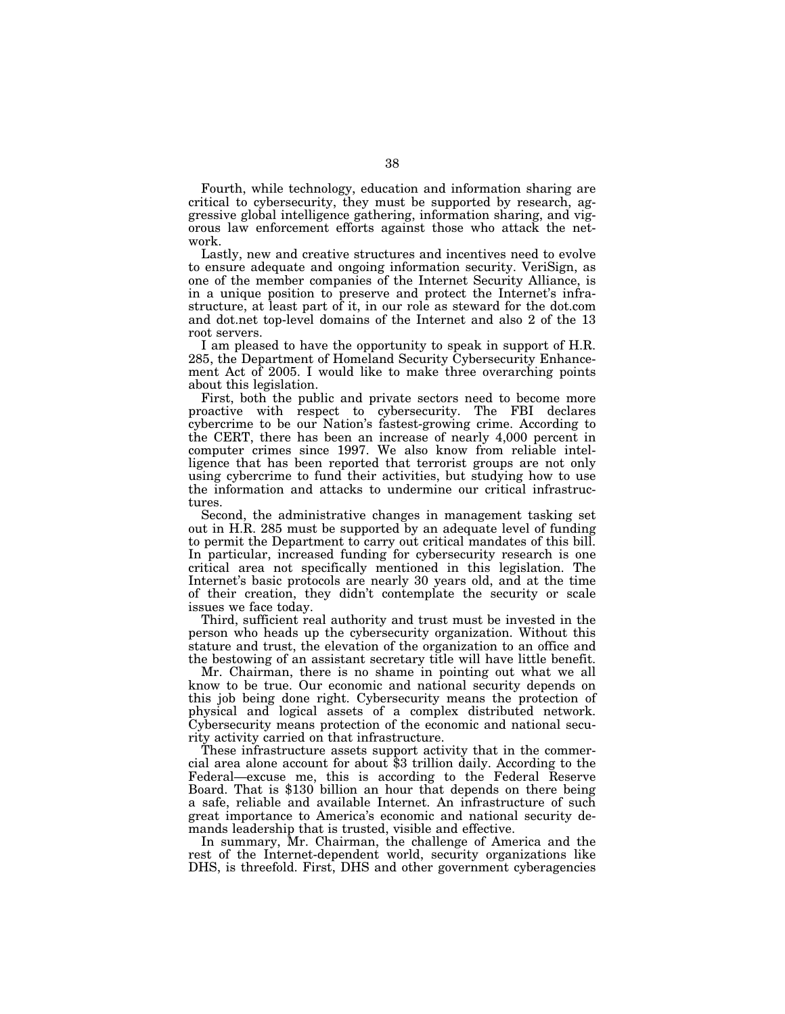Fourth, while technology, education and information sharing are critical to cybersecurity, they must be supported by research, aggressive global intelligence gathering, information sharing, and vigorous law enforcement efforts against those who attack the network.

Lastly, new and creative structures and incentives need to evolve to ensure adequate and ongoing information security. VeriSign, as one of the member companies of the Internet Security Alliance, is in a unique position to preserve and protect the Internet's infrastructure, at least part of it, in our role as steward for the dot.com and dot.net top-level domains of the Internet and also 2 of the 13 root servers.

I am pleased to have the opportunity to speak in support of H.R. 285, the Department of Homeland Security Cybersecurity Enhancement Act of 2005. I would like to make three overarching points about this legislation.

First, both the public and private sectors need to become more proactive with respect to cybersecurity. The FBI declares cybercrime to be our Nation's fastest-growing crime. According to the CERT, there has been an increase of nearly 4,000 percent in computer crimes since 1997. We also know from reliable intelligence that has been reported that terrorist groups are not only using cybercrime to fund their activities, but studying how to use the information and attacks to undermine our critical infrastructures.

Second, the administrative changes in management tasking set out in H.R. 285 must be supported by an adequate level of funding to permit the Department to carry out critical mandates of this bill. In particular, increased funding for cybersecurity research is one critical area not specifically mentioned in this legislation. The Internet's basic protocols are nearly 30 years old, and at the time of their creation, they didn't contemplate the security or scale issues we face today.

Third, sufficient real authority and trust must be invested in the person who heads up the cybersecurity organization. Without this stature and trust, the elevation of the organization to an office and the bestowing of an assistant secretary title will have little benefit.

Mr. Chairman, there is no shame in pointing out what we all know to be true. Our economic and national security depends on this job being done right. Cybersecurity means the protection of physical and logical assets of a complex distributed network. Cybersecurity means protection of the economic and national security activity carried on that infrastructure.

These infrastructure assets support activity that in the commercial area alone account for about \$3 trillion daily. According to the Federal—excuse me, this is according to the Federal Reserve Board. That is \$130 billion an hour that depends on there being a safe, reliable and available Internet. An infrastructure of such great importance to America's economic and national security demands leadership that is trusted, visible and effective.

In summary, Mr. Chairman, the challenge of America and the rest of the Internet-dependent world, security organizations like DHS, is threefold. First, DHS and other government cyberagencies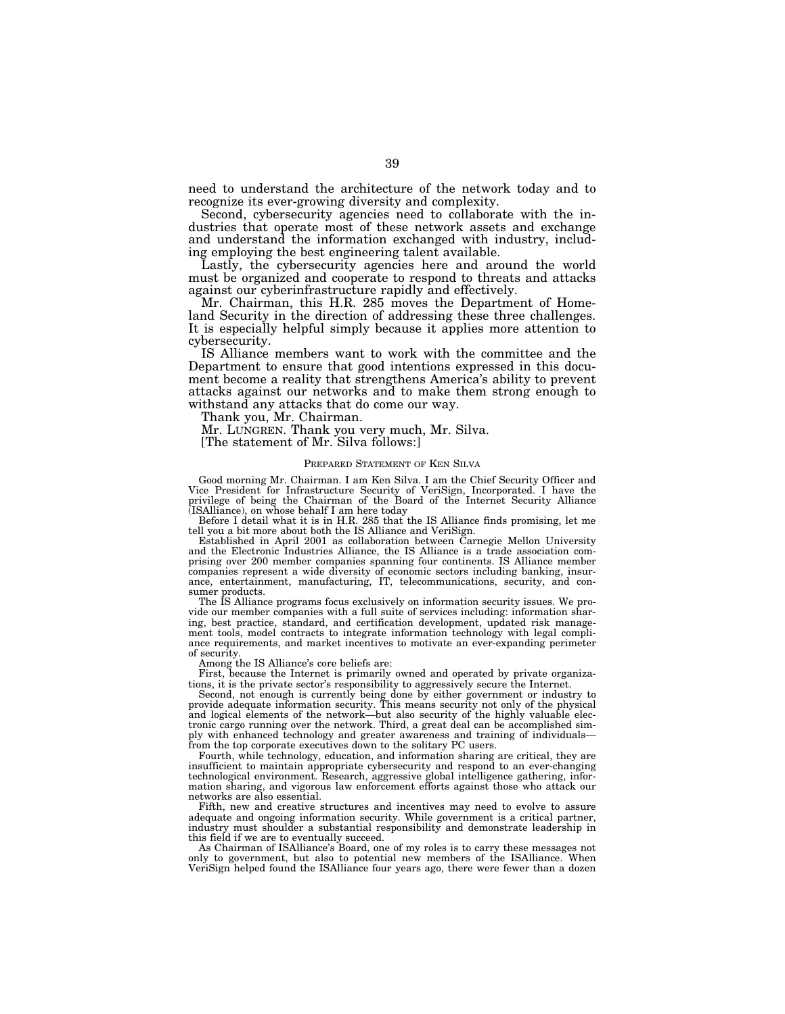need to understand the architecture of the network today and to recognize its ever-growing diversity and complexity.

Second, cybersecurity agencies need to collaborate with the industries that operate most of these network assets and exchange and understand the information exchanged with industry, including employing the best engineering talent available.

Lastly, the cybersecurity agencies here and around the world must be organized and cooperate to respond to threats and attacks against our cyberinfrastructure rapidly and effectively.

Mr. Chairman, this H.R. 285 moves the Department of Homeland Security in the direction of addressing these three challenges. It is especially helpful simply because it applies more attention to cybersecurity.

IS Alliance members want to work with the committee and the Department to ensure that good intentions expressed in this document become a reality that strengthens America's ability to prevent attacks against our networks and to make them strong enough to withstand any attacks that do come our way.

Thank you, Mr. Chairman.

Mr. LUNGREN. Thank you very much, Mr. Silva.

[The statement of Mr. Silva follows:]

## PREPARED STATEMENT OF KEN SILVA

Good morning Mr. Chairman. I am Ken Silva. I am the Chief Security Officer and Vice President for Infrastructure Security of VeriSign, Incorporated. I have the privilege of being the Chairman of the Board of the Internet Security Alliance (ISAlliance), on whose behalf I am here today

Before I detail what it is in H.R. 285 that the IS Alliance finds promising, let me tell you a bit more about both the IS Alliance and VeriSign.

Established in April 2001 as collaboration between Carnegie Mellon University and the Electronic Industries Alliance, the IS Alliance is a trade association comprising over 200 member companies spanning four continents. IS Alliance member companies represent a wide diversity of economic sectors including banking, insurance, entertainment, manufacturing, IT, telecommunications, security, and consumer products.

The IS Alliance programs focus exclusively on information security issues. We provide our member companies with a full suite of services including: information sharing, best practice, standard, and certification development, updated risk management tools, model contracts to integrate information technology with legal compliance requirements, and market incentives to motivate an ever-expanding perimeter of security.

Among the IS Alliance's core beliefs are:

First, because the Internet is primarily owned and operated by private organizations, it is the private sector's responsibility to aggressively secure the Internet.

Second, not enough is currently being done by either government or industry to provide adequate information security. This means security not only of the physical and logical elements of the network—but also security of the highly valuable electronic cargo running over the network. Third, a great deal can be accomplished simply with enhanced technology and greater awareness and training of individuals from the top corporate executives down to the solitary PC users.

Fourth, while technology, education, and information sharing are critical, they are insufficient to maintain appropriate cybersecurity and respond to an ever-changing technological environment. Research, aggressive global intelligence gathering, information sharing, and vigorous law enforcement efforts against those who attack our networks are also essential.

Fifth, new and creative structures and incentives may need to evolve to assure adequate and ongoing information security. While government is a critical partner, industry must shoulder a substantial responsibility and demonstrate leadership in this field if we are to eventually succeed.

As Chairman of ISAlliance's Board, one of my roles is to carry these messages not only to government, but also to potential new members of the ISAlliance. VeriSign helped found the ISAlliance four years ago, there were fewer than a dozen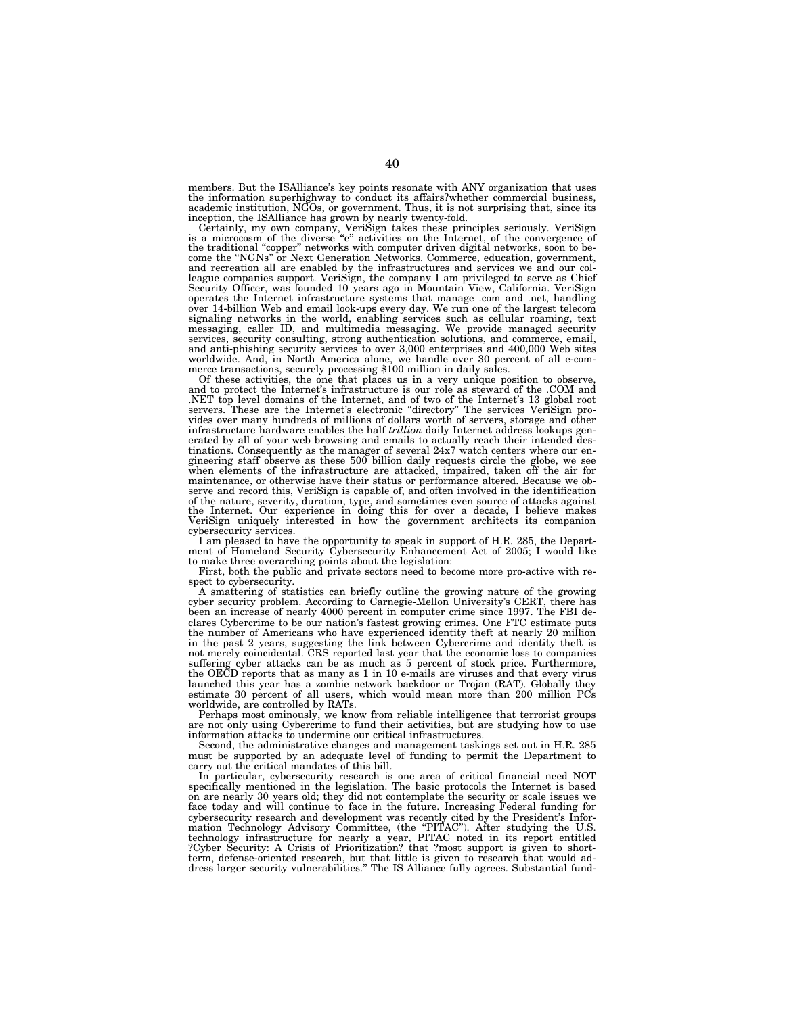members. But the ISAlliance's key points resonate with ANY organization that uses the information superhighway to conduct its affairs?whether commercial business, academic institution, NGOs, or government. Thus, it is not surprising that, since its inception, the ISAlliance has grown by nearly twenty-fold.

Certainly, my own company, VeriSign takes these principles seriously. VeriSign is a microcosm of the diverse "e" activities on the Internet, of the convergence of the traditional "copper" networks with computer driven digi come the ''NGNs'' or Next Generation Networks. Commerce, education, government, and recreation all are enabled by the infrastructures and services we and our colleague companies support. VeriSign, the company I am privileged to serve as Chief Security Officer, was founded 10 years ago in Mountain View, California. VeriSign operates the Internet infrastructure systems that manage .com and .net, handling over 14-billion Web and email look-ups every day. We run one of the largest telecom signaling networks in the world, enabling services such as cellular roaming, text messaging, caller ID, and multimedia messaging. We provide managed security services, security consulting, strong authentication solutions, and commerce, email, and anti-phishing security services to over 3,000 enterprises and 400,000 Web sites worldwide. And, in North America alone, we handle over 30 percent of all e-com-merce transactions, securely processing \$100 million in daily sales.

Of these activities, the one that places us in a very unique position to observe, and to protect the Internet's infrastructure is our role as steward of the .COM and .NET top level domains of the Internet, and of two of the Internet's 13 global root servers. These are the Internet's electronic ''directory'' The services VeriSign provides over many hundreds of millions of dollars worth of servers, storage and other infrastructure hardware enables the half *trillion* daily Internet address lookups generated by all of your web browsing and emails to actually reach their intended destinations. Consequently as the manager of several 24x7 watch centers where our en-gineering staff observe as these 500 billion daily requests circle the globe, we see when elements of the infrastructure are attacked, impaired, taken off the air for maintenance, or otherwise have their status or performance altered. Because we ob-serve and record this, VeriSign is capable of, and often involved in the identification of the nature, severity, duration, type, and sometimes even source of attacks against<br>the Internet. Our experience in doing this for over a decade, I believe makes<br>VeriSign uniquely interested in how the government archite cybersecurity services.

I am pleased to have the opportunity to speak in support of H.R. 285, the Department of Homeland Security Cybersecurity Enhancement Act of 2005; I would like to make three overarching points about the legislation: First, both the public and private sectors need to become more pro-active with re-

spect to cybersecurity.

A smattering of statistics can briefly outline the growing nature of the growing cyber security problem. According to Carnegie-Mellon University's CERT, there has been an increase of nearly 4000 percent in computer crime since 1997. The FBI declares Cybercrime to be our nation's fastest growing crimes. One FTC estimate puts the number of Americans who have experienced identity theft at nearly 20 million in the past 2 years, suggesting the link between Cybercrime and identity theft is not merely coincidental. CRS reported last year that the economic loss to companies suffering cyber attacks can be as much as 5 percent of stock price. Furthermore, the OECD reports that as many as 1 in 10 e-mails are viruses and that every virus launched this year has a zombie network backdoor or Trojan (RAT). Globally they estimate 30 percent of all users, which would mean more than 200 million PCs worldwide, are controlled by RATs.

Perhaps most ominously, we know from reliable intelligence that terrorist groups are not only using Cybercrime to fund their activities, but are studying how to use information attacks to undermine our critical infrastructures.

Second, the administrative changes and management taskings set out in H.R. 285 must be supported by an adequate level of funding to permit the Department to carry out the critical mandates of this bill.

In particular, cybersecurity research is one area of critical financial need NOT specifically mentioned in the legislation. The basic protocols the Internet is based on are nearly 30 years old; they did not contemplate the security or scale issues we face today and will continue to face in the future. Increasing Federal funding for cybersecurity research and development was recently cited by the President's Information Technology Advisory Committee, (the "PITAC"). After studying the U.S. technology infrastructure for nearly a year, PITAC noted in its report entitled ?Cyber Security: A Crisis of Prioritization? that ?most support is given to short-term, defense-oriented research, but that little is given to research that would address larger security vulnerabilities.'' The IS Alliance fully agrees. Substantial fund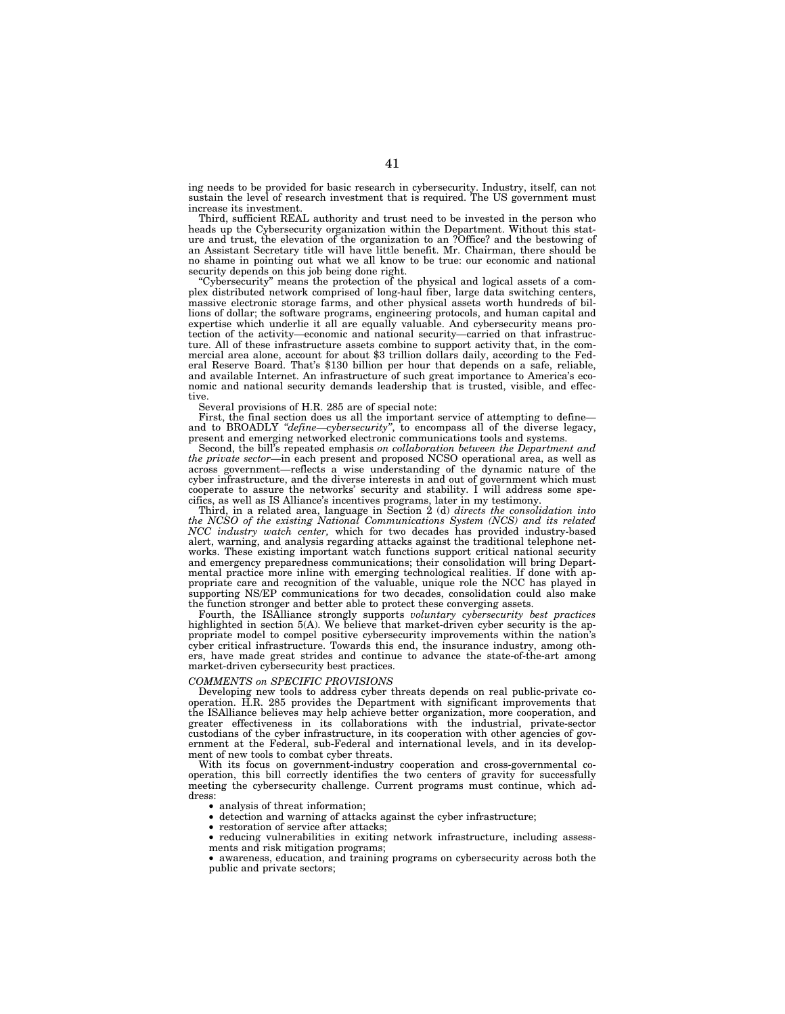ing needs to be provided for basic research in cybersecurity. Industry, itself, can not sustain the level of research investment that is required. The US government must increase its investment.

Third, sufficient REAL authority and trust need to be invested in the person who heads up the Cybersecurity organization within the Department. Without this stature and trust, the elevation of the organization to an ?Office? and the bestowing of an Assistant Secretary title will have little benefit. Mr. Chairman, there should be no shame in pointing out what we all know to be true: our economic and national security depends on this job being done right.

''Cybersecurity'' means the protection of the physical and logical assets of a complex distributed network comprised of long-haul fiber, large data switching centers, massive electronic storage farms, and other physical assets worth hundreds of billions of dollar; the software programs, engineering protocols, and human capital and expertise which underlie it all are equally valuable. And cybersecurity means protection of the activity—economic and national security—carried on that infrastructure. All of these infrastructure assets combine to support activity that, in the commercial area alone, account for about \$3 trillion dollars daily, according to the Federal Reserve Board. That's \$130 billion per hour that depends on a safe, reliable, and available Internet. An infrastructure of such great importance to America's economic and national security demands leadership that is trusted, visible, and effective.

Several provisions of H.R. 285 are of special note:

First, the final section does us all the important service of attempting to define and to BROADLY *''define—cybersecurity''*, to encompass all of the diverse legacy, present and emerging networked electronic communications tools and systems.

Second, the bill's repeated emphasis *on collaboration between the Department and the private sector*—in each present and proposed NCSO operational area, as well as across government—reflects a wise understanding of the dynamic nature of the cyber infrastructure, and the diverse interests in and out of government which must cooperate to assure the networks' security and stability. I will address some specifics, as well as IS Alliance's incentives programs, later in my testimony.

Third, in a related area, language in Section 2 (d) *directs the consolidation into the NCSO of the existing National Communications System (NCS) and its related NCC industry watch center,* which for two decades has provided industry-based alert, warning, and analysis regarding attacks against the traditional telephone networks. These existing important watch functions support critical national security and emergency preparedness communications; their consolidation will bring Departmental practice more inline with emerging technological realities. If done with appropriate care and recognition of the valuable, unique role the NCC has played in supporting NS/EP communications for two decades, consolidation could also make the function stronger and better able to protect these converging assets.

Fourth, the ISAlliance strongly supports *voluntary cybersecurity best practices* highlighted in section 5(A). We believe that market-driven cyber security is the appropriate model to compel positive cybersecurity improvements within the nation's cyber critical infrastructure. Towards this end, the insurance industry, among others, have made great strides and continue to advance the state-of-the-art among market-driven cybersecurity best practices.

#### *COMMENTS on SPECIFIC PROVISIONS*

Developing new tools to address cyber threats depends on real public-private cooperation. H.R. 285 provides the Department with significant improvements that the ISAlliance believes may help achieve better organization, more cooperation, and greater effectiveness in its collaborations with the industrial, private-sector custodians of the cyber infrastructure, in its cooperation with other agencies of government at the Federal, sub-Federal and international levels, and in its development of new tools to combat cyber threats.

With its focus on government-industry cooperation and cross-governmental cooperation, this bill correctly identifies the two centers of gravity for successfully meeting the cybersecurity challenge. Current programs must continue, which address:

- analysis of threat information;<br>• detection and warning of attack
- detection and warning of attacks against the cyber infrastructure;
- restoration of service after attacks;
- reducing vulnerabilities in exiting network infrastructure, including assessments and risk mitigation programs;
- awareness, education, and training programs on cybersecurity across both the public and private sectors;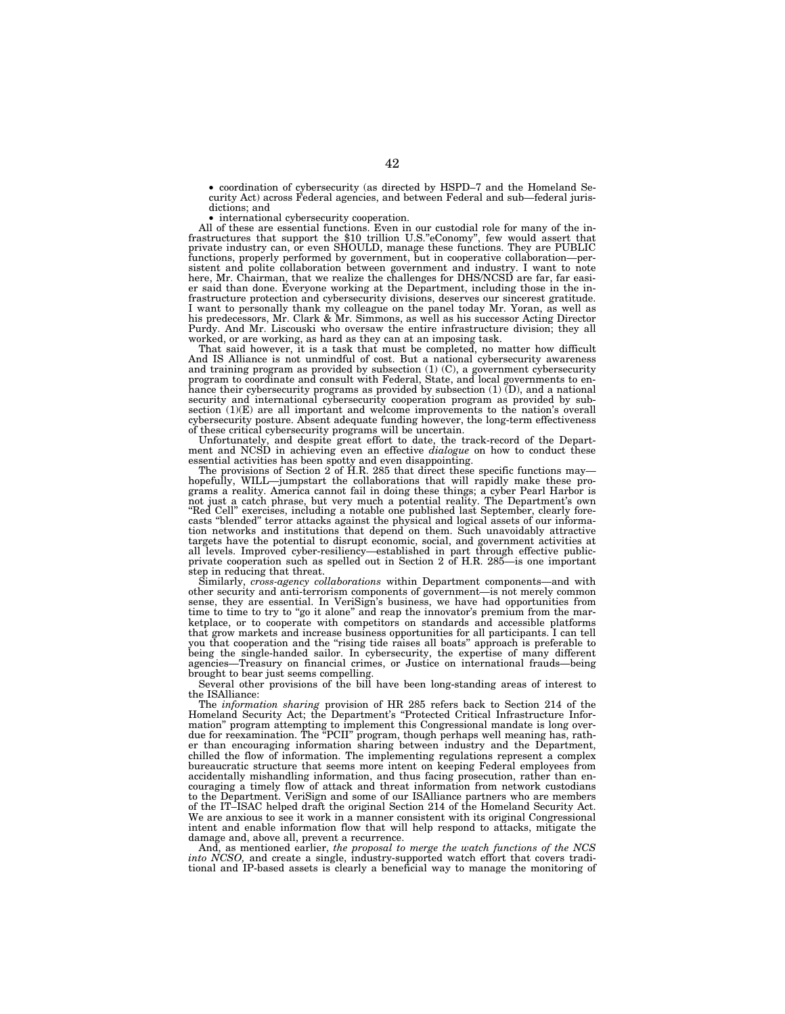• coordination of cybersecurity (as directed by HSPD–7 and the Homeland Security Act) across Federal agencies, and between Federal and sub—federal jurisdictions; and

• international cybersecurity cooperation.

All of these are essential functions. Even in our custodial role for many of the in-<br>frastructures that support the \$10 trillion U.S." eConomy", few would assert that<br>private industry can, or even SHOULD, manage these func er said than done. Everyone working at the Department, including those in the infrastructure protection and cybersecurity divisions, deserves our sincerest gratitude. I want to personally thank my colleague on the panel today Mr. Yoran, as well as his predecessors, Mr. Clark & Mr. Simmons, as well as his successor Acting Director Purdy. And Mr. Liscouski who oversaw the entire infrastructure division; they all

worked, or are working, as hard as they can at an imposing task. That said however, it is a task that must be completed, no matter how difficult And IS Alliance is not unmindful of cost. But a national cybersecurity awareness and training program as provided by subsection (1) (C), a government cybersecurity program to coordinate and consult with Federal, State, and local governments to en-hance their cybersecurity programs as provided by subsection (1) (D), and a national security and international cybersecurity cooperation program as provided by sub-section (1)(E) are all important and welcome improvements to the nation's overall cybersecurity posture. Absent adequate funding however, the long-term effectiveness of these critical cybersecurity programs will be uncertain.

Unfortunately, and despite great effort to date, the track-record of the Depart-ment and NCSD in achieving even an effective *dialogue* on how to conduct these essential activities has been spotty and even disappointing. The provisions of Section 2 of H.R. 285 that direct these specific functions may—

hopefully, WILL—jumpstart the collaborations that will rapidly make these programs a reality. America cannot fail in doing these things; a cyber Pearl Harbor is<br>not just a catch phrase, but very much a potential reality. The Department's own<br>"Red Cell" exercises, including a notable one published l casts ''blended'' terror attacks against the physical and logical assets of our information networks and institutions that depend on them. Such unavoidably attractive targets have the potential to disrupt economic, social, and government activities at all levels. Improved cyber-resiliency—established in part through effective public-<br>private cooperation such as spelled out in Section 2 step in reducing that threat.

Similarly, *cross-agency collaborations* within Department components—and with other security and anti-terrorism components of government—is not merely common sense, they are essential. In VeriSign's business, we have had opportunities from time to time to try to "go it alone" and reap the innovator's premium from the marketplace, or to cooperate with competitors on standards and accessible platforms that grow markets and increase business opportunities for all participants. I can tell you that cooperation and the "rising tide raises all boats" approach is preferable to being the single-handed sailor. In cybersecurity, the expertise of many different agencies—Treasury on financial crimes, or Justice on international frauds—being brought to bear just seems compelling.

Several other provisions of the bill have been long-standing areas of interest to the ISAlliance:

The *information sharing* provision of HR 285 refers back to Section 214 of the Homeland Security Act; the Department's ''Protected Critical Infrastructure Information'' program attempting to implement this Congressional mandate is long overdue for reexamination. The ''PCII'' program, though perhaps well meaning has, rather than encouraging information sharing between industry and the Department, chilled the flow of information. The implementing regulations represent a complex bureaucratic structure that seems more intent on keeping Federal employees from accidentally mishandling information, and thus facing prosecution, rather than encouraging a timely flow of attack and threat information from network custodians to the Department. VeriSign and some of our ISAlliance partners who are members of the IT–ISAC helped draft the original Section 214 of the Homeland Security Act. We are anxious to see it work in a manner consistent with its original Congressional intent and enable information flow that will help respond to attacks, mitigate the damage and, above all, prevent a recurrence.

And, as mentioned earlier, *the proposal to merge the watch functions of the NCS into NCSO,* and create a single, industry-supported watch effort that covers traditional and IP-based assets is clearly a beneficial way to manage the monitoring of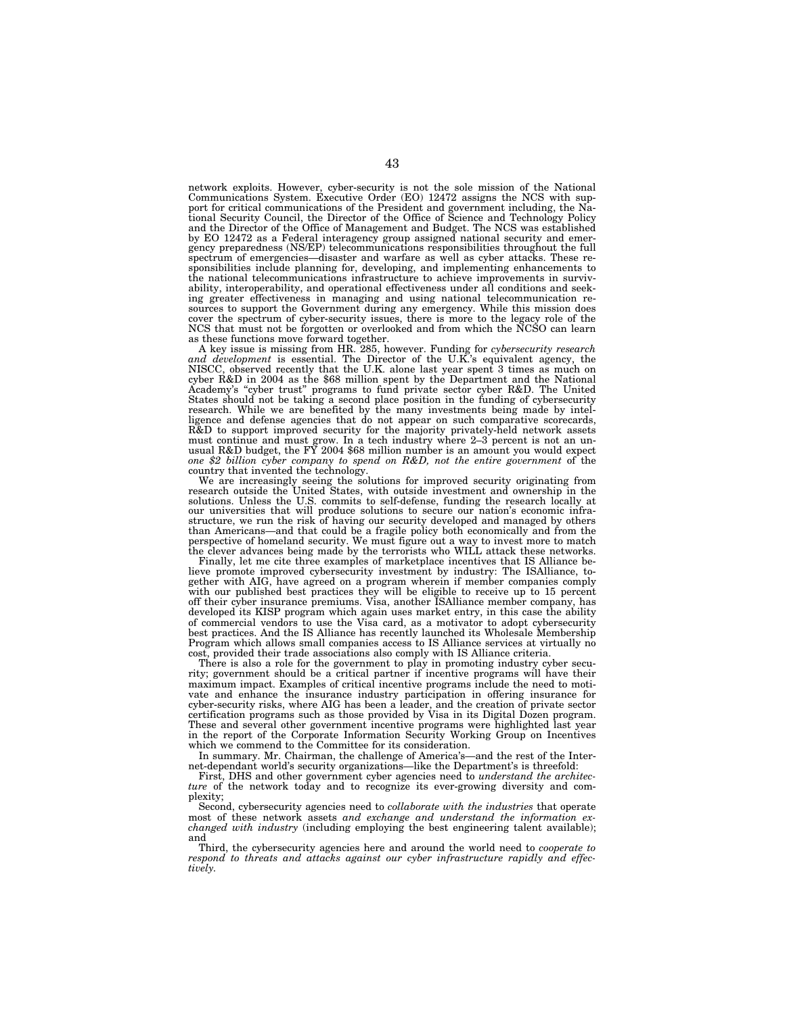network exploits. However, cyber-security is not the sole mission of the National Communications System. Executive Order (EO) 12472 assigns the NCS with support for critical communications of the President and government including, the Na-tional Security Council, the Director of the Office of Science and Technology Policy and the Director of the Office of Management and Budget. The NCS was established by EO 12472 as a Federal interagency group assigned national security and emer-gency preparedness (NS/EP) telecommunications responsibilities throughout the full spectrum of emergencies—disaster and warfare as well as cyber attacks. These responsibilities include planning for, developing, and implementing enhancements to the national telecommunications infrastructure to achieve improvements in survivability, interoperability, and operational effectiveness under all conditions and seeking greater effectiveness in managing and using national telecommunication re-sources to support the Government during any emergency. While this mission does cover the spectrum of cyber-security issues, there is more to the legacy role of the NCS that must not be forgotten or overlooked and from which the NCSO can learn

as these functions move forward together. A key issue is missing from HR. 285, however. Funding for *cybersecurity research and development* is essential. The Director of the U.K.'s equivalent agency, the NISCC, observed recently that the U.K. alone last year spent 3 times as much on cyber R&D in 2004 as the \$68 million spent by the Department and the National Academy's ''cyber trust'' programs to fund private sector cyber R&D. The United States should not be taking a second place position in the funding of cybersecurity research. While we are benefited by the many investments being made by intelligence and defense agencies that do not appear on such comparative scorecards, R&D to support improved security for the majority privately-held network assets must continue and must grow. In a tech industry where 2–3 percent is not an un-usual R&D budget, the FY 2004 \$68 million number is an amount you would expect *one \$2 billion cyber company to spend on R&D, not the entire government* of the

country that invented the technology. We are increasingly seeing the solutions for improved security originating from research outside the United States, with outside investment and ownership in the solutions. Unless the U.S. commits to self-defense, funding the research locally at our universities that will produce solutions to secure our nation's economic infrastructure, we run the risk of having our security developed and managed by others than Americans—and that could be a fragile policy both economically and from the perspective of homeland security. We must figure out a way to invest more to match the clever advances being made by the terrorists who WILL attack these networks.

Finally, let me cite three examples of marketplace incentives that IS Alliance believe promote improved cybersecurity investment by industry: The ISAlliance, together with AIG, have agreed on a program wherein if member companies comply with our published best practices they will be eligible to receive up to 15 percent off their cyber insurance premiums. Visa, another ISAlliance member company, has developed its KISP program which again uses market entry, in this case the ability of commercial vendors to use the Visa card, as a motivator to adopt cybersecurity best practices. And the IS Alliance has recently launched its Wholesale Membership Program which allows small companies access to IS Alliance services at virtually no cost, provided their trade associations also comply with IS Alliance criteria.

There is also a role for the government to play in promoting industry cyber security; government should be a critical partner if incentive programs will have their maximum impact. Examples of critical incentive programs include the need to motivate and enhance the insurance industry participation in offering insurance for cyber-security risks, where AIG has been a leader, and the creation of private sector certification programs such as those provided by Visa in its Digital Dozen program. These and several other government incentive programs were highlighted last year in the report of the Corporate Information Security Working Group on Incentives which we commend to the Committee for its consideration.

In summary. Mr. Chairman, the challenge of America's—and the rest of the Internet-dependant world's security organizations—like the Department's is threefold:

First, DHS and other government cyber agencies need to *understand the architecture* of the network today and to recognize its ever-growing diversity and complexity;

Second, cybersecurity agencies need to *collaborate with the industries* that operate most of these network assets *and exchange and understand the information exchanged with industry* (including employing the best engineering talent available); and

Third, the cybersecurity agencies here and around the world need to *cooperate to respond to threats and attacks against our cyber infrastructure rapidly and effectively.*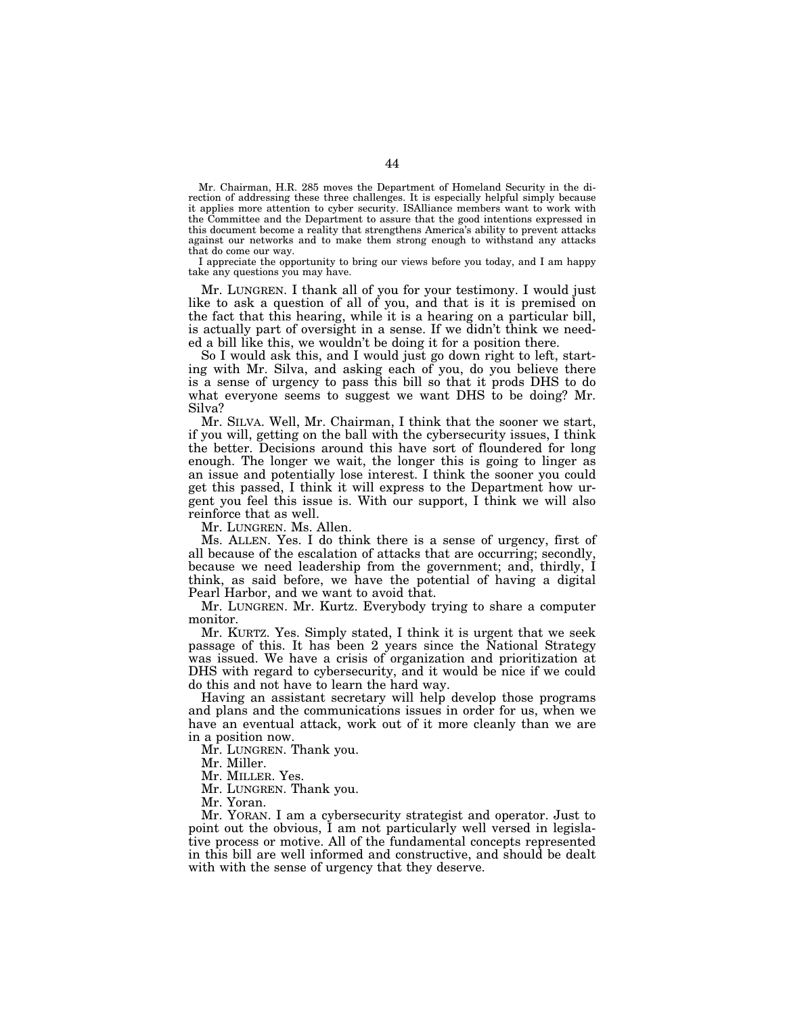Mr. Chairman, H.R. 285 moves the Department of Homeland Security in the direction of addressing these three challenges. It is especially helpful simply because it applies more attention to cyber security. ISAlliance members want to work with the Committee and the Department to assure that the good intentions expressed in this document become a reality that strengthens America's ability to prevent attacks against our networks and to make them strong enough to withstand any attacks that do come our way.

I appreciate the opportunity to bring our views before you today, and I am happy take any questions you may have.

Mr. LUNGREN. I thank all of you for your testimony. I would just like to ask a question of all of you, and that is it is premised on the fact that this hearing, while it is a hearing on a particular bill, is actually part of oversight in a sense. If we didn't think we needed a bill like this, we wouldn't be doing it for a position there.

So I would ask this, and I would just go down right to left, starting with Mr. Silva, and asking each of you, do you believe there is a sense of urgency to pass this bill so that it prods DHS to do what everyone seems to suggest we want DHS to be doing? Mr. Silva?

Mr. SILVA. Well, Mr. Chairman, I think that the sooner we start, if you will, getting on the ball with the cybersecurity issues, I think the better. Decisions around this have sort of floundered for long enough. The longer we wait, the longer this is going to linger as an issue and potentially lose interest. I think the sooner you could get this passed, I think it will express to the Department how urgent you feel this issue is. With our support, I think we will also reinforce that as well.

Mr. LUNGREN. Ms. Allen.

Ms. ALLEN. Yes. I do think there is a sense of urgency, first of all because of the escalation of attacks that are occurring; secondly, because we need leadership from the government; and, thirdly, I think, as said before, we have the potential of having a digital Pearl Harbor, and we want to avoid that.

Mr. LUNGREN. Mr. Kurtz. Everybody trying to share a computer monitor.

Mr. KURTZ. Yes. Simply stated, I think it is urgent that we seek passage of this. It has been 2 years since the National Strategy was issued. We have a crisis of organization and prioritization at DHS with regard to cybersecurity, and it would be nice if we could do this and not have to learn the hard way.

Having an assistant secretary will help develop those programs and plans and the communications issues in order for us, when we have an eventual attack, work out of it more cleanly than we are in a position now.

Mr. LUNGREN. Thank you.

Mr. Miller.

Mr. MILLER. Yes.

Mr. LUNGREN. Thank you.

Mr. Yoran.

Mr. YORAN. I am a cybersecurity strategist and operator. Just to point out the obvious, I am not particularly well versed in legislative process or motive. All of the fundamental concepts represented in this bill are well informed and constructive, and should be dealt with with the sense of urgency that they deserve.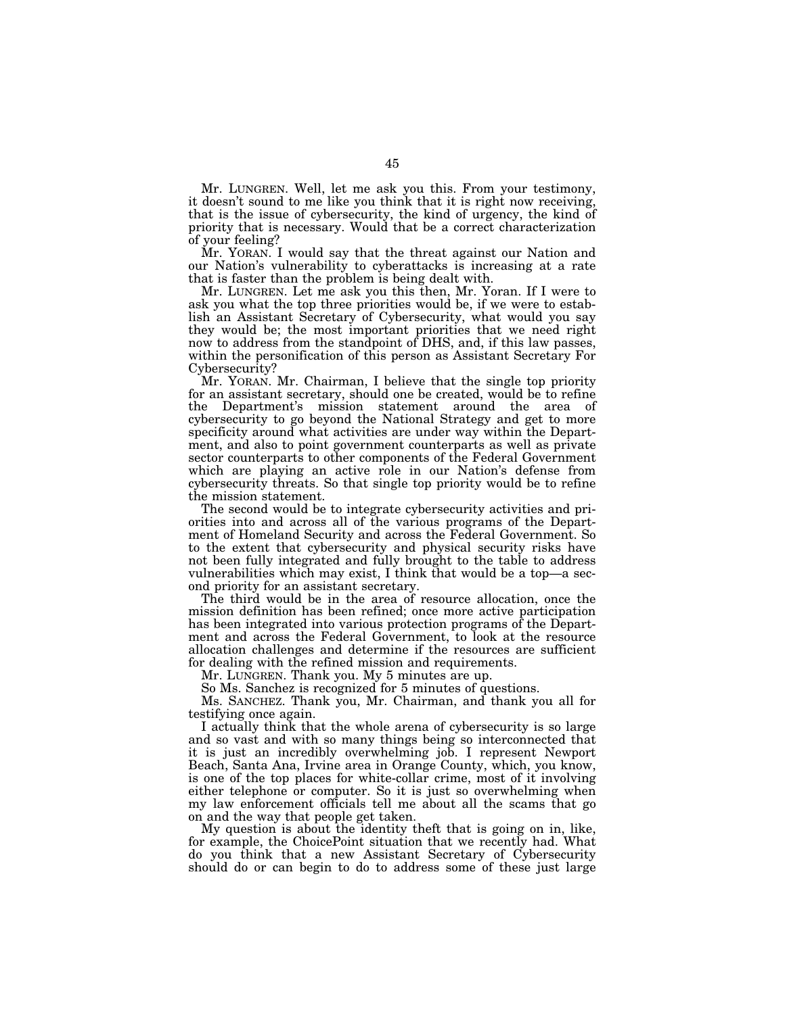Mr. LUNGREN. Well, let me ask you this. From your testimony, it doesn't sound to me like you think that it is right now receiving, that is the issue of cybersecurity, the kind of urgency, the kind of priority that is necessary. Would that be a correct characterization of your feeling?

Mr. YORAN. I would say that the threat against our Nation and our Nation's vulnerability to cyberattacks is increasing at a rate that is faster than the problem is being dealt with.

Mr. LUNGREN. Let me ask you this then, Mr. Yoran. If I were to ask you what the top three priorities would be, if we were to establish an Assistant Secretary of Cybersecurity, what would you say they would be; the most important priorities that we need right now to address from the standpoint of DHS, and, if this law passes, within the personification of this person as Assistant Secretary For Cybersecurity?

Mr. YORAN. Mr. Chairman, I believe that the single top priority for an assistant secretary, should one be created, would be to refine the Department's mission statement around the area of cybersecurity to go beyond the National Strategy and get to more specificity around what activities are under way within the Department, and also to point government counterparts as well as private sector counterparts to other components of the Federal Government which are playing an active role in our Nation's defense from cybersecurity threats. So that single top priority would be to refine the mission statement.

The second would be to integrate cybersecurity activities and priorities into and across all of the various programs of the Department of Homeland Security and across the Federal Government. So to the extent that cybersecurity and physical security risks have not been fully integrated and fully brought to the table to address vulnerabilities which may exist, I think that would be a top—a second priority for an assistant secretary.

The third would be in the area of resource allocation, once the mission definition has been refined; once more active participation has been integrated into various protection programs of the Department and across the Federal Government, to look at the resource allocation challenges and determine if the resources are sufficient for dealing with the refined mission and requirements.

Mr. LUNGREN. Thank you. My 5 minutes are up.

So Ms. Sanchez is recognized for 5 minutes of questions.

Ms. SANCHEZ. Thank you, Mr. Chairman, and thank you all for testifying once again.

I actually think that the whole arena of cybersecurity is so large and so vast and with so many things being so interconnected that it is just an incredibly overwhelming job. I represent Newport Beach, Santa Ana, Irvine area in Orange County, which, you know, is one of the top places for white-collar crime, most of it involving either telephone or computer. So it is just so overwhelming when my law enforcement officials tell me about all the scams that go on and the way that people get taken.

My question is about the identity theft that is going on in, like, for example, the ChoicePoint situation that we recently had. What do you think that a new Assistant Secretary of Cybersecurity should do or can begin to do to address some of these just large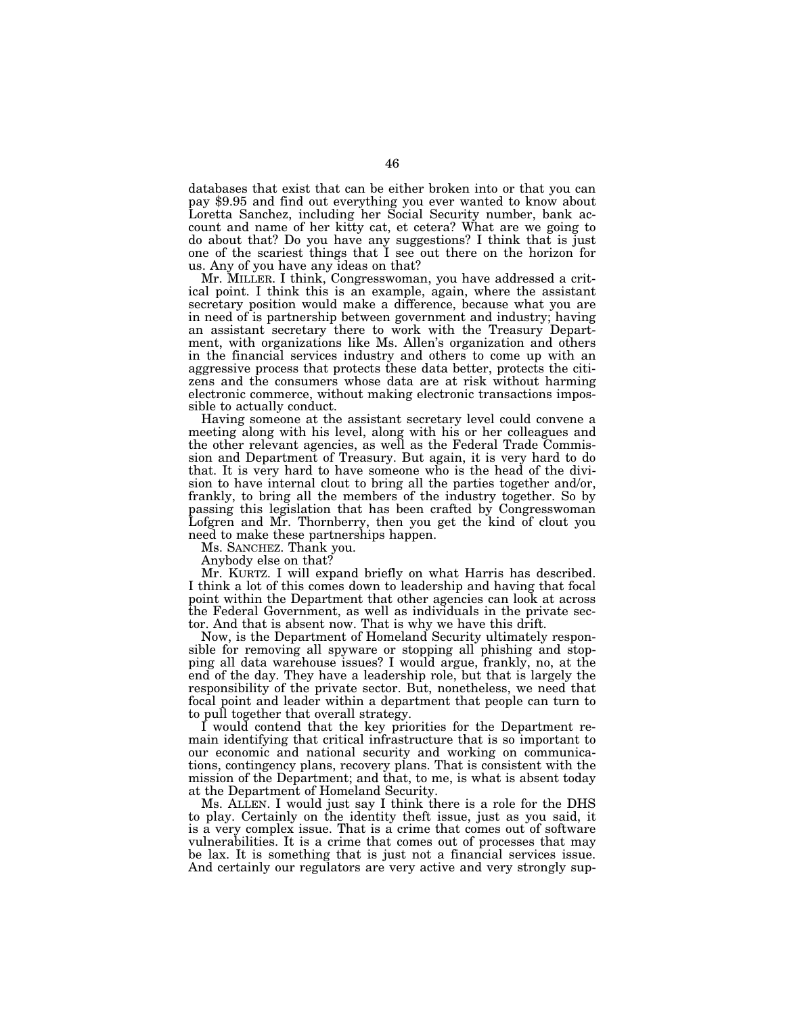databases that exist that can be either broken into or that you can pay \$9.95 and find out everything you ever wanted to know about Loretta Sanchez, including her Social Security number, bank account and name of her kitty cat, et cetera? What are we going to do about that? Do you have any suggestions? I think that is just one of the scariest things that I see out there on the horizon for us. Any of you have any ideas on that?

Mr. MILLER. I think, Congresswoman, you have addressed a critical point. I think this is an example, again, where the assistant secretary position would make a difference, because what you are in need of is partnership between government and industry; having an assistant secretary there to work with the Treasury Department, with organizations like Ms. Allen's organization and others in the financial services industry and others to come up with an aggressive process that protects these data better, protects the citizens and the consumers whose data are at risk without harming electronic commerce, without making electronic transactions impossible to actually conduct.

Having someone at the assistant secretary level could convene a meeting along with his level, along with his or her colleagues and the other relevant agencies, as well as the Federal Trade Commission and Department of Treasury. But again, it is very hard to do that. It is very hard to have someone who is the head of the division to have internal clout to bring all the parties together and/or, frankly, to bring all the members of the industry together. So by passing this legislation that has been crafted by Congresswoman Lofgren and Mr. Thornberry, then you get the kind of clout you need to make these partnerships happen.

Ms. SANCHEZ. Thank you.

Anybody else on that?

Mr. KURTZ. I will expand briefly on what Harris has described. I think a lot of this comes down to leadership and having that focal point within the Department that other agencies can look at across the Federal Government, as well as individuals in the private sector. And that is absent now. That is why we have this drift.

Now, is the Department of Homeland Security ultimately responsible for removing all spyware or stopping all phishing and stopping all data warehouse issues? I would argue, frankly, no, at the end of the day. They have a leadership role, but that is largely the responsibility of the private sector. But, nonetheless, we need that focal point and leader within a department that people can turn to to pull together that overall strategy.

I would contend that the key priorities for the Department remain identifying that critical infrastructure that is so important to our economic and national security and working on communications, contingency plans, recovery plans. That is consistent with the mission of the Department; and that, to me, is what is absent today at the Department of Homeland Security.

Ms. ALLEN. I would just say I think there is a role for the DHS to play. Certainly on the identity theft issue, just as you said, it is a very complex issue. That is a crime that comes out of software vulnerabilities. It is a crime that comes out of processes that may be lax. It is something that is just not a financial services issue. And certainly our regulators are very active and very strongly sup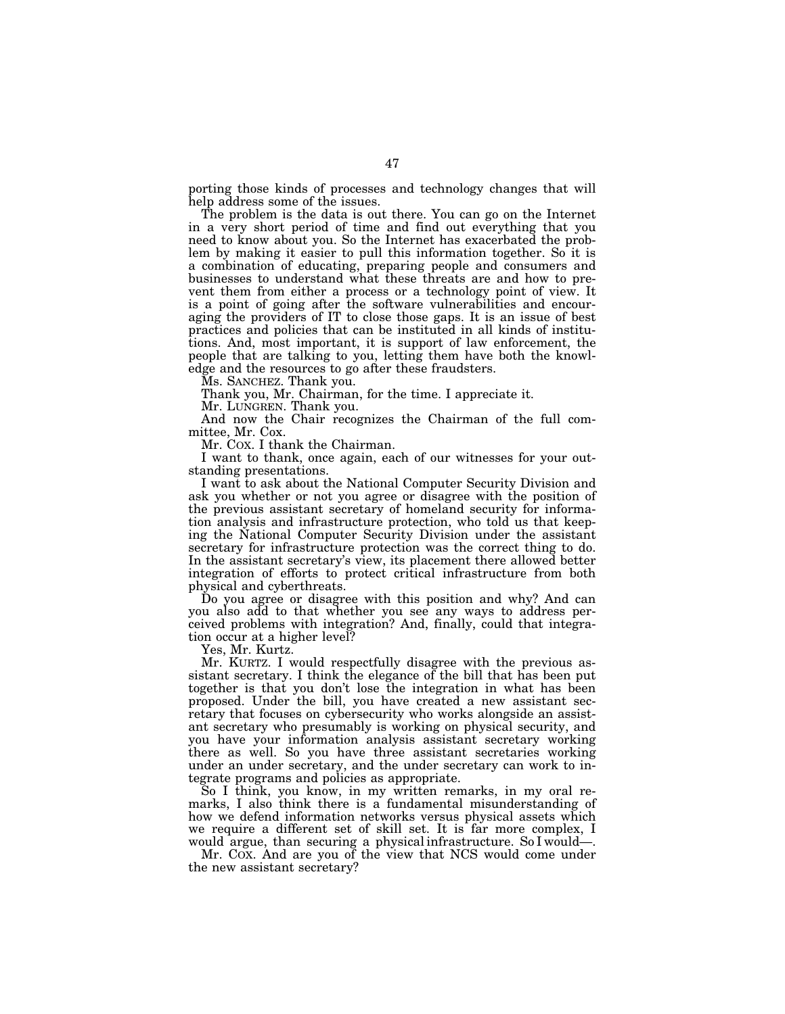porting those kinds of processes and technology changes that will help address some of the issues.

The problem is the data is out there. You can go on the Internet in a very short period of time and find out everything that you need to know about you. So the Internet has exacerbated the problem by making it easier to pull this information together. So it is a combination of educating, preparing people and consumers and businesses to understand what these threats are and how to prevent them from either a process or a technology point of view. It is a point of going after the software vulnerabilities and encouraging the providers of IT to close those gaps. It is an issue of best practices and policies that can be instituted in all kinds of institutions. And, most important, it is support of law enforcement, the people that are talking to you, letting them have both the knowledge and the resources to go after these fraudsters.

Ms. SANCHEZ. Thank you.

Thank you, Mr. Chairman, for the time. I appreciate it.

Mr. LUNGREN. Thank you.

And now the Chair recognizes the Chairman of the full committee, Mr. Cox.

Mr. COX. I thank the Chairman.

I want to thank, once again, each of our witnesses for your outstanding presentations.

I want to ask about the National Computer Security Division and ask you whether or not you agree or disagree with the position of the previous assistant secretary of homeland security for information analysis and infrastructure protection, who told us that keeping the National Computer Security Division under the assistant secretary for infrastructure protection was the correct thing to do. In the assistant secretary's view, its placement there allowed better integration of efforts to protect critical infrastructure from both physical and cyberthreats.

Do you agree or disagree with this position and why? And can you also add to that whether you see any ways to address perceived problems with integration? And, finally, could that integration occur at a higher level?

Yes, Mr. Kurtz.

Mr. KURTZ. I would respectfully disagree with the previous assistant secretary. I think the elegance of the bill that has been put together is that you don't lose the integration in what has been proposed. Under the bill, you have created a new assistant secretary that focuses on cybersecurity who works alongside an assistant secretary who presumably is working on physical security, and you have your information analysis assistant secretary working there as well. So you have three assistant secretaries working under an under secretary, and the under secretary can work to integrate programs and policies as appropriate.

So I think, you know, in my written remarks, in my oral remarks, I also think there is a fundamental misunderstanding of how we defend information networks versus physical assets which we require a different set of skill set. It is far more complex, I would argue, than securing a physical infrastructure. So I would—.

Mr. COX. And are you of the view that NCS would come under the new assistant secretary?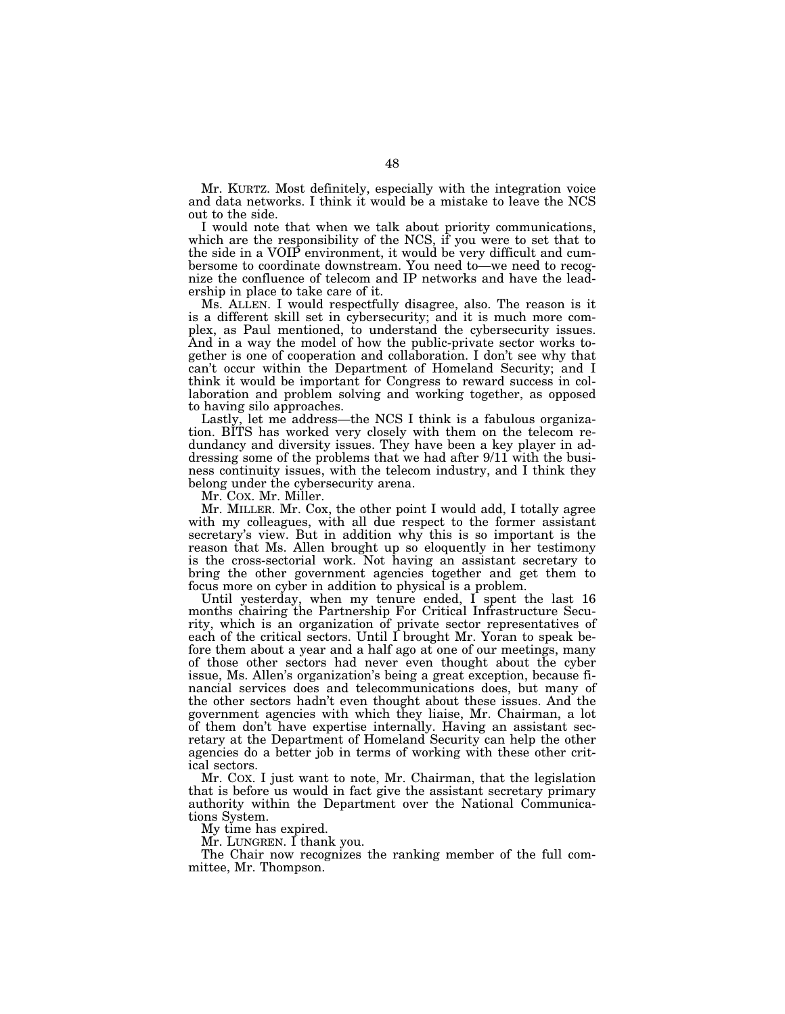Mr. KURTZ. Most definitely, especially with the integration voice and data networks. I think it would be a mistake to leave the NCS out to the side.

I would note that when we talk about priority communications, which are the responsibility of the NCS, if you were to set that to the side in a VOIP environment, it would be very difficult and cumbersome to coordinate downstream. You need to—we need to recognize the confluence of telecom and IP networks and have the leadership in place to take care of it.

Ms. ALLEN. I would respectfully disagree, also. The reason is it is a different skill set in cybersecurity; and it is much more complex, as Paul mentioned, to understand the cybersecurity issues. And in a way the model of how the public-private sector works together is one of cooperation and collaboration. I don't see why that can't occur within the Department of Homeland Security; and I think it would be important for Congress to reward success in collaboration and problem solving and working together, as opposed to having silo approaches.

Lastly, let me address—the NCS I think is a fabulous organization. BITS has worked very closely with them on the telecom redundancy and diversity issues. They have been a key player in addressing some of the problems that we had after 9/11 with the business continuity issues, with the telecom industry, and I think they belong under the cybersecurity arena.

Mr. COX. Mr. Miller.

Mr. MILLER. Mr. Cox, the other point I would add, I totally agree with my colleagues, with all due respect to the former assistant secretary's view. But in addition why this is so important is the reason that Ms. Allen brought up so eloquently in her testimony is the cross-sectorial work. Not having an assistant secretary to bring the other government agencies together and get them to focus more on cyber in addition to physical is a problem.

Until yesterday, when my tenure ended, I spent the last 16 months chairing the Partnership For Critical Infrastructure Security, which is an organization of private sector representatives of each of the critical sectors. Until I brought Mr. Yoran to speak before them about a year and a half ago at one of our meetings, many of those other sectors had never even thought about the cyber issue, Ms. Allen's organization's being a great exception, because financial services does and telecommunications does, but many of the other sectors hadn't even thought about these issues. And the government agencies with which they liaise, Mr. Chairman, a lot of them don't have expertise internally. Having an assistant secretary at the Department of Homeland Security can help the other agencies do a better job in terms of working with these other critical sectors.

Mr. COX. I just want to note, Mr. Chairman, that the legislation that is before us would in fact give the assistant secretary primary authority within the Department over the National Communications System.

My time has expired.

Mr. LUNGREN. I thank you.

The Chair now recognizes the ranking member of the full committee, Mr. Thompson.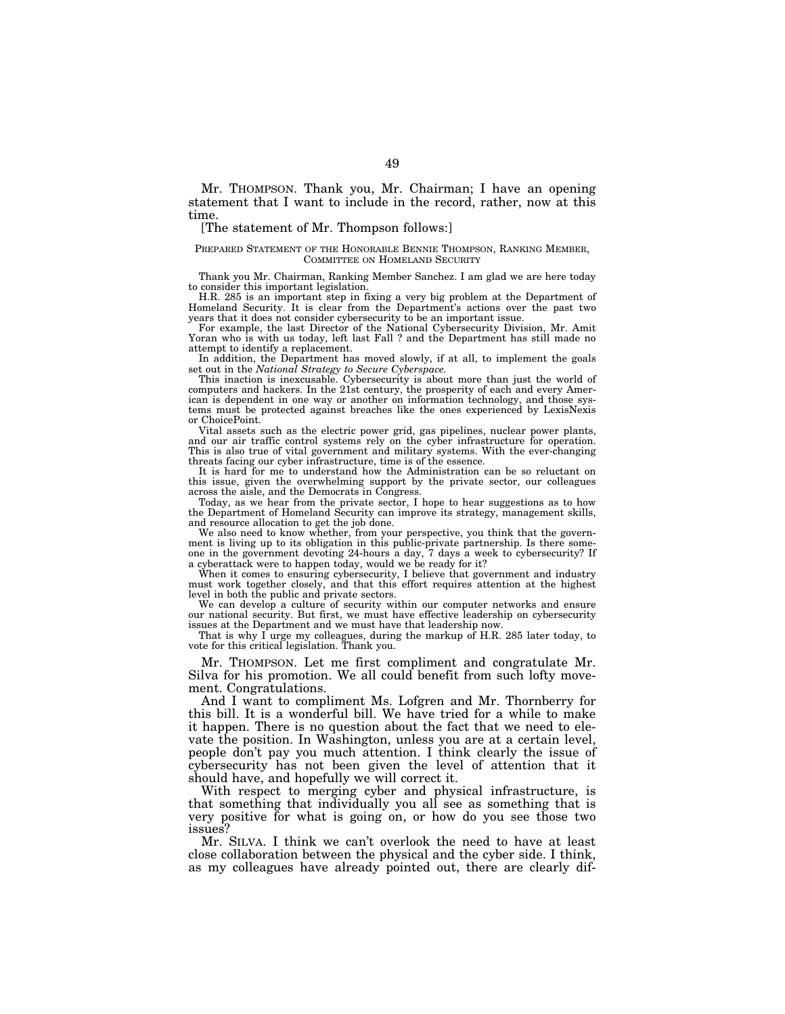Mr. THOMPSON. Thank you, Mr. Chairman; I have an opening statement that I want to include in the record, rather, now at this time.

## [The statement of Mr. Thompson follows:]

#### PREPARED STATEMENT OF THE HONORABLE BENNIE THOMPSON, RANKING MEMBER, COMMITTEE ON HOMELAND SECURITY

Thank you Mr. Chairman, Ranking Member Sanchez. I am glad we are here today to consider this important legislation.

H.R. 285 is an important step in fixing a very big problem at the Department of Homeland Security. It is clear from the Department's actions over the past two years that it does not consider cybersecurity to be an important issue.

For example, the last Director of the National Cybersecurity Division, Mr. Amit Yoran who is with us today, left last Fall ? and the Department has still made no attempt to identify a replacement.

In addition, the Department has moved slowly, if at all, to implement the goals set out in the *National Strategy to Secure Cyberspace.* 

This inaction is inexcusable. Cybersecurity is about more than just the world of computers and hackers. In the 21st century, the prosperity of each and every American is dependent in one way or another on information technology, and those systems must be protected against breaches like the ones experienced by LexisNexis or ChoicePoint.

Vital assets such as the electric power grid, gas pipelines, nuclear power plants, and our air traffic control systems rely on the cyber infrastructure for operation. This is also true of vital government and military systems. With the ever-changing threats facing our cyber infrastructure, time is of the essence.

It is hard for me to understand how the Administration can be so reluctant on this issue, given the overwhelming support by the private sector, our colleagues across the aisle, and the Democrats in Congress.

Today, as we hear from the private sector, I hope to hear suggestions as to how the Department of Homeland Security can improve its strategy, management skills, and resource allocation to get the job done.

We also need to know whether, from your perspective, you think that the government is living up to its obligation in this public-private partnership. Is there someone in the government devoting 24-hours a day, 7 days a week to cybersecurity? If a cyberattack were to happen today, would we be ready for it?

When it comes to ensuring cybersecurity, I believe that government and industry must work together closely, and that this effort requires attention at the highest level in both the public and private sectors.

We can develop a culture of security within our computer networks and ensure our national security. But first, we must have effective leadership on cybersecurity issues at the Department and we must have that leadership now.

That is why I urge my colleagues, during the markup of H.R. 285 later today, to vote for this critical legislation. Thank you.

Mr. THOMPSON. Let me first compliment and congratulate Mr. Silva for his promotion. We all could benefit from such lofty movement. Congratulations.

And I want to compliment Ms. Lofgren and Mr. Thornberry for this bill. It is a wonderful bill. We have tried for a while to make it happen. There is no question about the fact that we need to elevate the position. In Washington, unless you are at a certain level, people don't pay you much attention. I think clearly the issue of cybersecurity has not been given the level of attention that it should have, and hopefully we will correct it.

With respect to merging cyber and physical infrastructure, is that something that individually you all see as something that is very positive for what is going on, or how do you see those two issues?

Mr. SILVA. I think we can't overlook the need to have at least close collaboration between the physical and the cyber side. I think, as my colleagues have already pointed out, there are clearly dif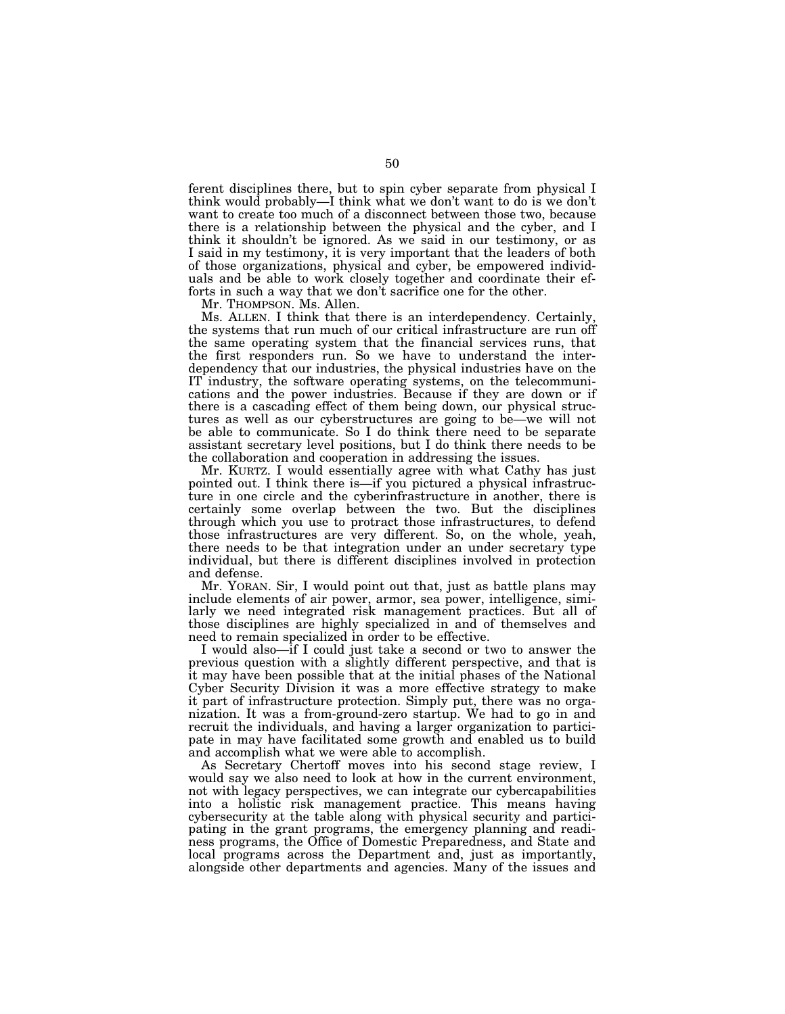ferent disciplines there, but to spin cyber separate from physical I think would probably—I think what we don't want to do is we don't want to create too much of a disconnect between those two, because there is a relationship between the physical and the cyber, and I think it shouldn't be ignored. As we said in our testimony, or as I said in my testimony, it is very important that the leaders of both of those organizations, physical and cyber, be empowered individuals and be able to work closely together and coordinate their efforts in such a way that we don't sacrifice one for the other.

Mr. THOMPSON. Ms. Allen.

Ms. ALLEN. I think that there is an interdependency. Certainly, the systems that run much of our critical infrastructure are run off the same operating system that the financial services runs, that the first responders run. So we have to understand the interdependency that our industries, the physical industries have on the IT industry, the software operating systems, on the telecommunications and the power industries. Because if they are down or if there is a cascading effect of them being down, our physical structures as well as our cyberstructures are going to be—we will not be able to communicate. So I do think there need to be separate assistant secretary level positions, but I do think there needs to be the collaboration and cooperation in addressing the issues.

Mr. KURTZ. I would essentially agree with what Cathy has just pointed out. I think there is—if you pictured a physical infrastructure in one circle and the cyberinfrastructure in another, there is certainly some overlap between the two. But the disciplines through which you use to protract those infrastructures, to defend those infrastructures are very different. So, on the whole, yeah, there needs to be that integration under an under secretary type individual, but there is different disciplines involved in protection and defense.

Mr. YORAN. Sir, I would point out that, just as battle plans may include elements of air power, armor, sea power, intelligence, similarly we need integrated risk management practices. But all of those disciplines are highly specialized in and of themselves and need to remain specialized in order to be effective.

I would also—if I could just take a second or two to answer the previous question with a slightly different perspective, and that is it may have been possible that at the initial phases of the National Cyber Security Division it was a more effective strategy to make it part of infrastructure protection. Simply put, there was no organization. It was a from-ground-zero startup. We had to go in and recruit the individuals, and having a larger organization to participate in may have facilitated some growth and enabled us to build and accomplish what we were able to accomplish.

As Secretary Chertoff moves into his second stage review, I would say we also need to look at how in the current environment, not with legacy perspectives, we can integrate our cybercapabilities into a holistic risk management practice. This means having cybersecurity at the table along with physical security and participating in the grant programs, the emergency planning and readiness programs, the Office of Domestic Preparedness, and State and local programs across the Department and, just as importantly, alongside other departments and agencies. Many of the issues and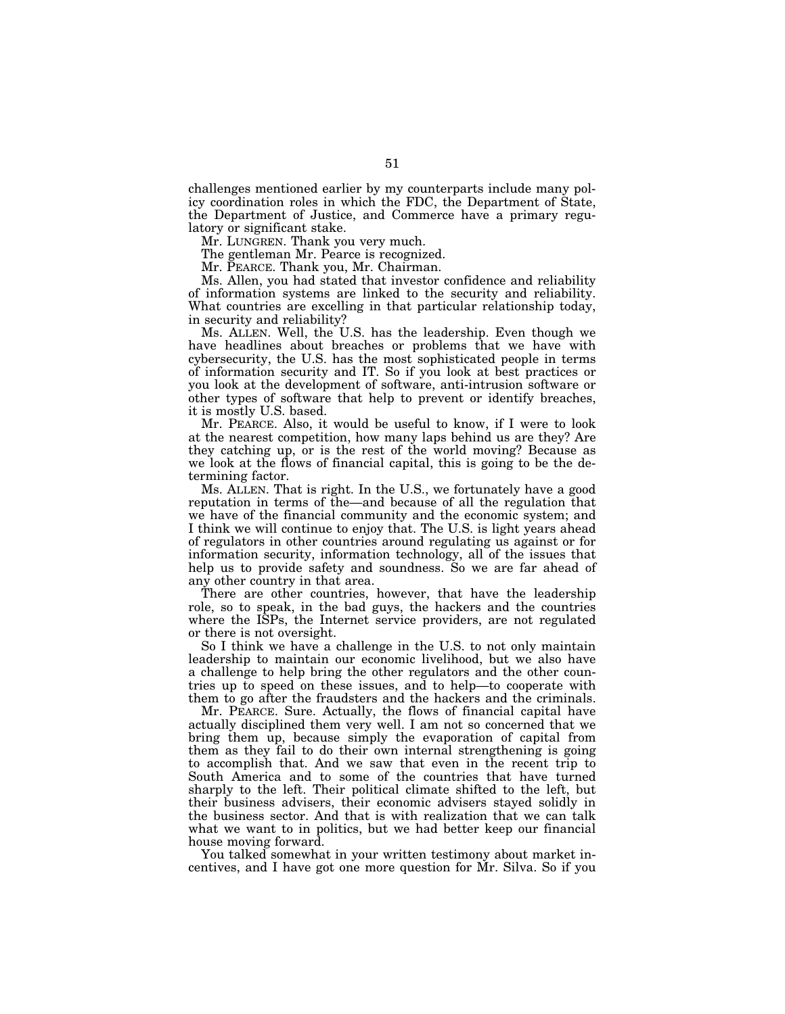challenges mentioned earlier by my counterparts include many policy coordination roles in which the FDC, the Department of State, the Department of Justice, and Commerce have a primary regulatory or significant stake.

Mr. LUNGREN. Thank you very much.

The gentleman Mr. Pearce is recognized.

Mr. PEARCE. Thank you, Mr. Chairman.

Ms. Allen, you had stated that investor confidence and reliability of information systems are linked to the security and reliability. What countries are excelling in that particular relationship today, in security and reliability?

Ms. ALLEN. Well, the U.S. has the leadership. Even though we have headlines about breaches or problems that we have with cybersecurity, the U.S. has the most sophisticated people in terms of information security and IT. So if you look at best practices or you look at the development of software, anti-intrusion software or other types of software that help to prevent or identify breaches, it is mostly U.S. based.

Mr. PEARCE. Also, it would be useful to know, if I were to look at the nearest competition, how many laps behind us are they? Are they catching up, or is the rest of the world moving? Because as we look at the flows of financial capital, this is going to be the determining factor.

Ms. ALLEN. That is right. In the U.S., we fortunately have a good reputation in terms of the—and because of all the regulation that we have of the financial community and the economic system; and I think we will continue to enjoy that. The U.S. is light years ahead of regulators in other countries around regulating us against or for information security, information technology, all of the issues that help us to provide safety and soundness. So we are far ahead of any other country in that area.

There are other countries, however, that have the leadership role, so to speak, in the bad guys, the hackers and the countries where the ISPs, the Internet service providers, are not regulated or there is not oversight.

So I think we have a challenge in the U.S. to not only maintain leadership to maintain our economic livelihood, but we also have a challenge to help bring the other regulators and the other countries up to speed on these issues, and to help—to cooperate with them to go after the fraudsters and the hackers and the criminals.

Mr. PEARCE. Sure. Actually, the flows of financial capital have actually disciplined them very well. I am not so concerned that we bring them up, because simply the evaporation of capital from them as they fail to do their own internal strengthening is going to accomplish that. And we saw that even in the recent trip to South America and to some of the countries that have turned sharply to the left. Their political climate shifted to the left, but their business advisers, their economic advisers stayed solidly in the business sector. And that is with realization that we can talk what we want to in politics, but we had better keep our financial house moving forward.

You talked somewhat in your written testimony about market incentives, and I have got one more question for Mr. Silva. So if you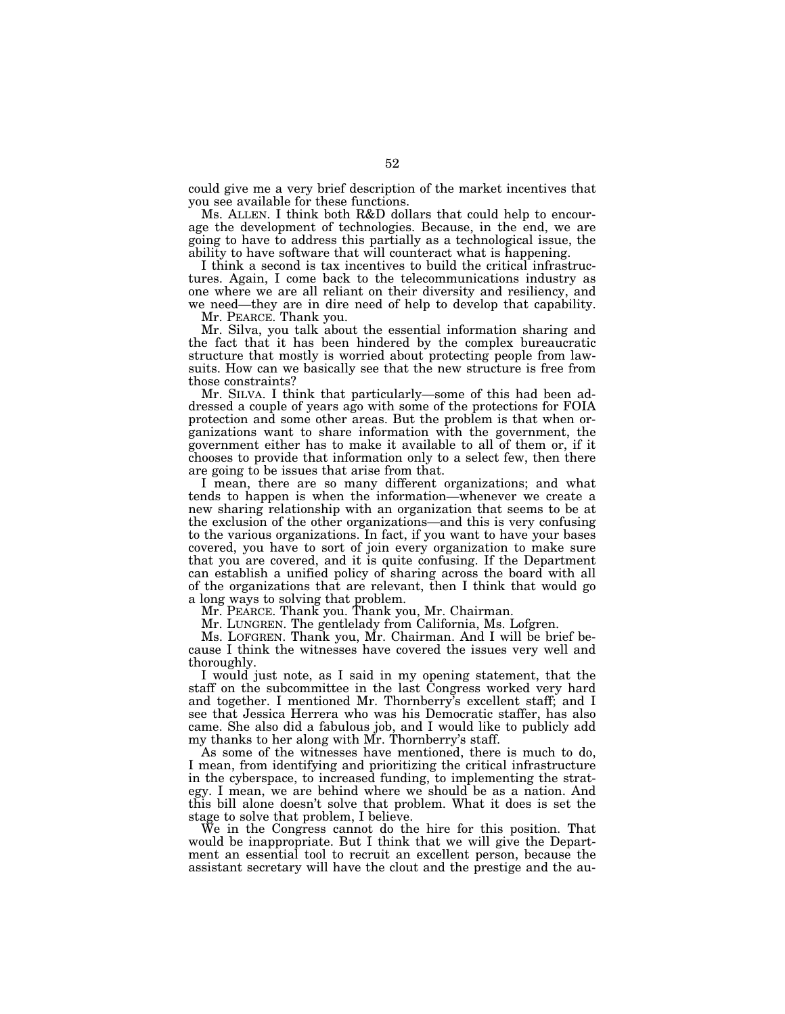could give me a very brief description of the market incentives that you see available for these functions.

Ms. ALLEN. I think both R&D dollars that could help to encourage the development of technologies. Because, in the end, we are going to have to address this partially as a technological issue, the ability to have software that will counteract what is happening.

I think a second is tax incentives to build the critical infrastructures. Again, I come back to the telecommunications industry as one where we are all reliant on their diversity and resiliency, and we need—they are in dire need of help to develop that capability.

Mr. PEARCE. Thank you.

Mr. Silva, you talk about the essential information sharing and the fact that it has been hindered by the complex bureaucratic structure that mostly is worried about protecting people from lawsuits. How can we basically see that the new structure is free from those constraints?

Mr. SILVA. I think that particularly—some of this had been addressed a couple of years ago with some of the protections for FOIA protection and some other areas. But the problem is that when organizations want to share information with the government, the government either has to make it available to all of them or, if it chooses to provide that information only to a select few, then there are going to be issues that arise from that.

I mean, there are so many different organizations; and what tends to happen is when the information—whenever we create a new sharing relationship with an organization that seems to be at the exclusion of the other organizations—and this is very confusing to the various organizations. In fact, if you want to have your bases covered, you have to sort of join every organization to make sure that you are covered, and it is quite confusing. If the Department can establish a unified policy of sharing across the board with all of the organizations that are relevant, then I think that would go a long ways to solving that problem.

Mr. PEARCE. Thank you. Thank you, Mr. Chairman.

Mr. LUNGREN. The gentlelady from California, Ms. Lofgren.

Ms. LOFGREN. Thank you, Mr. Chairman. And I will be brief because I think the witnesses have covered the issues very well and thoroughly.

I would just note, as I said in my opening statement, that the staff on the subcommittee in the last Congress worked very hard and together. I mentioned Mr. Thornberry's excellent staff; and I see that Jessica Herrera who was his Democratic staffer, has also came. She also did a fabulous job, and I would like to publicly add my thanks to her along with Mr. Thornberry's staff.

As some of the witnesses have mentioned, there is much to do, I mean, from identifying and prioritizing the critical infrastructure in the cyberspace, to increased funding, to implementing the strategy. I mean, we are behind where we should be as a nation. And this bill alone doesn't solve that problem. What it does is set the stage to solve that problem, I believe.

We in the Congress cannot do the hire for this position. That would be inappropriate. But I think that we will give the Department an essential tool to recruit an excellent person, because the assistant secretary will have the clout and the prestige and the au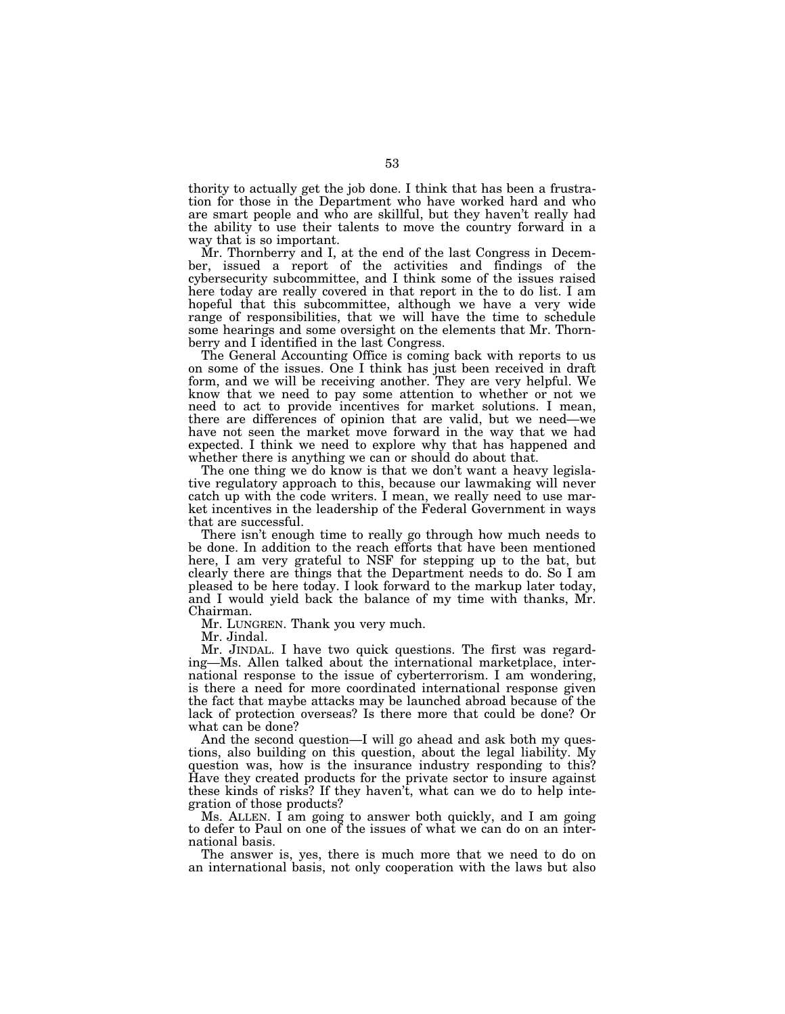thority to actually get the job done. I think that has been a frustration for those in the Department who have worked hard and who are smart people and who are skillful, but they haven't really had the ability to use their talents to move the country forward in a way that is so important.

Mr. Thornberry and I, at the end of the last Congress in December, issued a report of the activities and findings of the cybersecurity subcommittee, and I think some of the issues raised here today are really covered in that report in the to do list. I am hopeful that this subcommittee, although we have a very wide range of responsibilities, that we will have the time to schedule some hearings and some oversight on the elements that Mr. Thornberry and I identified in the last Congress.

The General Accounting Office is coming back with reports to us on some of the issues. One I think has just been received in draft form, and we will be receiving another. They are very helpful. We know that we need to pay some attention to whether or not we need to act to provide incentives for market solutions. I mean, there are differences of opinion that are valid, but we need—we have not seen the market move forward in the way that we had expected. I think we need to explore why that has happened and whether there is anything we can or should do about that.

The one thing we do know is that we don't want a heavy legislative regulatory approach to this, because our lawmaking will never catch up with the code writers. I mean, we really need to use market incentives in the leadership of the Federal Government in ways that are successful.

There isn't enough time to really go through how much needs to be done. In addition to the reach efforts that have been mentioned here, I am very grateful to NSF for stepping up to the bat, but clearly there are things that the Department needs to do. So I am pleased to be here today. I look forward to the markup later today, and I would yield back the balance of my time with thanks, Mr. Chairman.

Mr. LUNGREN. Thank you very much.

Mr. Jindal.

Mr. JINDAL. I have two quick questions. The first was regarding—Ms. Allen talked about the international marketplace, international response to the issue of cyberterrorism. I am wondering, is there a need for more coordinated international response given the fact that maybe attacks may be launched abroad because of the lack of protection overseas? Is there more that could be done? Or what can be done?

And the second question—I will go ahead and ask both my questions, also building on this question, about the legal liability. My question was, how is the insurance industry responding to this? Have they created products for the private sector to insure against these kinds of risks? If they haven't, what can we do to help integration of those products?

Ms. ALLEN. I am going to answer both quickly, and I am going to defer to Paul on one of the issues of what we can do on an international basis.

The answer is, yes, there is much more that we need to do on an international basis, not only cooperation with the laws but also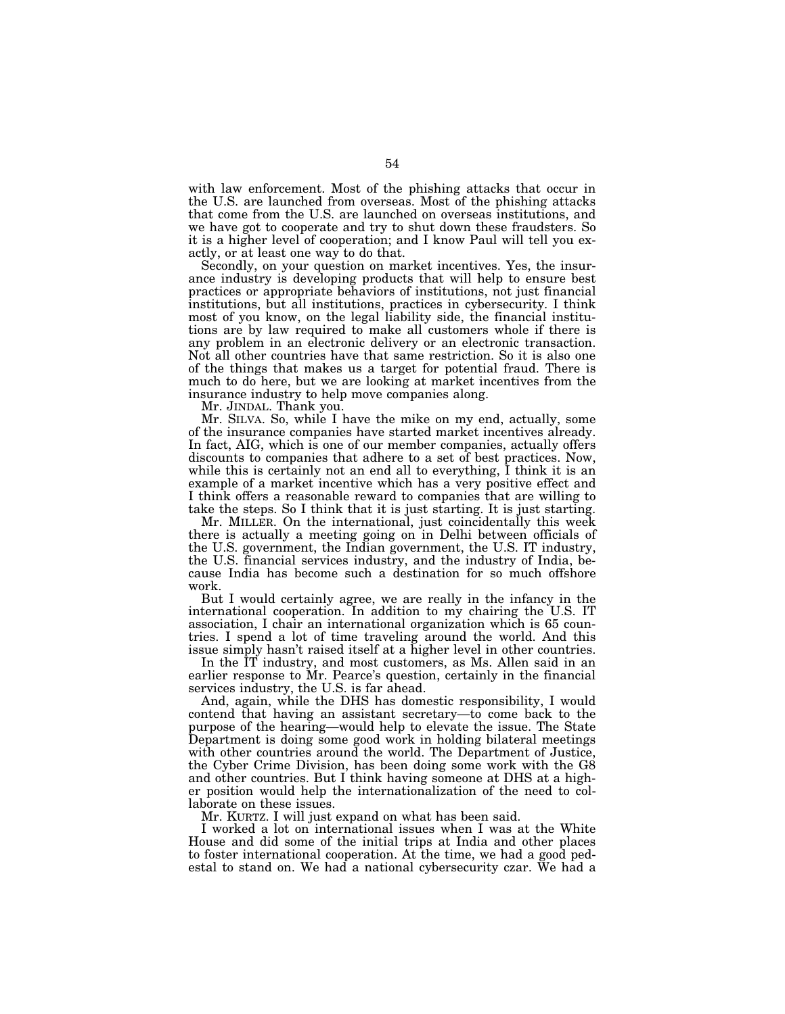with law enforcement. Most of the phishing attacks that occur in the U.S. are launched from overseas. Most of the phishing attacks that come from the U.S. are launched on overseas institutions, and we have got to cooperate and try to shut down these fraudsters. So it is a higher level of cooperation; and I know Paul will tell you exactly, or at least one way to do that.

Secondly, on your question on market incentives. Yes, the insurance industry is developing products that will help to ensure best practices or appropriate behaviors of institutions, not just financial institutions, but all institutions, practices in cybersecurity. I think most of you know, on the legal liability side, the financial institutions are by law required to make all customers whole if there is any problem in an electronic delivery or an electronic transaction. Not all other countries have that same restriction. So it is also one of the things that makes us a target for potential fraud. There is much to do here, but we are looking at market incentives from the insurance industry to help move companies along.

Mr. JINDAL. Thank you.

Mr. SILVA. So, while I have the mike on my end, actually, some of the insurance companies have started market incentives already. In fact, AIG, which is one of our member companies, actually offers discounts to companies that adhere to a set of best practices. Now, while this is certainly not an end all to everything, I think it is an example of a market incentive which has a very positive effect and I think offers a reasonable reward to companies that are willing to take the steps. So I think that it is just starting. It is just starting.

Mr. MILLER. On the international, just coincidentally this week there is actually a meeting going on in Delhi between officials of the U.S. government, the Indian government, the U.S. IT industry, the U.S. financial services industry, and the industry of India, because India has become such a destination for so much offshore work.

But I would certainly agree, we are really in the infancy in the international cooperation. In addition to my chairing the U.S. IT association, I chair an international organization which is 65 countries. I spend a lot of time traveling around the world. And this issue simply hasn't raised itself at a higher level in other countries.

In the IT industry, and most customers, as Ms. Allen said in an earlier response to Mr. Pearce's question, certainly in the financial services industry, the U.S. is far ahead.

And, again, while the DHS has domestic responsibility, I would contend that having an assistant secretary—to come back to the purpose of the hearing—would help to elevate the issue. The State Department is doing some good work in holding bilateral meetings with other countries around the world. The Department of Justice, the Cyber Crime Division, has been doing some work with the G8 and other countries. But I think having someone at DHS at a higher position would help the internationalization of the need to collaborate on these issues.

Mr. KURTZ. I will just expand on what has been said.

I worked a lot on international issues when I was at the White House and did some of the initial trips at India and other places to foster international cooperation. At the time, we had a good pedestal to stand on. We had a national cybersecurity czar. We had a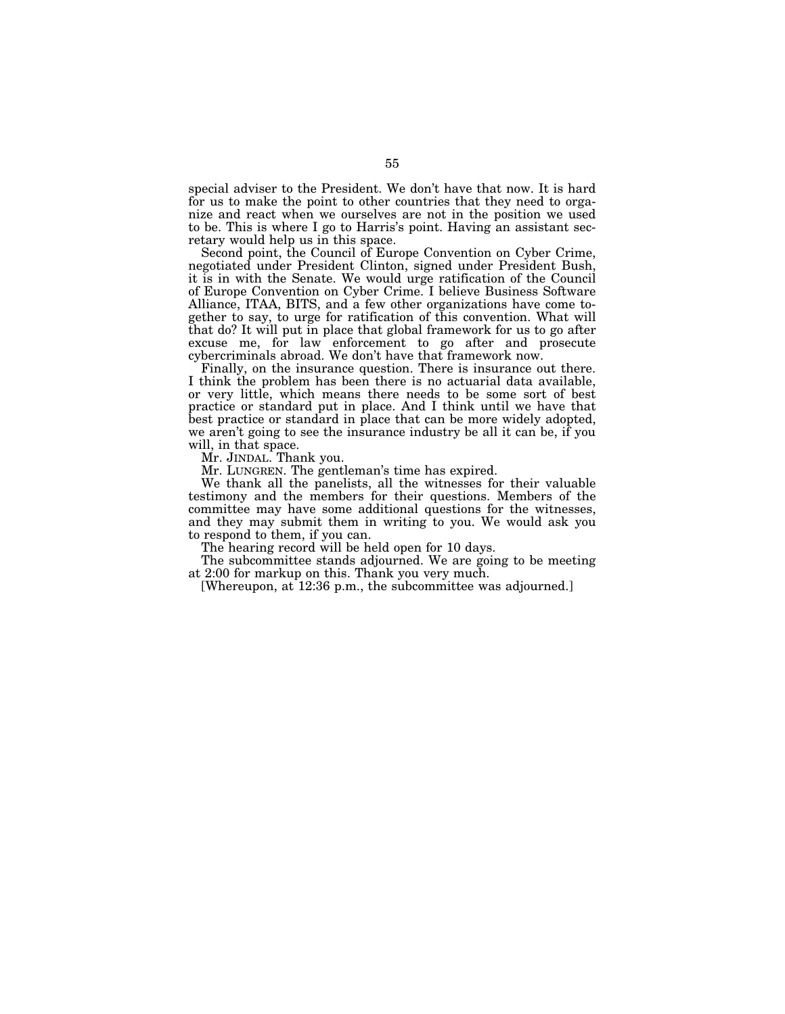special adviser to the President. We don't have that now. It is hard for us to make the point to other countries that they need to organize and react when we ourselves are not in the position we used to be. This is where I go to Harris's point. Having an assistant secretary would help us in this space.

Second point, the Council of Europe Convention on Cyber Crime, negotiated under President Clinton, signed under President Bush, it is in with the Senate. We would urge ratification of the Council of Europe Convention on Cyber Crime. I believe Business Software Alliance, ITAA, BITS, and a few other organizations have come together to say, to urge for ratification of this convention. What will that do? It will put in place that global framework for us to go after excuse me, for law enforcement to go after and prosecute cybercriminals abroad. We don't have that framework now.

Finally, on the insurance question. There is insurance out there. I think the problem has been there is no actuarial data available, or very little, which means there needs to be some sort of best practice or standard put in place. And I think until we have that best practice or standard in place that can be more widely adopted, we aren't going to see the insurance industry be all it can be, if you will, in that space.

Mr. JINDAL. Thank you.

Mr. LUNGREN. The gentleman's time has expired.

We thank all the panelists, all the witnesses for their valuable testimony and the members for their questions. Members of the committee may have some additional questions for the witnesses, and they may submit them in writing to you. We would ask you to respond to them, if you can.

The hearing record will be held open for 10 days.

The subcommittee stands adjourned. We are going to be meeting at 2:00 for markup on this. Thank you very much.

[Whereupon, at 12:36 p.m., the subcommittee was adjourned.]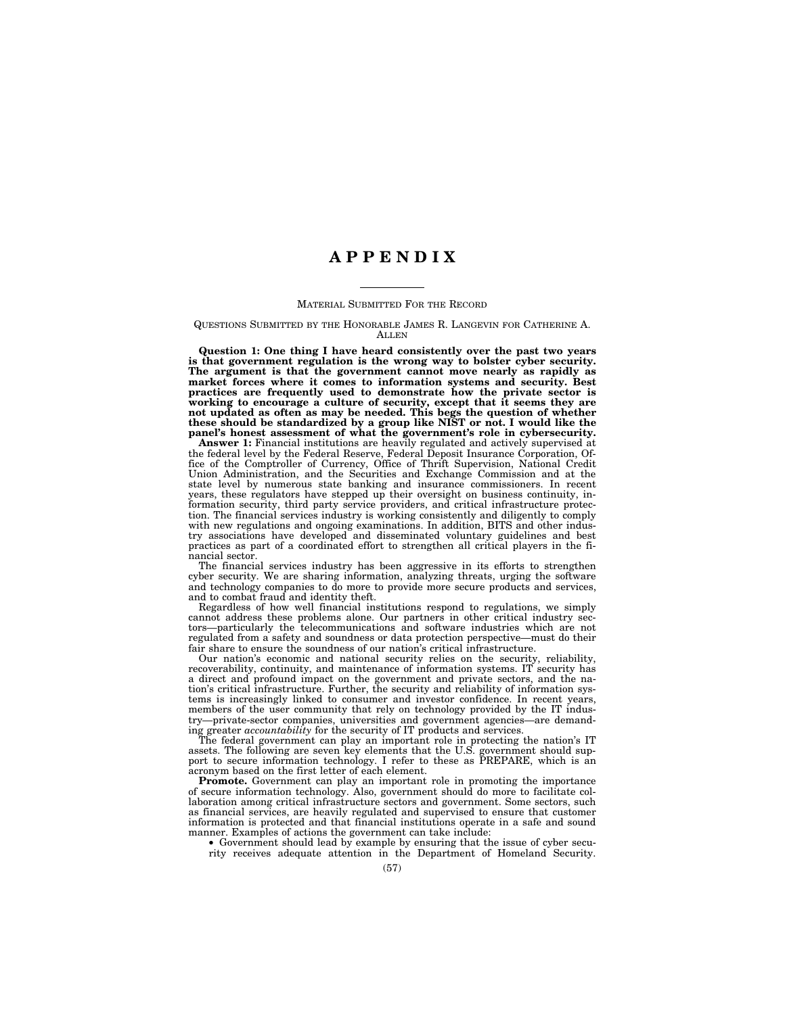## **A P P E N D I X**

#### MATERIAL SUBMITTED FOR THE RECORD

#### QUESTIONS SUBMITTED BY THE HONORABLE JAMES R. LANGEVIN FOR CATHERINE A. **ALLEN**

**Question 1: One thing I have heard consistently over the past two years is that government regulation is the wrong way to bolster cyber security. The argument is that the government cannot move nearly as rapidly as market forces where it comes to information systems and security. Best practices are frequently used to demonstrate how the private sector is working to encourage a culture of security, except that it seems they are not updated as often as may be needed. This begs the question of whether these should be standardized by a group like NIST or not. I would like the panel's honest assessment of what the government's role in cybersecurity.** 

**Answer 1:** Financial institutions are heavily regulated and actively supervised at the federal level by the Federal Reserve, Federal Deposit Insurance Corporation, Office of the Comptroller of Currency, Office of Thrift Supervision, National Credit Union Administration, and the Securities and Exchange Commission and at the state level by numerous state banking and insurance commissioners. In recent years, these regulators have stepped up their oversight on business continuity, information security, third party service providers, and critical infrastructure protection. The financial services industry is working consistently and diligently to comply with new regulations and ongoing examinations. In addition, BITS and other industry associations have developed and disseminated voluntary guidelines and best practices as part of a coordinated effort to strengthen all critical players in the financial sector.

The financial services industry has been aggressive in its efforts to strengthen cyber security. We are sharing information, analyzing threats, urging the software and technology companies to do more to provide more secure products and services, and to combat fraud and identity theft.

Regardless of how well financial institutions respond to regulations, we simply cannot address these problems alone. Our partners in other critical industry sectors—particularly the telecommunications and software industries which are not regulated from a safety and soundness or data protection perspective—must do their fair share to ensure the soundness of our nation's critical infrastructure.

Our nation's economic and national security relies on the security, reliability, recoverability, continuity, and maintenance of information systems. IT security has a direct and profound impact on the government and private sectors, and the nation's critical infrastructure. Further, the security and reliability of information systems is increasingly linked to consumer and investor confidence. In recent years, members of the user community that rely on technology provided by the IT industry—private-sector companies, universities and government agencies—are demanding greater *accountability* for the security of IT products and services.

The federal government can play an important role in protecting the nation's IT assets. The following are seven key elements that the U.S. government should support to secure information technology. I refer to these as PREPARE, which is an acronym based on the first letter of each element.

**Promote.** Government can play an important role in promoting the importance of secure information technology. Also, government should do more to facilitate collaboration among critical infrastructure sectors and government. Some sectors, such as financial services, are heavily regulated and supervised to ensure that customer information is protected and that financial institutions operate in a safe and sound manner. Examples of actions the government can take include:

• Government should lead by example by ensuring that the issue of cyber security receives adequate attention in the Department of Homeland Security.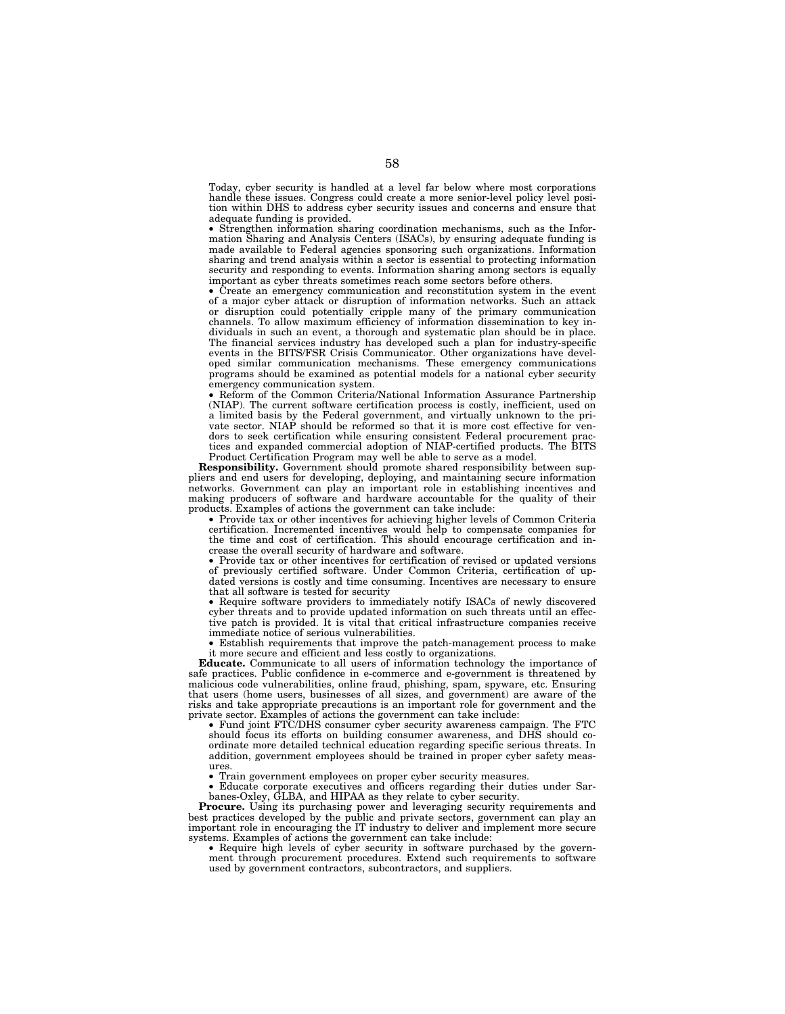Today, cyber security is handled at a level far below where most corporations handle these issues. Congress could create a more senior-level policy level position within DHS to address cyber security issues and concerns and ensure that adequate funding is provided.

• Strengthen information sharing coordination mechanisms, such as the Information Sharing and Analysis Centers (ISACs), by ensuring adequate funding is made available to Federal agencies sponsoring such organizations. Information sharing and trend analysis within a sector is essential to protecting information security and responding to events. Information sharing among sectors is equally important as cyber threats sometimes reach some sectors before others.

• Create an emergency communication and reconstitution system in the event of a major cyber attack or disruption of information networks. Such an attack or disruption could potentially cripple many of the primary communication channels. To allow maximum efficiency of information dissemination to key individuals in such an event, a thorough and systematic plan should be in place. The financial services industry has developed such a plan for industry-specific events in the BITS/FSR Crisis Communicator. Other organizations have developed similar communication mechanisms. These emergency communications programs should be examined as potential models for a national cyber security emergency communication system.

• Reform of the Common Criteria/National Information Assurance Partnership (NIAP). The current software certification process is costly, inefficient, used on a limited basis by the Federal government, and virtually unknown to the private sector. NIAP should be reformed so that it is more cost effective for vendors to seek certification while ensuring consistent Federal procurement practices and expanded commercial adoption of NIAP-certified products. The BITS Product Certification Program may well be able to serve as a model.

**Responsibility.** Government should promote shared responsibility between suppliers and end users for developing, deploying, and maintaining secure information networks. Government can play an important role in establishing incentives and making producers of software and hardware accountable for the quality of their products. Examples of actions the government can take include:

• Provide tax or other incentives for achieving higher levels of Common Criteria certification. Incremented incentives would help to compensate companies for the time and cost of certification. This should encourage certification and increase the overall security of hardware and software.

• Provide tax or other incentives for certification of revised or updated versions of previously certified software. Under Common Criteria, certification of updated versions is costly and time consuming. Incentives are necessary to ensure that all software is tested for security

• Require software providers to immediately notify ISACs of newly discovered cyber threats and to provide updated information on such threats until an effective patch is provided. It is vital that critical infrastructure companies receive immediate notice of serious vulnerabilities.

• Establish requirements that improve the patch-management process to make it more secure and efficient and less costly to organizations.

**Educate.** Communicate to all users of information technology the importance of safe practices. Public confidence in e-commerce and e-government is threatened by malicious code vulnerabilities, online fraud, phishing, spam, spyware, etc. Ensuring that users (home users, businesses of all sizes, and government) are aware of the risks and take appropriate precautions is an important role for government and the private sector. Examples of actions the government can take include:

• Fund joint FTC/DHS consumer cyber security awareness campaign. The FTC should focus its efforts on building consumer awareness, and DHS should coordinate more detailed technical education regarding specific serious threats. In addition, government employees should be trained in proper cyber safety measures.

• Train government employees on proper cyber security measures.<br>• Educate corporate executives and officers regarding their duti-

• Educate corporate executives and officers regarding their duties under Sarbanes-Oxley, GLBA, and HIPAA as they relate to cyber security.

**Procure.** Using its purchasing power and leveraging security requirements and best practices developed by the public and private sectors, government can play an important role in encouraging the IT industry to deliver and implement more secure systems. Examples of actions the government can take include:

• Require high levels of cyber security in software purchased by the government through procurement procedures. Extend such requirements to software used by government contractors, subcontractors, and suppliers.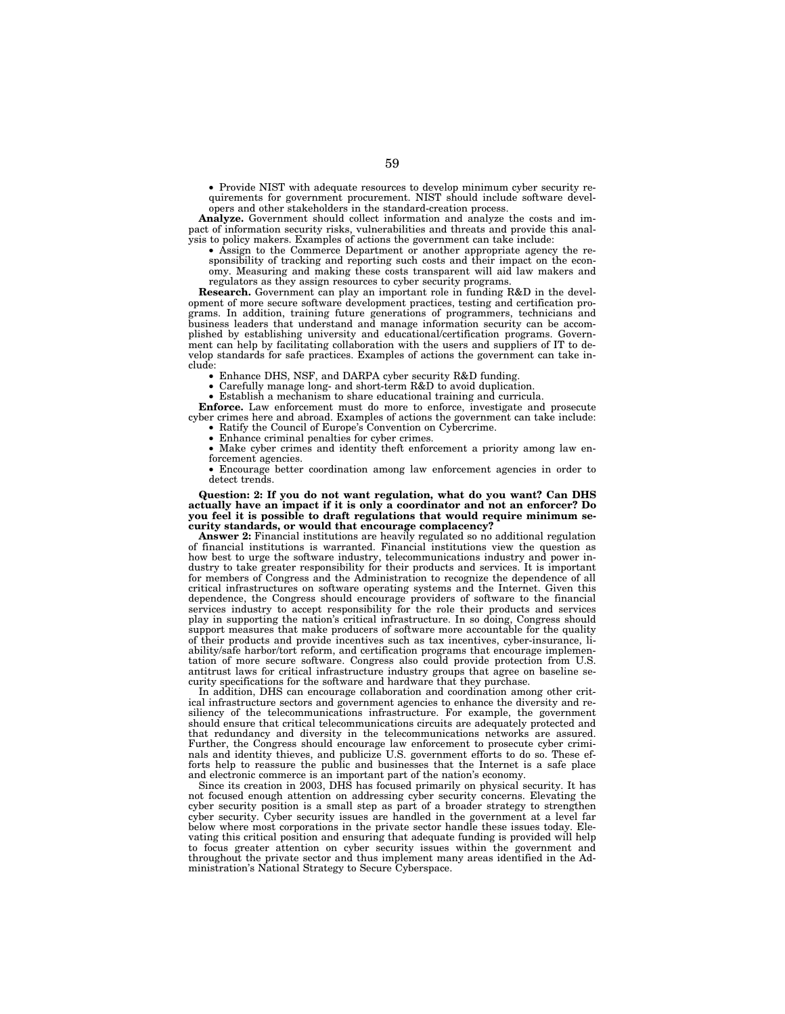• Provide NIST with adequate resources to develop minimum cyber security requirements for government procurement. NIST should include software developers and other stakeholders in the standard-creation process.

**Analyze.** Government should collect information and analyze the costs and impact of information security risks, vulnerabilities and threats and provide this analysis to policy makers. Examples of actions the government can take include:

• Assign to the Commerce Department or another appropriate agency the responsibility of tracking and reporting such costs and their impact on the economy. Measuring and making these costs transparent will aid law makers and regulators as they assign resources to cyber security programs.

**Research.** Government can play an important role in funding R&D in the development of more secure software development practices, testing and certification programs. In addition, training future generations of programmers, technicians and business leaders that understand and manage information security can be accomplished by establishing university and educational/certification programs. Government can help by facilitating collaboration with the users and suppliers of IT to develop standards for safe practices. Examples of actions the government can take include:

• Enhance DHS, NSF, and DARPA cyber security R&D funding.

• Carefully manage long- and short-term R&D to avoid duplication.

• Establish a mechanism to share educational training and curricula.

**Enforce.** Law enforcement must do more to enforce, investigate and prosecute cyber crimes here and abroad. Examples of actions the government can take include:

• Ratify the Council of Europe's Convention on Cybercrime. • Enhance criminal penalties for cyber crimes.

• Make cyber crimes and identity theft enforcement a priority among law enforcement agencies.

• Encourage better coordination among law enforcement agencies in order to detect trends.

**Question: 2: If you do not want regulation, what do you want? Can DHS actually have an impact if it is only a coordinator and not an enforcer? Do you feel it is possible to draft regulations that would require minimum security standards, or would that encourage complacency?** 

**Answer 2:** Financial institutions are heavily regulated so no additional regulation of financial institutions is warranted. Financial institutions view the question as how best to urge the software industry, telecommunications industry and power industry to take greater responsibility for their products and services. It is important for members of Congress and the Administration to recognize the dependence of all critical infrastructures on software operating systems and the Internet. Given this dependence, the Congress should encourage providers of software to the financial services industry to accept responsibility for the role their products and services play in supporting the nation's critical infrastructure. In so doing, Congress should support measures that make producers of software more accountable for the quality of their products and provide incentives such as tax incentives, cyber-insurance, liability/safe harbor/tort reform, and certification programs that encourage implementation of more secure software. Congress also could provide protection from U.S. antitrust laws for critical infrastructure industry groups that agree on baseline security specifications for the software and hardware that they purchase.

In addition, DHS can encourage collaboration and coordination among other critical infrastructure sectors and government agencies to enhance the diversity and resiliency of the telecommunications infrastructure. For example, the government should ensure that critical telecommunications circuits are adequately protected and that redundancy and diversity in the telecommunications networks are assured. Further, the Congress should encourage law enforcement to prosecute cyber criminals and identity thieves, and publicize U.S. government efforts to do so. These efforts help to reassure the public and businesses that the Internet is a safe place and electronic commerce is an important part of the nation's economy.

Since its creation in 2003, DHS has focused primarily on physical security. It has not focused enough attention on addressing cyber security concerns. Elevating the cyber security position is a small step as part of a broader strategy to strengthen cyber security. Cyber security issues are handled in the government at a level far below where most corporations in the private sector handle these issues today. Elevating this critical position and ensuring that adequate funding is provided will help to focus greater attention on cyber security issues within the government and throughout the private sector and thus implement many areas identified in the Administration's National Strategy to Secure Cyberspace.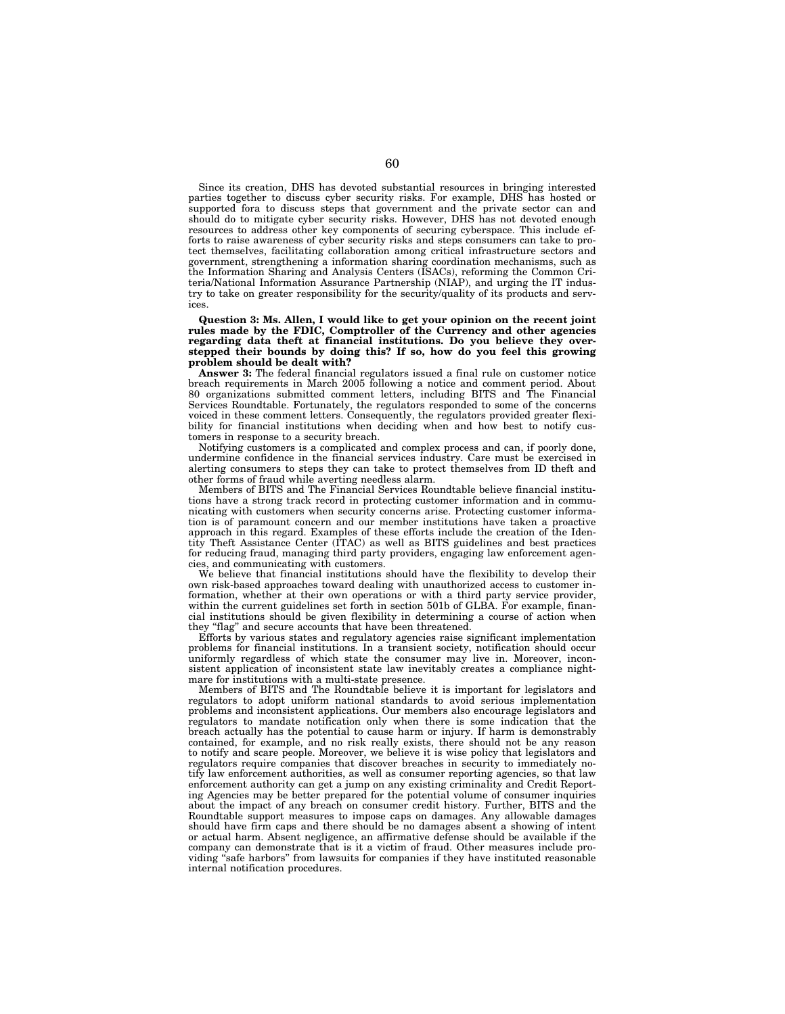Since its creation, DHS has devoted substantial resources in bringing interested parties together to discuss cyber security risks. For example, DHS has hosted or supported fora to discuss steps that government and the private sector can and should do to mitigate cyber security risks. However, DHS has not devoted enough resources to address other key components of securing cyberspace. This include efforts to raise awareness of cyber security risks and steps consumers can take to protect themselves, facilitating collaboration among critical infrastructure sectors and government, strengthening a information sharing coordination mechanisms, such as the Information Sharing and Analysis Centers (ISACs), reforming the Common Criteria/National Information Assurance Partnership (NIAP), and urging the IT industry to take on greater responsibility for the security/quality of its products and services.

**Question 3: Ms. Allen, I would like to get your opinion on the recent joint rules made by the FDIC, Comptroller of the Currency and other agencies regarding data theft at financial institutions. Do you believe they overstepped their bounds by doing this? If so, how do you feel this growing problem should be dealt with?** 

**Answer 3:** The federal financial regulators issued a final rule on customer notice breach requirements in March 2005 following a notice and comment period. About 80 organizations submitted comment letters, including BITS and The Financial Services Roundtable. Fortunately, the regulators responded to some of the concerns voiced in these comment letters. Consequently, the regulators provided greater flexibility for financial institutions when deciding when and how best to notify customers in response to a security breach.

Notifying customers is a complicated and complex process and can, if poorly done, undermine confidence in the financial services industry. Care must be exercised in alerting consumers to steps they can take to protect themselves from ID theft and other forms of fraud while averting needless alarm.

Members of BITS and The Financial Services Roundtable believe financial institutions have a strong track record in protecting customer information and in communicating with customers when security concerns arise. Protecting customer information is of paramount concern and our member institutions have taken a proactive approach in this regard. Examples of these efforts include the creation of the Identity Theft Assistance Center (ITAC) as well as BITS guidelines and best practices for reducing fraud, managing third party providers, engaging law enforcement agencies, and communicating with customers.

We believe that financial institutions should have the flexibility to develop their own risk-based approaches toward dealing with unauthorized access to customer information, whether at their own operations or with a third party service provider, within the current guidelines set forth in section 501b of GLBA. For example, financial institutions should be given flexibility in determining a course of action when they ''flag'' and secure accounts that have been threatened.

Efforts by various states and regulatory agencies raise significant implementation problems for financial institutions. In a transient society, notification should occur uniformly regardless of which state the consumer may live in. Moreover, inconsistent application of inconsistent state law inevitably creates a compliance nightmare for institutions with a multi-state presence.

Members of BITS and The Roundtable believe it is important for legislators and regulators to adopt uniform national standards to avoid serious implementation problems and inconsistent applications. Our members also encourage legislators and regulators to mandate notification only when there is some indication that the breach actually has the potential to cause harm or injury. If harm is demonstrably contained, for example, and no risk really exists, there should not be any reason to notify and scare people. Moreover, we believe it is wise policy that legislators and regulators require companies that discover breaches in security to immediately notify law enforcement authorities, as well as consumer reporting agencies, so that law enforcement authority can get a jump on any existing criminality and Credit Reporting Agencies may be better prepared for the potential volume of consumer inquiries about the impact of any breach on consumer credit history. Further, BITS and the Roundtable support measures to impose caps on damages. Any allowable damages should have firm caps and there should be no damages absent a showing of intent or actual harm. Absent negligence, an affirmative defense should be available if the company can demonstrate that is it a victim of fraud. Other measures include providing "safe harbors" from lawsuits for companies if they have instituted reasonable internal notification procedures.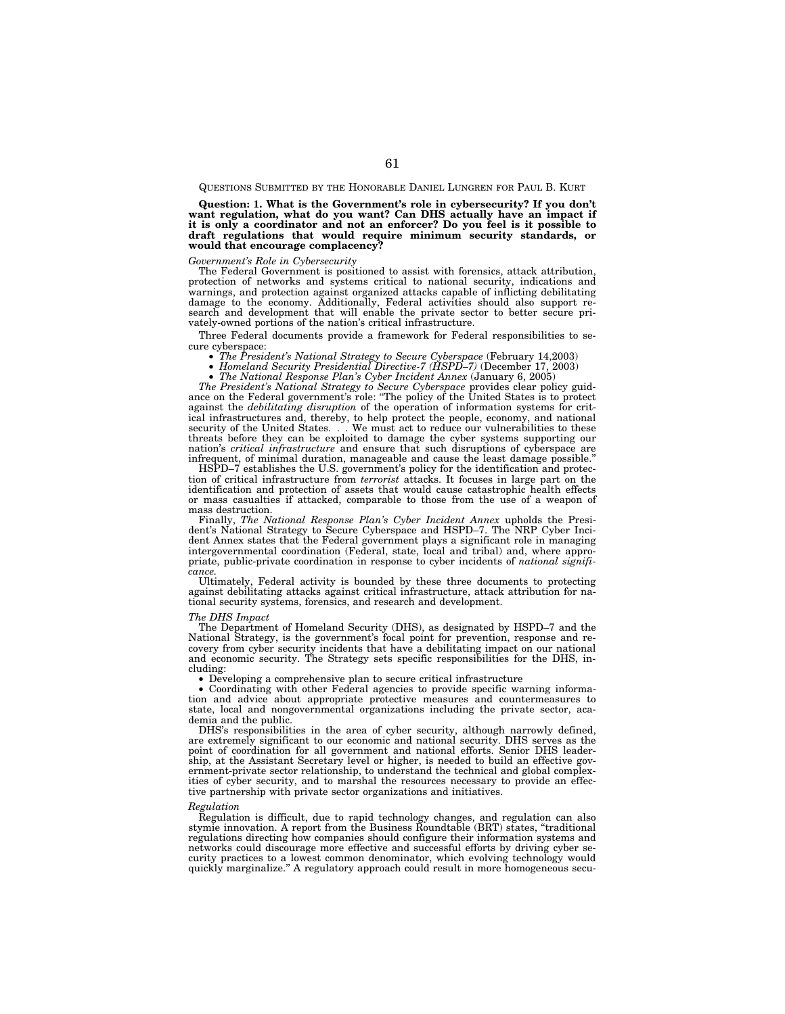QUESTIONS SUBMITTED BY THE HONORABLE DANIEL LUNGREN FOR PAUL B. KURT

**Question: 1. What is the Government's role in cybersecurity? If you don't want regulation, what do you want? Can DHS actually have an impact if it is only a coordinator and not an enforcer? Do you feel is it possible to draft regulations that would require minimum security standards, or would that encourage complacency?**

## *Government's Role in Cybersecurity*

The Federal Government is positioned to assist with forensics, attack attribution, protection of networks and systems critical to national security, indications and warnings, and protection against organized attacks capable of inflicting debilitating damage to the economy. Additionally, Federal activities should also support research and development that will enable the private sector to better secure privately-owned portions of the nation's critical infrastructure.

Three Federal documents provide a framework for Federal responsibilities to secure cyberspace:

- *The President's National Strategy to Secure Cyberspace* (February 14,2003)
- *Homeland Security Presidential Directive-7 (HSPD–7)* (December 17, 2003)
- *The National Response Plan's Cyber Incident Annex* (January 6, 2005)

*The President's National Strategy to Secure Cyberspace* provides clear policy guidance on the Federal government's role: ''The policy of the United States is to protect against the *debilitating disruption* of the operation of information systems for critical infrastructures and, thereby, to help protect the people, economy, and national security of the United States. . . We must act to reduce our vulnerabilities to these threats before they can be exploited to damage the cyber systems supporting our nation's *critical infrastructure* and ensure that such disruptions of cyberspace are infrequent, of minimal duration, manageable and cause the least damage possible.

HSPD–7 establishes the U.S. government's policy for the identification and protection of critical infrastructure from *terrorist* attacks. It focuses in large part on the identification and protection of assets that would cause catastrophic health effects or mass casualties if attacked, comparable to those from the use of a weapon of mass destruction.

Finally, *The National Response Plan's Cyber Incident Annex* upholds the President's National Strategy to Secure Cyberspace and HSPD–7. The NRP Cyber Incident Annex states that the Federal government plays a significant role in managing intergovernmental coordination (Federal, state, local and tribal) and, where appropriate, public-private coordination in response to cyber incidents of *national significance.* 

Ultimately, Federal activity is bounded by these three documents to protecting against debilitating attacks against critical infrastructure, attack attribution for national security systems, forensics, and research and development.

#### *The DHS Impact*

The Department of Homeland Security (DHS), as designated by HSPD–7 and the National Strategy, is the government's focal point for prevention, response and recovery from cyber security incidents that have a debilitating impact on our national and economic security. The Strategy sets specific responsibilities for the DHS, including:

• Developing a comprehensive plan to secure critical infrastructure

• Coordinating with other Federal agencies to provide specific warning information and advice about appropriate protective measures and countermeasures to state, local and nongovernmental organizations including the private sector, academia and the public.

DHS's responsibilities in the area of cyber security, although narrowly defined, are extremely significant to our economic and national security. DHS serves as the point of coordination for all government and national efforts. Senior DHS leadership, at the Assistant Secretary level or higher, is needed to build an effective government-private sector relationship, to understand the technical and global complexities of cyber security, and to marshal the resources necessary to provide an effective partnership with private sector organizations and initiatives.

#### *Regulation*

Regulation is difficult, due to rapid technology changes, and regulation can also stymie innovation. A report from the Business Roundtable (BRT) states, ''traditional regulations directing how companies should configure their information systems and networks could discourage more effective and successful efforts by driving cyber security practices to a lowest common denominator, which evolving technology would quickly marginalize.'' A regulatory approach could result in more homogeneous secu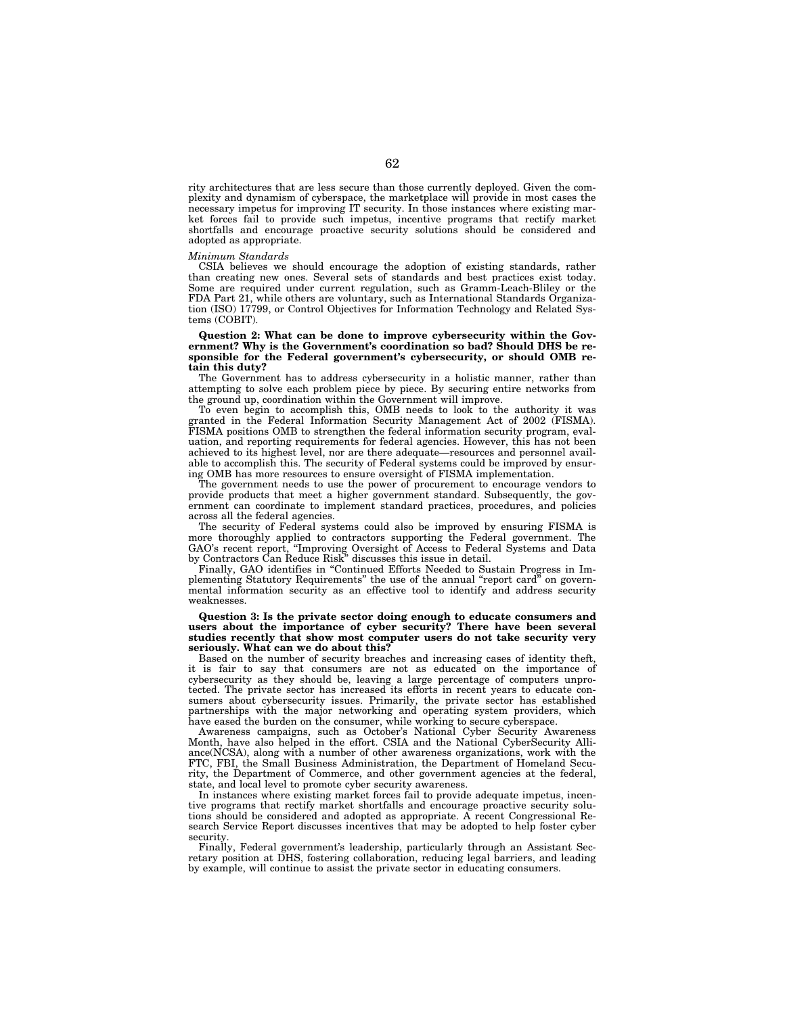rity architectures that are less secure than those currently deployed. Given the complexity and dynamism of cyberspace, the marketplace will provide in most cases the necessary impetus for improving IT security. In those instances where existing market forces fail to provide such impetus, incentive programs that rectify market shortfalls and encourage proactive security solutions should be considered and adopted as appropriate.

#### *Minimum Standards*

CSIA believes we should encourage the adoption of existing standards, rather than creating new ones. Several sets of standards and best practices exist today. Some are required under current regulation, such as Gramm-Leach-Bliley or the FDA Part 21, while others are voluntary, such as International Standards Organization (ISO) 17799, or Control Objectives for Information Technology and Related Systems (COBIT).

### **Question 2: What can be done to improve cybersecurity within the Government? Why is the Government's coordination so bad? Should DHS be responsible for the Federal government's cybersecurity, or should OMB retain this duty?**

The Government has to address cybersecurity in a holistic manner, rather than attempting to solve each problem piece by piece. By securing entire networks from the ground up, coordination within the Government will improve.

To even begin to accomplish this, OMB needs to look to the authority it was granted in the Federal Information Security Management Act of 2002 (FISMA). FISMA positions OMB to strengthen the federal information security program, evaluation, and reporting requirements for federal agencies. However, this has not been achieved to its highest level, nor are there adequate—resources and personnel available to accomplish this. The security of Federal systems could be improved by ensuring OMB has more resources to ensure oversight of FISMA implementation.

The government needs to use the power of procurement to encourage vendors to provide products that meet a higher government standard. Subsequently, the government can coordinate to implement standard practices, procedures, and policies across all the federal agencies.

The security of Federal systems could also be improved by ensuring FISMA is more thoroughly applied to contractors supporting the Federal government. The GAO's recent report, ''Improving Oversight of Access to Federal Systems and Data by Contractors Can Reduce Risk'' discusses this issue in detail.

Finally, GAO identifies in ''Continued Efforts Needed to Sustain Progress in Implementing Statutory Requirements'' the use of the annual ''report card'' on governmental information security as an effective tool to identify and address security weaknesses.

#### **Question 3: Is the private sector doing enough to educate consumers and users about the importance of cyber security? There have been several studies recently that show most computer users do not take security very seriously. What can we do about this?**

Based on the number of security breaches and increasing cases of identity theft, it is fair to say that consumers are not as educated on the importance of cybersecurity as they should be, leaving a large percentage of computers unprotected. The private sector has increased its efforts in recent years to educate consumers about cybersecurity issues. Primarily, the private sector has established partnerships with the major networking and operating system providers, which have eased the burden on the consumer, while working to secure cyberspace.

Awareness campaigns, such as October's National Cyber Security Awareness Month, have also helped in the effort. CSIA and the National CyberSecurity Alliance(NCSA), along with a number of other awareness organizations, work with the FTC, FBI, the Small Business Administration, the Department of Homeland Security, the Department of Commerce, and other government agencies at the federal, state, and local level to promote cyber security awareness.

In instances where existing market forces fail to provide adequate impetus, incentive programs that rectify market shortfalls and encourage proactive security solutions should be considered and adopted as appropriate. A recent Congressional Research Service Report discusses incentives that may be adopted to help foster cyber security.

Finally, Federal government's leadership, particularly through an Assistant Secretary position at DHS, fostering collaboration, reducing legal barriers, and leading by example, will continue to assist the private sector in educating consumers.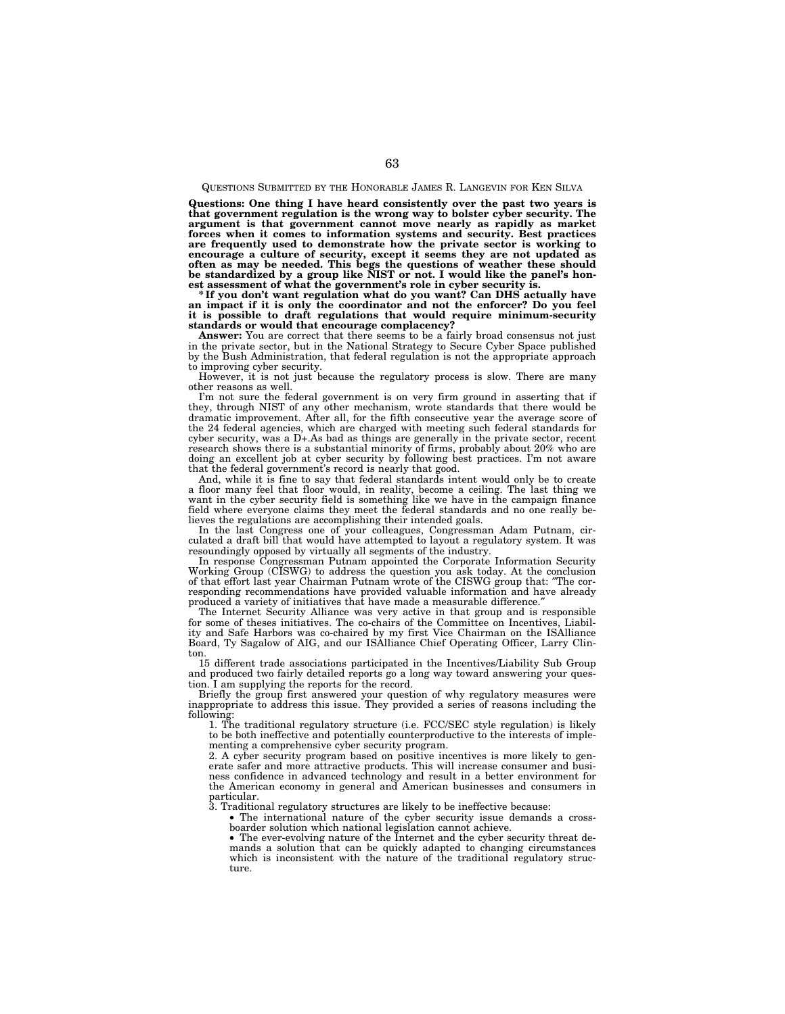## QUESTIONS SUBMITTED BY THE HONORABLE JAMES R. LANGEVIN FOR KEN SILVA

**Questions: One thing I have heard consistently over the past two years is that government regulation is the wrong way to bolster cyber security. The argument is that government cannot move nearly as rapidly as market forces when it comes to information systems and security. Best practices are frequently used to demonstrate how the private sector is working to**  encourage a culture of security, except it seems they are not updated as<br>often as may be needed. This begs the questions of weather these should<br>be standardized by a group like NIST or not. I would like the panel's hon-<br>es

**\* If you don't want regulation what do you want? Can DHS actually have an impact if it is only the coordinator and not the enforcer? Do you feel it is possible to draft regulations that would require minimum-security standards or would that encourage complacency?** 

**Answer:** You are correct that there seems to be a fairly broad consensus not just in the private sector, but in the National Strategy to Secure Cyber Space published by the Bush Administration, that federal regulation is not the appropriate approach to improving cyber security.

However, it is not just because the regulatory process is slow. There are many other reasons as well.

I'm not sure the federal government is on very firm ground in asserting that if they, through NIST of any other mechanism, wrote standards that there would be dramatic improvement. After all, for the fifth consecutive year the average score of the 24 federal agencies, which are charged with meeting such federal standards for cyber security, was a D+.As bad as things are generally in the private sector, recent research shows there is a substantial minority of firms, probably about 20% who are doing an excellent job at cyber security by following best practices. I'm not aware that the federal government's record is nearly that good.

And, while it is fine to say that federal standards intent would only be to create a floor many feel that floor would, in reality, become a ceiling. The last thing we want in the cyber security field is something like we have in the campaign finance field where everyone claims they meet the federal standards and no one really believes the regulations are accomplishing their intended goals.

In the last Congress one of your colleagues, Congressman Adam Putnam, circulated a draft bill that would have attempted to layout a regulatory system. It was resoundingly opposed by virtually all segments of the industry.

In response Congressman Putnam appointed the Corporate Information Security Working Group (CISWG) to address the question you ask today. At the conclusion of that effort last year Chairman Putnam wrote of the CISWG group that: ″The corresponding recommendations have provided valuable information and have already produced a variety of initiatives that have made a measurable difference."

The Internet Security Alliance was very active in that group and is responsible for some of theses initiatives. The co-chairs of the Committee on Incentives, Liability and Safe Harbors was co-chaired by my first Vice Chairman on the ISAlliance Board, Ty Sagalow of AIG, and our ISAlliance Chief Operating Officer, Larry Clinton.

15 different trade associations participated in the Incentives/Liability Sub Group and produced two fairly detailed reports go a long way toward answering your question. I am supplying the reports for the record.

Briefly the group first answered your question of why regulatory measures were inappropriate to address this issue. They provided a series of reasons including the following:

1. The traditional regulatory structure (i.e. FCC/SEC style regulation) is likely to be both ineffective and potentially counterproductive to the interests of implementing a comprehensive cyber security program.

2. A cyber security program based on positive incentives is more likely to generate safer and more attractive products. This will increase consumer and business confidence in advanced technology and result in a better environment for the American economy in general and American businesses and consumers in particular.

3. Traditional regulatory structures are likely to be ineffective because:

• The international nature of the cyber security issue demands a cross-boarder solution which national legislation cannot achieve.

• The ever-evolving nature of the Internet and the cyber security threat demands a solution that can be quickly adapted to changing circumstances which is inconsistent with the nature of the traditional regulatory structure.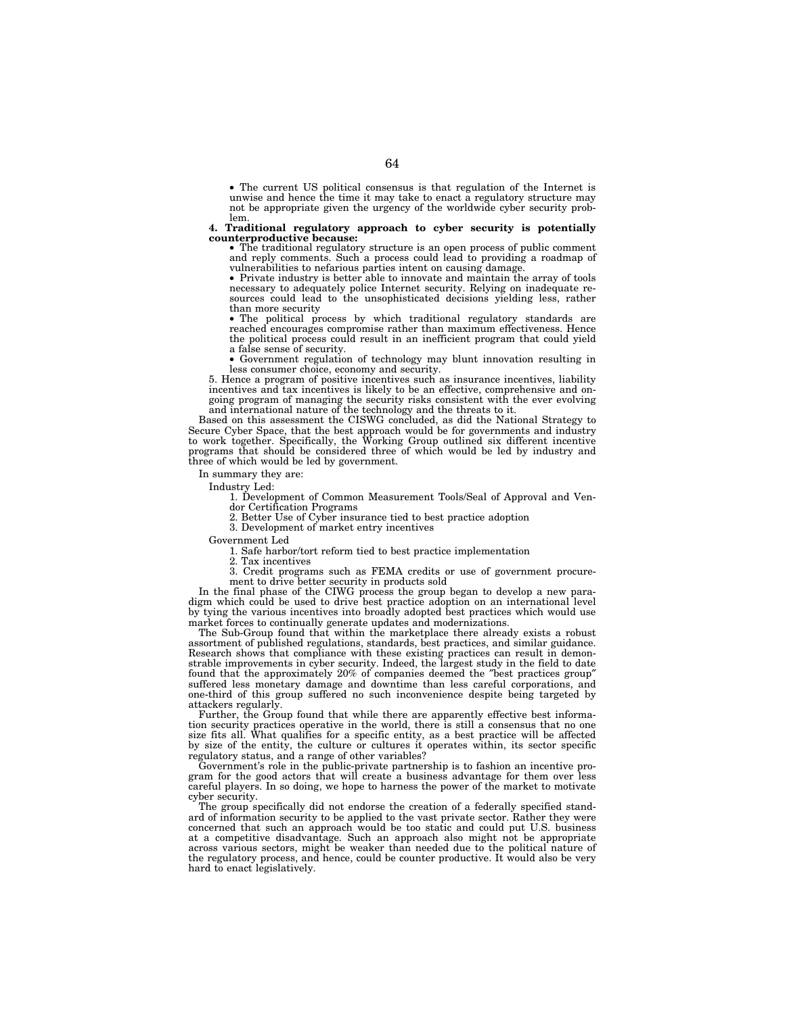• The current US political consensus is that regulation of the Internet is unwise and hence the time it may take to enact a regulatory structure may not be appropriate given the urgency of the worldwide cyber security problem.

# **4. Traditional regulatory approach to cyber security is potentially**

**counterproductive because:** • The traditional regulatory structure is an open process of public comment and reply comments. Such a process could lead to providing a roadmap of vulnerabilities to nefarious parties intent on causing damage.

• Private industry is better able to innovate and maintain the array of tools necessary to adequately police Internet security. Relying on inadequate resources could lead to the unsophisticated decisions yielding less, rather than more security

• The political process by which traditional regulatory standards are reached encourages compromise rather than maximum effectiveness. Hence the political process could result in an inefficient program that could yield a false sense of security.

• Government regulation of technology may blunt innovation resulting in less consumer choice, economy and security.

5. Hence a program of positive incentives such as insurance incentives, liability incentives and tax incentives is likely to be an effective, comprehensive and ongoing program of managing the security risks consistent with the ever evolving and international nature of the technology and the threats to it.

Based on this assessment the CISWG concluded, as did the National Strategy to Secure Cyber Space, that the best approach would be for governments and industry to work together. Specifically, the Working Group outlined six different incentive programs that should be considered three of which would be led by industry and three of which would be led by government.

In summary they are:

Industry Led:

1. Development of Common Measurement Tools/Seal of Approval and Vendor Certification Programs

2. Better Use of Cyber insurance tied to best practice adoption

3. Development of market entry incentives

Government Led

1. Safe harbor/tort reform tied to best practice implementation

2. Tax incentives

3. Credit programs such as FEMA credits or use of government procurement to drive better security in products sold

In the final phase of the CIWG process the group began to develop a new paradigm which could be used to drive best practice adoption on an international level by tying the various incentives into broadly adopted best practices which would use market forces to continually generate updates and modernizations.

The Sub-Group found that within the marketplace there already exists a robust assortment of published regulations, standards, best practices, and similar guidance. Research shows that compliance with these existing practices can result in demonstrable improvements in cyber security. Indeed, the largest study in the field to date found that the approximately 20% of companies deemed the ″best practices group″ suffered less monetary damage and downtime than less careful corporations, and one-third of this group suffered no such inconvenience despite being targeted by attackers regularly.

Further, the Group found that while there are apparently effective best information security practices operative in the world, there is still a consensus that no one size fits all. What qualifies for a specific entity, as a best practice will be affected by size of the entity, the culture or cultures it operates within, its sector specific regulatory status, and a range of other variables?

Government's role in the public-private partnership is to fashion an incentive program for the good actors that will create a business advantage for them over less careful players. In so doing, we hope to harness the power of the market to motivate cyber security.

The group specifically did not endorse the creation of a federally specified standard of information security to be applied to the vast private sector. Rather they were concerned that such an approach would be too static and could put U.S. business at a competitive disadvantage. Such an approach also might not be appropriate across various sectors, might be weaker than needed due to the political nature of the regulatory process, and hence, could be counter productive. It would also be very hard to enact legislatively.